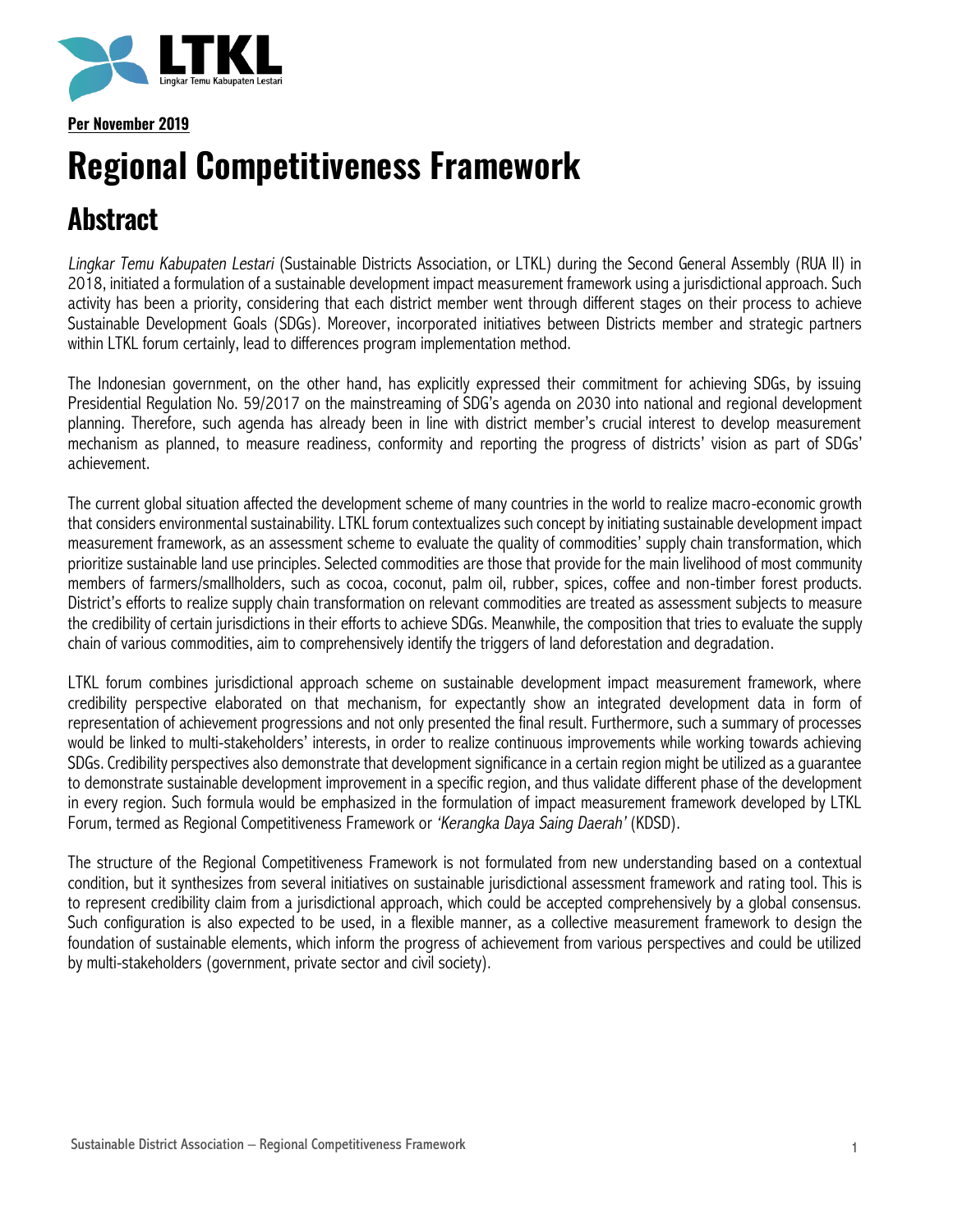

**Per November 2019**

# **Regional Competitiveness Framework**

## **Abstract**

*Lingkar Temu Kabupaten Lestari* (Sustainable Districts Association, or LTKL) during the Second General Assembly (RUA II) in 2018, initiated a formulation of a sustainable development impact measurement framework using a jurisdictional approach. Such activity has been a priority, considering that each district member went through different stages on their process to achieve Sustainable Development Goals (SDGs). Moreover, incorporated initiatives between Districts member and strategic partners within LTKL forum certainly, lead to differences program implementation method.

The Indonesian government, on the other hand, has explicitly expressed their commitment for achieving SDGs, by issuing Presidential Regulation No. 59/2017 on the mainstreaming of SDG's agenda on 2030 into national and regional development planning. Therefore, such agenda has already been in line with district member's crucial interest to develop measurement mechanism as planned, to measure readiness, conformity and reporting the progress of districts' vision as part of SDGs' achievement.

The current global situation affected the development scheme of many countries in the world to realize macro-economic growth that considers environmental sustainability. LTKL forum contextualizes such concept by initiating sustainable development impact measurement framework, as an assessment scheme to evaluate the quality of commodities' supply chain transformation, which prioritize sustainable land use principles. Selected commodities are those that provide for the main livelihood of most community members of farmers/smallholders, such as cocoa, coconut, palm oil, rubber, spices, coffee and non-timber forest products. District's efforts to realize supply chain transformation on relevant commodities are treated as assessment subjects to measure the credibility of certain jurisdictions in their efforts to achieve SDGs. Meanwhile, the composition that tries to evaluate the supply chain of various commodities, aim to comprehensively identify the triggers of land deforestation and degradation.

LTKL forum combines jurisdictional approach scheme on sustainable development impact measurement framework, where credibility perspective elaborated on that mechanism, for expectantly show an integrated development data in form of representation of achievement progressions and not only presented the final result. Furthermore, such a summary of processes would be linked to multi-stakeholders' interests, in order to realize continuous improvements while working towards achieving SDGs. Credibility perspectives also demonstrate that development significance in a certain region might be utilized as a guarantee to demonstrate sustainable development improvement in a specific region, and thus validate different phase of the development in every region. Such formula would be emphasized in the formulation of impact measurement framework developed by LTKL Forum, termed as Regional Competitiveness Framework or *'Kerangka Daya Saing Daerah'* (KDSD).

The structure of the Regional Competitiveness Framework is not formulated from new understanding based on a contextual condition, but it synthesizes from several initiatives on sustainable jurisdictional assessment framework and rating tool. This is to represent credibility claim from a jurisdictional approach, which could be accepted comprehensively by a global consensus. Such configuration is also expected to be used, in a flexible manner, as a collective measurement framework to design the foundation of sustainable elements, which inform the progress of achievement from various perspectives and could be utilized by multi-stakeholders (government, private sector and civil society).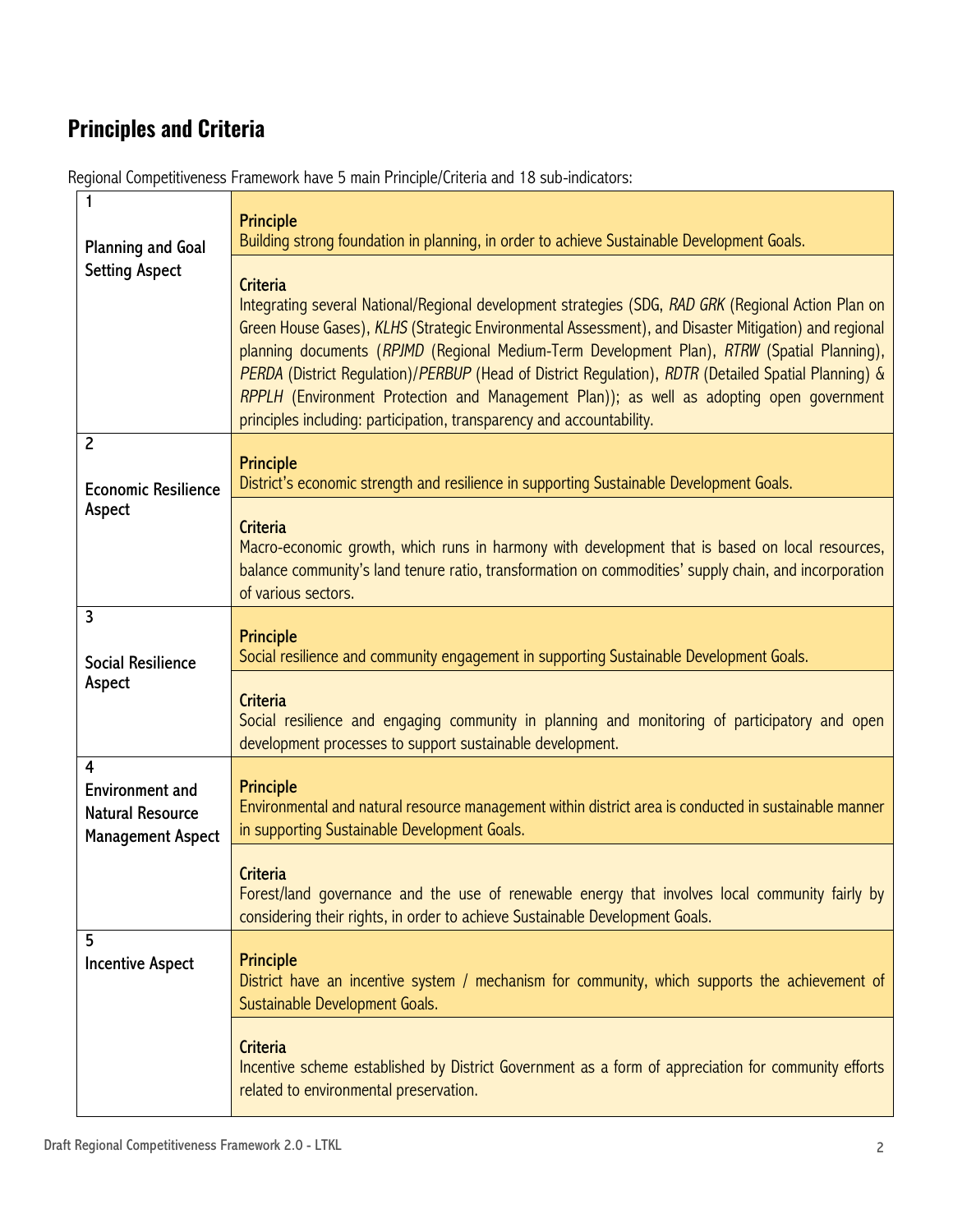## **Principles and Criteria**

| <b>Planning and Goal</b>                                                           | <b>Principle</b><br>Building strong foundation in planning, in order to achieve Sustainable Development Goals.                                                                                                                                                                                                                                                                                                                                                                                                                                                                                             |
|------------------------------------------------------------------------------------|------------------------------------------------------------------------------------------------------------------------------------------------------------------------------------------------------------------------------------------------------------------------------------------------------------------------------------------------------------------------------------------------------------------------------------------------------------------------------------------------------------------------------------------------------------------------------------------------------------|
| <b>Setting Aspect</b>                                                              | <b>Criteria</b><br>Integrating several National/Regional development strategies (SDG, RAD GRK (Regional Action Plan on<br>Green House Gases), KLHS (Strategic Environmental Assessment), and Disaster Mitigation) and regional<br>planning documents (RPJMD (Regional Medium-Term Development Plan), RTRW (Spatial Planning),<br>PERDA (District Regulation)/PERBUP (Head of District Regulation), RDTR (Detailed Spatial Planning) &<br>RPPLH (Environment Protection and Management Plan)); as well as adopting open government<br>principles including: participation, transparency and accountability. |
| $\overline{c}$<br><b>Economic Resilience</b>                                       | <b>Principle</b><br>District's economic strength and resilience in supporting Sustainable Development Goals.                                                                                                                                                                                                                                                                                                                                                                                                                                                                                               |
| Aspect                                                                             | <b>Criteria</b><br>Macro-economic growth, which runs in harmony with development that is based on local resources,<br>balance community's land tenure ratio, transformation on commodities' supply chain, and incorporation<br>of various sectors.                                                                                                                                                                                                                                                                                                                                                         |
| 3<br><b>Social Resilience</b>                                                      | <b>Principle</b><br>Social resilience and community engagement in supporting Sustainable Development Goals.                                                                                                                                                                                                                                                                                                                                                                                                                                                                                                |
| Aspect                                                                             | <b>Criteria</b><br>Social resilience and engaging community in planning and monitoring of participatory and open<br>development processes to support sustainable development.                                                                                                                                                                                                                                                                                                                                                                                                                              |
| 4<br><b>Environment and</b><br><b>Natural Resource</b><br><b>Management Aspect</b> | <b>Principle</b><br>Environmental and natural resource management within district area is conducted in sustainable manner<br>in supporting Sustainable Development Goals.                                                                                                                                                                                                                                                                                                                                                                                                                                  |
|                                                                                    | <b>Criteria</b><br>Forest/land governance and the use of renewable energy that involves local community fairly by<br>considering their rights, in order to achieve Sustainable Development Goals.                                                                                                                                                                                                                                                                                                                                                                                                          |
| 5<br><b>Incentive Aspect</b>                                                       | <b>Principle</b><br>District have an incentive system / mechanism for community, which supports the achievement of<br>Sustainable Development Goals.                                                                                                                                                                                                                                                                                                                                                                                                                                                       |
|                                                                                    | <b>Criteria</b><br>Incentive scheme established by District Government as a form of appreciation for community efforts<br>related to environmental preservation.                                                                                                                                                                                                                                                                                                                                                                                                                                           |

Regional Competitiveness Framework have 5 main Principle/Criteria and 18 sub-indicators: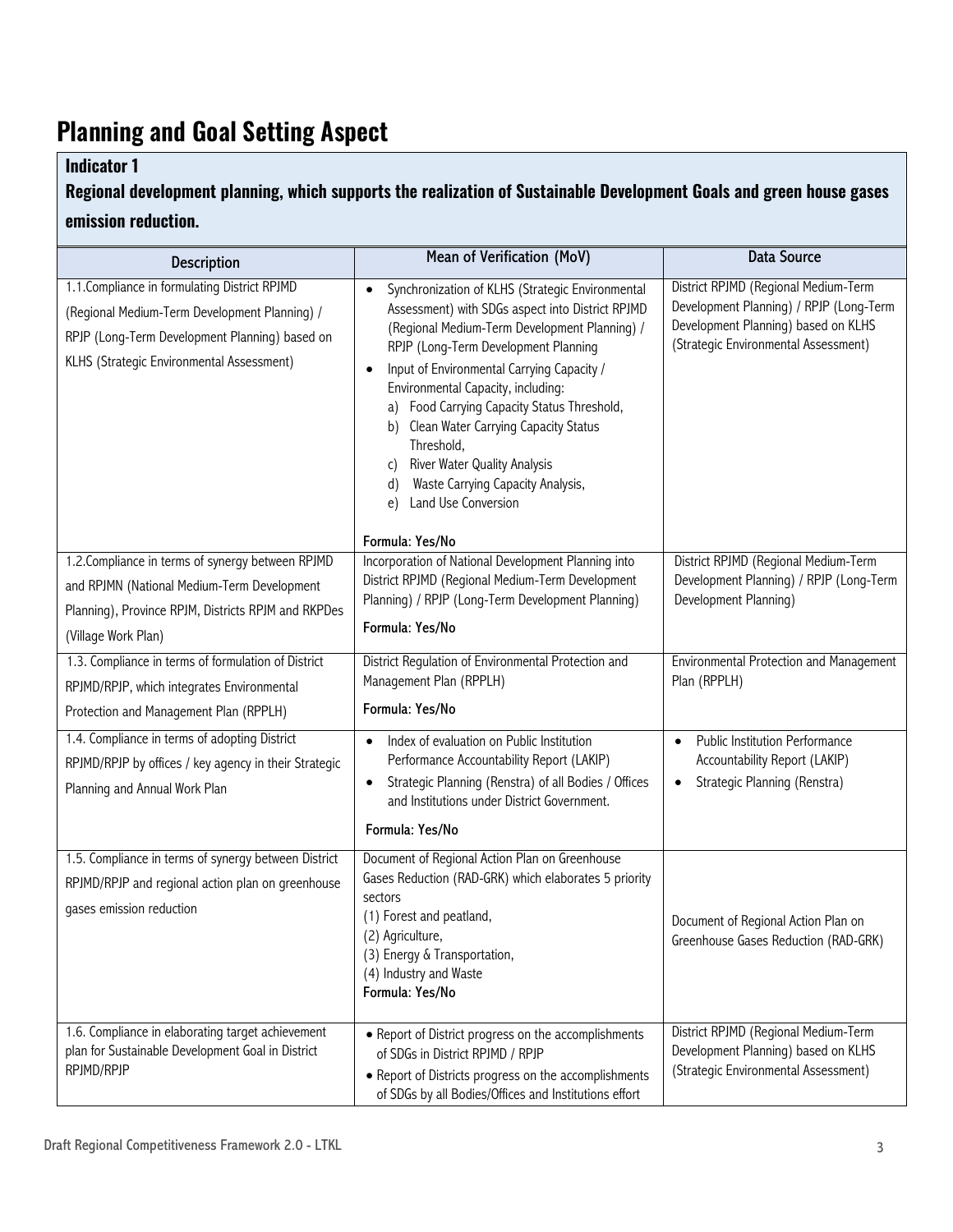## **Planning and Goal Setting Aspect**

### **Indicator 1**

### **Regional development planning, which supports the realization of Sustainable Development Goals and green house gases emission reduction.**

| <b>Description</b>                                                                                                                                                                            | Mean of Verification (MoV)                                                                                                                                                                                                                                                                                                                                                                                                                                                                                           | <b>Data Source</b>                                                                                                                                             |
|-----------------------------------------------------------------------------------------------------------------------------------------------------------------------------------------------|----------------------------------------------------------------------------------------------------------------------------------------------------------------------------------------------------------------------------------------------------------------------------------------------------------------------------------------------------------------------------------------------------------------------------------------------------------------------------------------------------------------------|----------------------------------------------------------------------------------------------------------------------------------------------------------------|
| 1.1. Compliance in formulating District RPJMD<br>(Regional Medium-Term Development Planning) /<br>RPJP (Long-Term Development Planning) based on<br>KLHS (Strategic Environmental Assessment) | Synchronization of KLHS (Strategic Environmental<br>Assessment) with SDGs aspect into District RPJMD<br>(Regional Medium-Term Development Planning) /<br>RPJP (Long-Term Development Planning<br>Input of Environmental Carrying Capacity /<br>Environmental Capacity, including:<br>Food Carrying Capacity Status Threshold,<br>a)<br>Clean Water Carrying Capacity Status<br>b)<br>Threshold,<br><b>River Water Quality Analysis</b><br>C)<br>Waste Carrying Capacity Analysis,<br>d)<br>Land Use Conversion<br>e) | District RPJMD (Regional Medium-Term<br>Development Planning) / RPJP (Long-Term<br>Development Planning) based on KLHS<br>(Strategic Environmental Assessment) |
|                                                                                                                                                                                               | Formula: Yes/No                                                                                                                                                                                                                                                                                                                                                                                                                                                                                                      |                                                                                                                                                                |
| 1.2. Compliance in terms of synergy between RPJMD<br>and RPJMN (National Medium-Term Development<br>Planning), Province RPJM, Districts RPJM and RKPDes<br>(Village Work Plan)                | Incorporation of National Development Planning into<br>District RPJMD (Regional Medium-Term Development<br>Planning) / RPJP (Long-Term Development Planning)<br>Formula: Yes/No                                                                                                                                                                                                                                                                                                                                      | District RPJMD (Regional Medium-Term<br>Development Planning) / RPJP (Long-Term<br>Development Planning)                                                       |
| 1.3. Compliance in terms of formulation of District                                                                                                                                           | District Regulation of Environmental Protection and                                                                                                                                                                                                                                                                                                                                                                                                                                                                  | Environmental Protection and Management                                                                                                                        |
| RPJMD/RPJP, which integrates Environmental                                                                                                                                                    | Management Plan (RPPLH)                                                                                                                                                                                                                                                                                                                                                                                                                                                                                              | Plan (RPPLH)                                                                                                                                                   |
| Protection and Management Plan (RPPLH)                                                                                                                                                        | Formula: Yes/No                                                                                                                                                                                                                                                                                                                                                                                                                                                                                                      |                                                                                                                                                                |
| 1.4. Compliance in terms of adopting District                                                                                                                                                 | Index of evaluation on Public Institution<br>$\bullet$<br>Performance Accountability Report (LAKIP)                                                                                                                                                                                                                                                                                                                                                                                                                  | Public Institution Performance<br>$\bullet$<br>Accountability Report (LAKIP)                                                                                   |
| RPJMD/RPJP by offices / key agency in their Strategic<br>Planning and Annual Work Plan                                                                                                        | Strategic Planning (Renstra) of all Bodies / Offices<br>$\bullet$<br>and Institutions under District Government.                                                                                                                                                                                                                                                                                                                                                                                                     | Strategic Planning (Renstra)                                                                                                                                   |
|                                                                                                                                                                                               | Formula: Yes/No                                                                                                                                                                                                                                                                                                                                                                                                                                                                                                      |                                                                                                                                                                |
| 1.5. Compliance in terms of synergy between District<br>RPJMD/RPJP and regional action plan on greenhouse<br>gases emission reduction                                                         | Document of Regional Action Plan on Greenhouse<br>Gases Reduction (RAD-GRK) which elaborates 5 priority<br>sectors<br>(1) Forest and peatland,<br>(2) Agriculture,<br>(3) Energy & Transportation,<br>(4) Industry and Waste<br>Formula: Yes/No                                                                                                                                                                                                                                                                      | Document of Regional Action Plan on<br>Greenhouse Gases Reduction (RAD-GRK)                                                                                    |
| 1.6. Compliance in elaborating target achievement<br>plan for Sustainable Development Goal in District<br>RPJMD/RPJP                                                                          | • Report of District progress on the accomplishments<br>of SDGs in District RPJMD / RPJP<br>• Report of Districts progress on the accomplishments<br>of SDGs by all Bodies/Offices and Institutions effort                                                                                                                                                                                                                                                                                                           | District RPJMD (Regional Medium-Term<br>Development Planning) based on KLHS<br>(Strategic Environmental Assessment)                                            |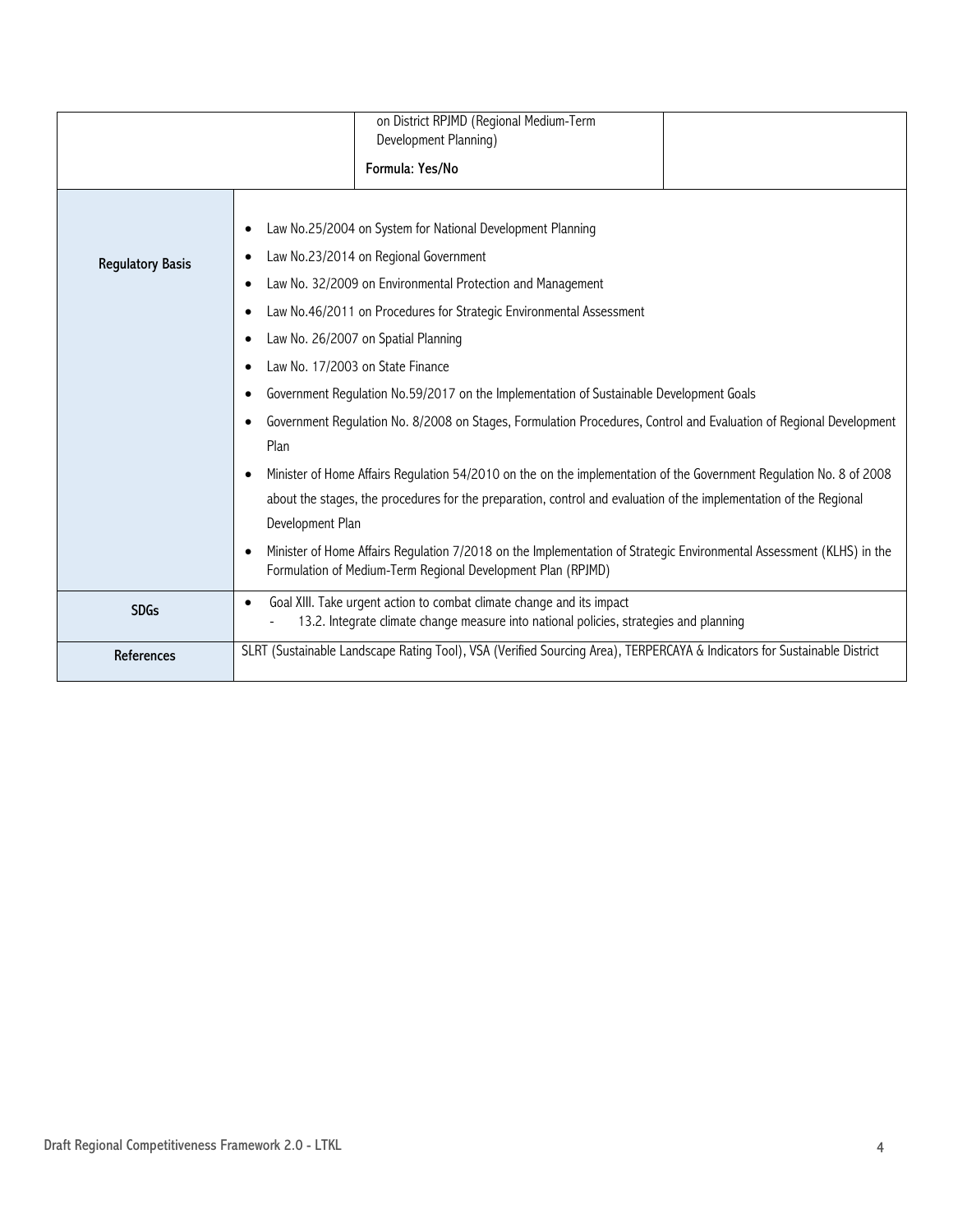|                         | on District RPJMD (Regional Medium-Term<br>Development Planning)<br>Formula: Yes/No                                                                                                                                                                                                                                                                                                                                                                                                                                                                                                                                                                                                                                                                                                                                                                                                                                                                                                                   |
|-------------------------|-------------------------------------------------------------------------------------------------------------------------------------------------------------------------------------------------------------------------------------------------------------------------------------------------------------------------------------------------------------------------------------------------------------------------------------------------------------------------------------------------------------------------------------------------------------------------------------------------------------------------------------------------------------------------------------------------------------------------------------------------------------------------------------------------------------------------------------------------------------------------------------------------------------------------------------------------------------------------------------------------------|
| <b>Regulatory Basis</b> | Law No.25/2004 on System for National Development Planning<br>Law No.23/2014 on Regional Government<br>Law No. 32/2009 on Environmental Protection and Management<br>Law No.46/2011 on Procedures for Strategic Environmental Assessment<br>Law No. 26/2007 on Spatial Planning<br>Law No. 17/2003 on State Finance<br>Government Regulation No.59/2017 on the Implementation of Sustainable Development Goals<br>Government Regulation No. 8/2008 on Stages, Formulation Procedures, Control and Evaluation of Regional Development<br>Plan<br>Minister of Home Affairs Regulation 54/2010 on the on the implementation of the Government Regulation No. 8 of 2008<br>about the stages, the procedures for the preparation, control and evaluation of the implementation of the Regional<br>Development Plan<br>Minister of Home Affairs Regulation 7/2018 on the Implementation of Strategic Environmental Assessment (KLHS) in the<br>Formulation of Medium-Term Regional Development Plan (RPJMD) |
| <b>SDGs</b>             | Goal XIII. Take urgent action to combat climate change and its impact<br>$\bullet$<br>13.2. Integrate climate change measure into national policies, strategies and planning                                                                                                                                                                                                                                                                                                                                                                                                                                                                                                                                                                                                                                                                                                                                                                                                                          |
| References              | SLRT (Sustainable Landscape Rating Tool), VSA (Verified Sourcing Area), TERPERCAYA & Indicators for Sustainable District                                                                                                                                                                                                                                                                                                                                                                                                                                                                                                                                                                                                                                                                                                                                                                                                                                                                              |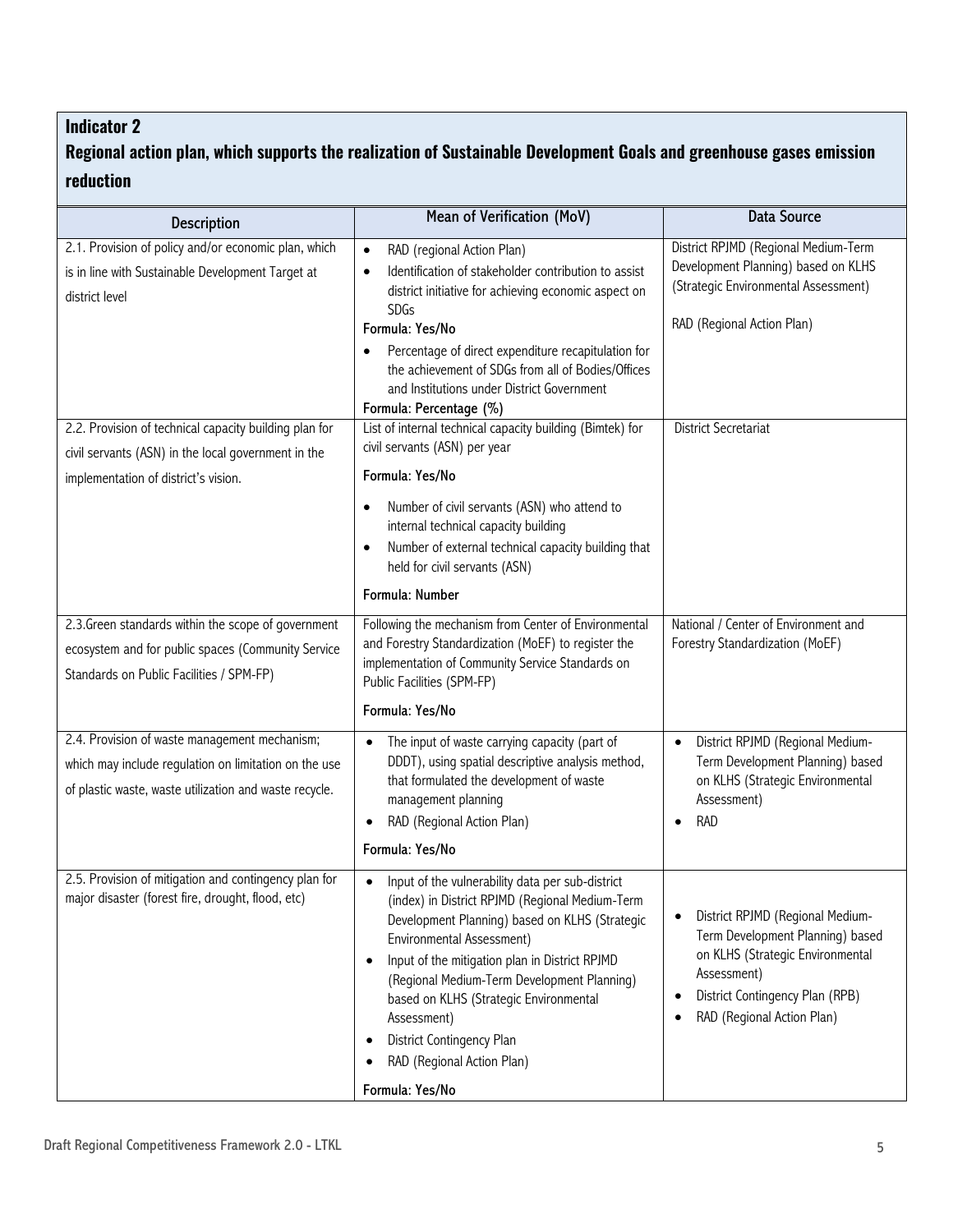### **Regional action plan, which supports the realization of Sustainable Development Goals and greenhouse gases emission reduction**

| <b>Description</b>                                                                                                                                               | Mean of Verification (MoV)                                                                                                                                                                                                                                                                                                                                                                                                                                        | <b>Data Source</b>                                                                                                                                                                                              |
|------------------------------------------------------------------------------------------------------------------------------------------------------------------|-------------------------------------------------------------------------------------------------------------------------------------------------------------------------------------------------------------------------------------------------------------------------------------------------------------------------------------------------------------------------------------------------------------------------------------------------------------------|-----------------------------------------------------------------------------------------------------------------------------------------------------------------------------------------------------------------|
| 2.1. Provision of policy and/or economic plan, which<br>is in line with Sustainable Development Target at<br>district level                                      | RAD (regional Action Plan)<br>$\bullet$<br>Identification of stakeholder contribution to assist<br>$\bullet$<br>district initiative for achieving economic aspect on<br><b>SDGs</b><br>Formula: Yes/No<br>Percentage of direct expenditure recapitulation for<br>the achievement of SDGs from all of Bodies/Offices<br>and Institutions under District Government<br>Formula: Percentage (%)                                                                      | District RPJMD (Regional Medium-Term<br>Development Planning) based on KLHS<br>(Strategic Environmental Assessment)<br>RAD (Regional Action Plan)                                                               |
| 2.2. Provision of technical capacity building plan for<br>civil servants (ASN) in the local government in the<br>implementation of district's vision.            | List of internal technical capacity building (Bimtek) for<br>civil servants (ASN) per year<br>Formula: Yes/No<br>Number of civil servants (ASN) who attend to<br>$\bullet$<br>internal technical capacity building<br>Number of external technical capacity building that<br>held for civil servants (ASN)<br>Formula: Number                                                                                                                                     | District Secretariat                                                                                                                                                                                            |
| 2.3. Green standards within the scope of government<br>ecosystem and for public spaces (Community Service<br>Standards on Public Facilities / SPM-FP)            | Following the mechanism from Center of Environmental<br>and Forestry Standardization (MoEF) to register the<br>implementation of Community Service Standards on<br>Public Facilities (SPM-FP)<br>Formula: Yes/No                                                                                                                                                                                                                                                  | National / Center of Environment and<br>Forestry Standardization (MoEF)                                                                                                                                         |
| 2.4. Provision of waste management mechanism;<br>which may include regulation on limitation on the use<br>of plastic waste, waste utilization and waste recycle. | The input of waste carrying capacity (part of<br>$\bullet$<br>DDDT), using spatial descriptive analysis method,<br>that formulated the development of waste<br>management planning<br>RAD (Regional Action Plan)<br>$\bullet$<br>Formula: Yes/No                                                                                                                                                                                                                  | District RPJMD (Regional Medium-<br>$\bullet$<br>Term Development Planning) based<br>on KLHS (Strategic Environmental<br>Assessment)<br><b>RAD</b>                                                              |
| 2.5. Provision of mitigation and contingency plan for<br>major disaster (forest fire, drought, flood, etc)                                                       | Input of the vulnerability data per sub-district<br>$\bullet$<br>(index) in District RPJMD (Regional Medium-Term<br>Development Planning) based on KLHS (Strategic<br>Environmental Assessment)<br>Input of the mitigation plan in District RPJMD<br>$\bullet$<br>(Regional Medium-Term Development Planning)<br>based on KLHS (Strategic Environmental<br>Assessment)<br>District Contingency Plan<br>$\bullet$<br>RAD (Regional Action Plan)<br>Formula: Yes/No | District RPJMD (Regional Medium-<br>$\bullet$<br>Term Development Planning) based<br>on KLHS (Strategic Environmental<br>Assessment)<br>District Contingency Plan (RPB)<br>٠<br>RAD (Regional Action Plan)<br>٠ |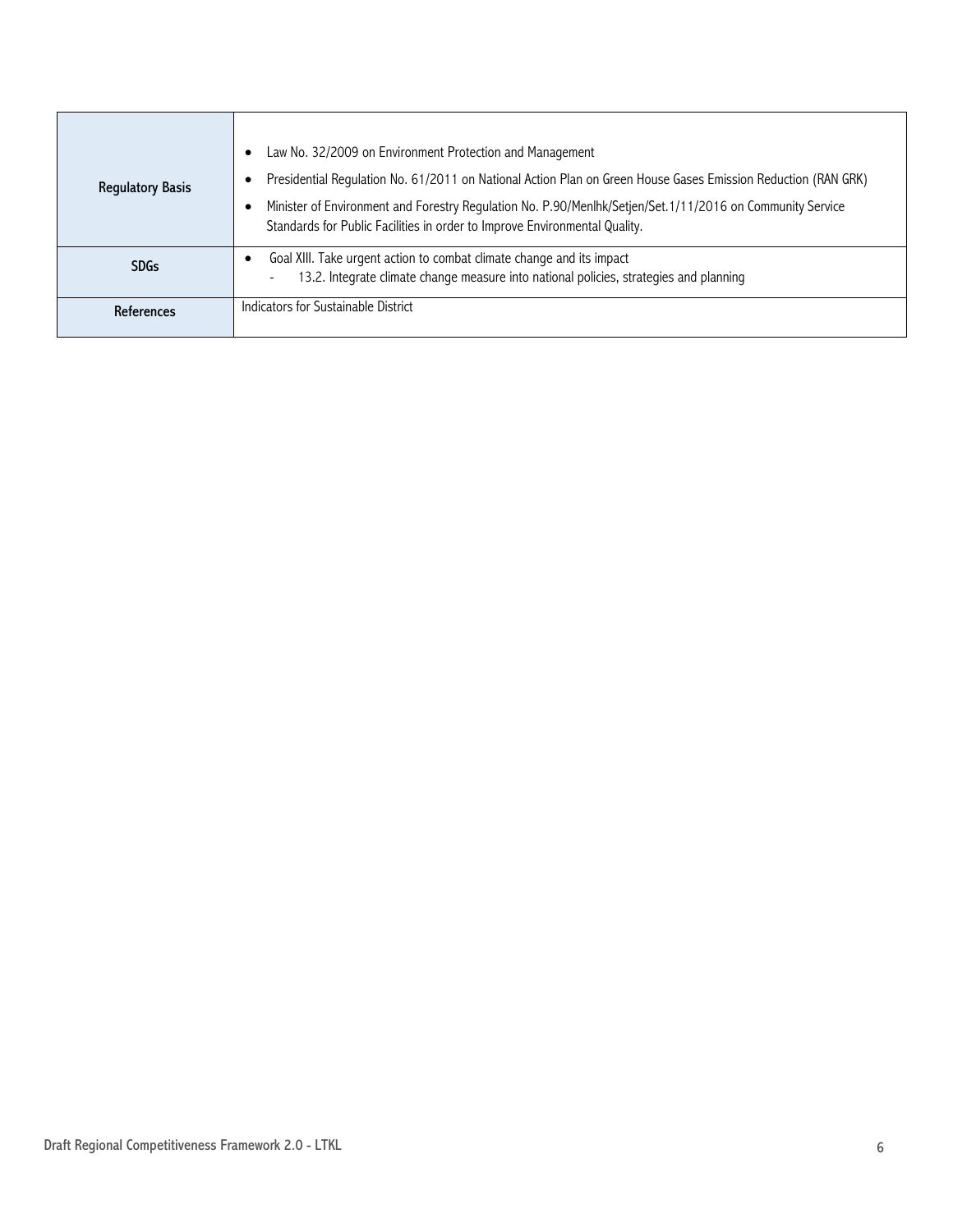| <b>Regulatory Basis</b> | Law No. 32/2009 on Environment Protection and Management<br>Presidential Regulation No. 61/2011 on National Action Plan on Green House Gases Emission Reduction (RAN GRK)<br>Minister of Environment and Forestry Regulation No. P.90/Menlhk/Setjen/Set.1/11/2016 on Community Service<br>Standards for Public Facilities in order to Improve Environmental Quality. |
|-------------------------|----------------------------------------------------------------------------------------------------------------------------------------------------------------------------------------------------------------------------------------------------------------------------------------------------------------------------------------------------------------------|
| <b>SDGs</b>             | Goal XIII. Take urgent action to combat climate change and its impact<br>13.2. Integrate climate change measure into national policies, strategies and planning                                                                                                                                                                                                      |
| References              | Indicators for Sustainable District                                                                                                                                                                                                                                                                                                                                  |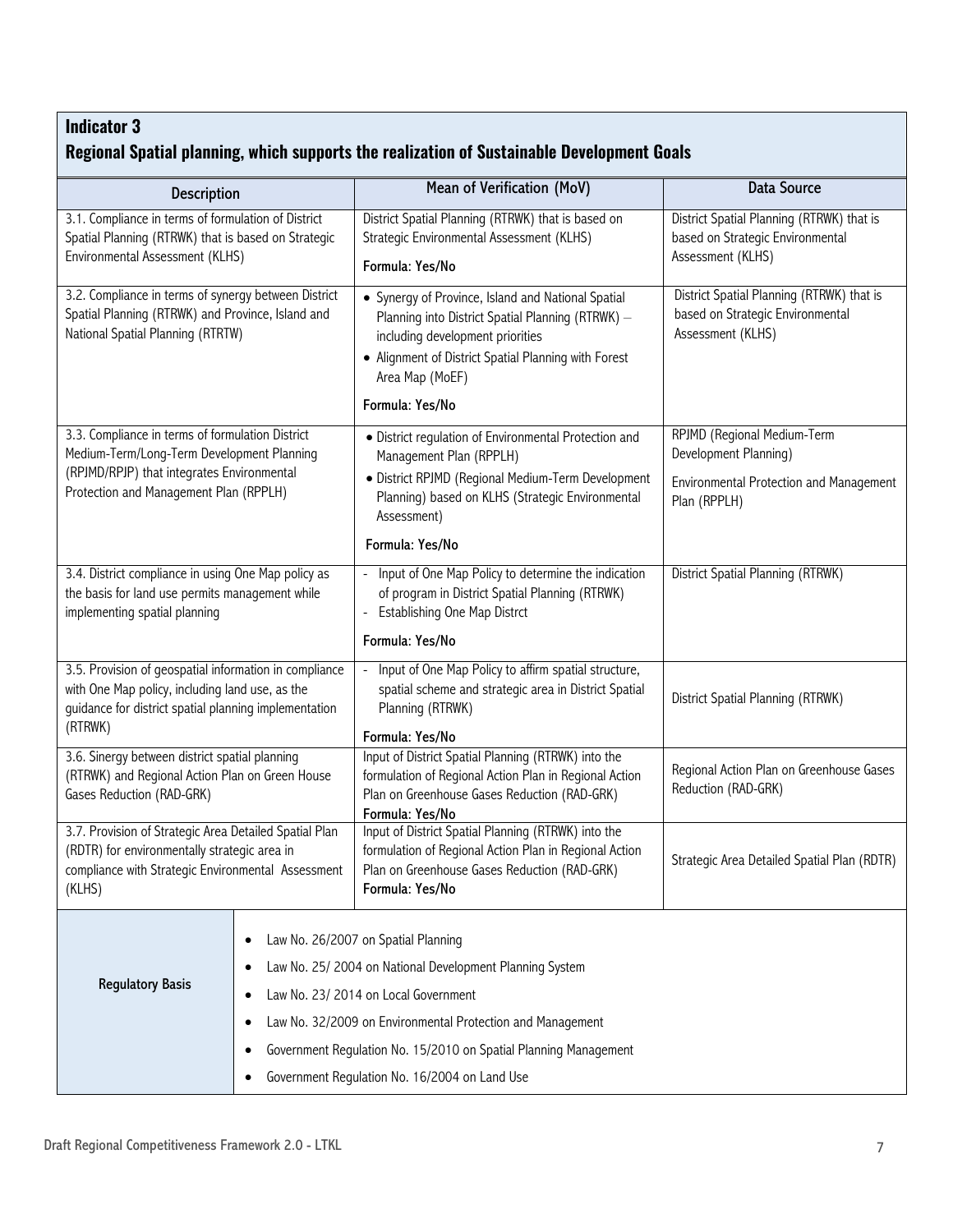### **Regional Spatial planning, which supports the realization of Sustainable Development Goals**

| <b>Description</b>                                                                                                                                                            | Mean of Verification (MoV)                                                                                                                                                                                                                                                                                                | <b>Data Source</b>                                                                                 |
|-------------------------------------------------------------------------------------------------------------------------------------------------------------------------------|---------------------------------------------------------------------------------------------------------------------------------------------------------------------------------------------------------------------------------------------------------------------------------------------------------------------------|----------------------------------------------------------------------------------------------------|
| 3.1. Compliance in terms of formulation of District<br>Spatial Planning (RTRWK) that is based on Strategic<br>Environmental Assessment (KLHS)                                 | District Spatial Planning (RTRWK) that is based on<br>Strategic Environmental Assessment (KLHS)<br>Formula: Yes/No                                                                                                                                                                                                        | District Spatial Planning (RTRWK) that is<br>based on Strategic Environmental<br>Assessment (KLHS) |
| 3.2. Compliance in terms of synergy between District<br>Spatial Planning (RTRWK) and Province, Island and<br>National Spatial Planning (RTRTW)                                | • Synergy of Province, Island and National Spatial<br>Planning into District Spatial Planning (RTRWK) -<br>including development priorities<br>• Alignment of District Spatial Planning with Forest<br>Area Map (MoEF)                                                                                                    | District Spatial Planning (RTRWK) that is<br>based on Strategic Environmental<br>Assessment (KLHS) |
|                                                                                                                                                                               | Formula: Yes/No                                                                                                                                                                                                                                                                                                           |                                                                                                    |
| 3.3. Compliance in terms of formulation District<br>Medium-Term/Long-Term Development Planning                                                                                | • District regulation of Environmental Protection and<br>Management Plan (RPPLH)                                                                                                                                                                                                                                          | RPJMD (Regional Medium-Term<br>Development Planning)                                               |
| (RPJMD/RPJP) that integrates Environmental<br>Protection and Management Plan (RPPLH)                                                                                          | · District RPJMD (Regional Medium-Term Development<br>Planning) based on KLHS (Strategic Environmental<br>Assessment)                                                                                                                                                                                                     | Environmental Protection and Management<br>Plan (RPPLH)                                            |
|                                                                                                                                                                               | Formula: Yes/No                                                                                                                                                                                                                                                                                                           |                                                                                                    |
| 3.4. District compliance in using One Map policy as<br>the basis for land use permits management while<br>implementing spatial planning                                       | Input of One Map Policy to determine the indication<br>of program in District Spatial Planning (RTRWK)<br>Establishing One Map Distrct                                                                                                                                                                                    | District Spatial Planning (RTRWK)                                                                  |
|                                                                                                                                                                               | Formula: Yes/No                                                                                                                                                                                                                                                                                                           |                                                                                                    |
| 3.5. Provision of geospatial information in compliance<br>with One Map policy, including land use, as the<br>guidance for district spatial planning implementation<br>(RTRWK) | Input of One Map Policy to affirm spatial structure,<br>$\blacksquare$<br>spatial scheme and strategic area in District Spatial<br>Planning (RTRWK)                                                                                                                                                                       | District Spatial Planning (RTRWK)                                                                  |
| 3.6. Sinergy between district spatial planning                                                                                                                                | Formula: Yes/No<br>Input of District Spatial Planning (RTRWK) into the                                                                                                                                                                                                                                                    |                                                                                                    |
| (RTRWK) and Regional Action Plan on Green House<br>Gases Reduction (RAD-GRK)                                                                                                  | formulation of Regional Action Plan in Regional Action<br>Plan on Greenhouse Gases Reduction (RAD-GRK)<br>Formula: Yes/No                                                                                                                                                                                                 | Regional Action Plan on Greenhouse Gases<br>Reduction (RAD-GRK)                                    |
| 3.7. Provision of Strategic Area Detailed Spatial Plan<br>(RDTR) for environmentally strategic area in<br>compliance with Strategic Environmental Assessment<br>(KLHS)        | Input of District Spatial Planning (RTRWK) into the<br>formulation of Regional Action Plan in Regional Action<br>Plan on Greenhouse Gases Reduction (RAD-GRK)<br>Formula: Yes/No                                                                                                                                          | Strategic Area Detailed Spatial Plan (RDTR)                                                        |
| ٠<br><b>Regulatory Basis</b><br>٠<br>٠                                                                                                                                        | Law No. 26/2007 on Spatial Planning<br>Law No. 25/ 2004 on National Development Planning System<br>Law No. 23/2014 on Local Government<br>Law No. 32/2009 on Environmental Protection and Management<br>Government Regulation No. 15/2010 on Spatial Planning Management<br>Government Regulation No. 16/2004 on Land Use |                                                                                                    |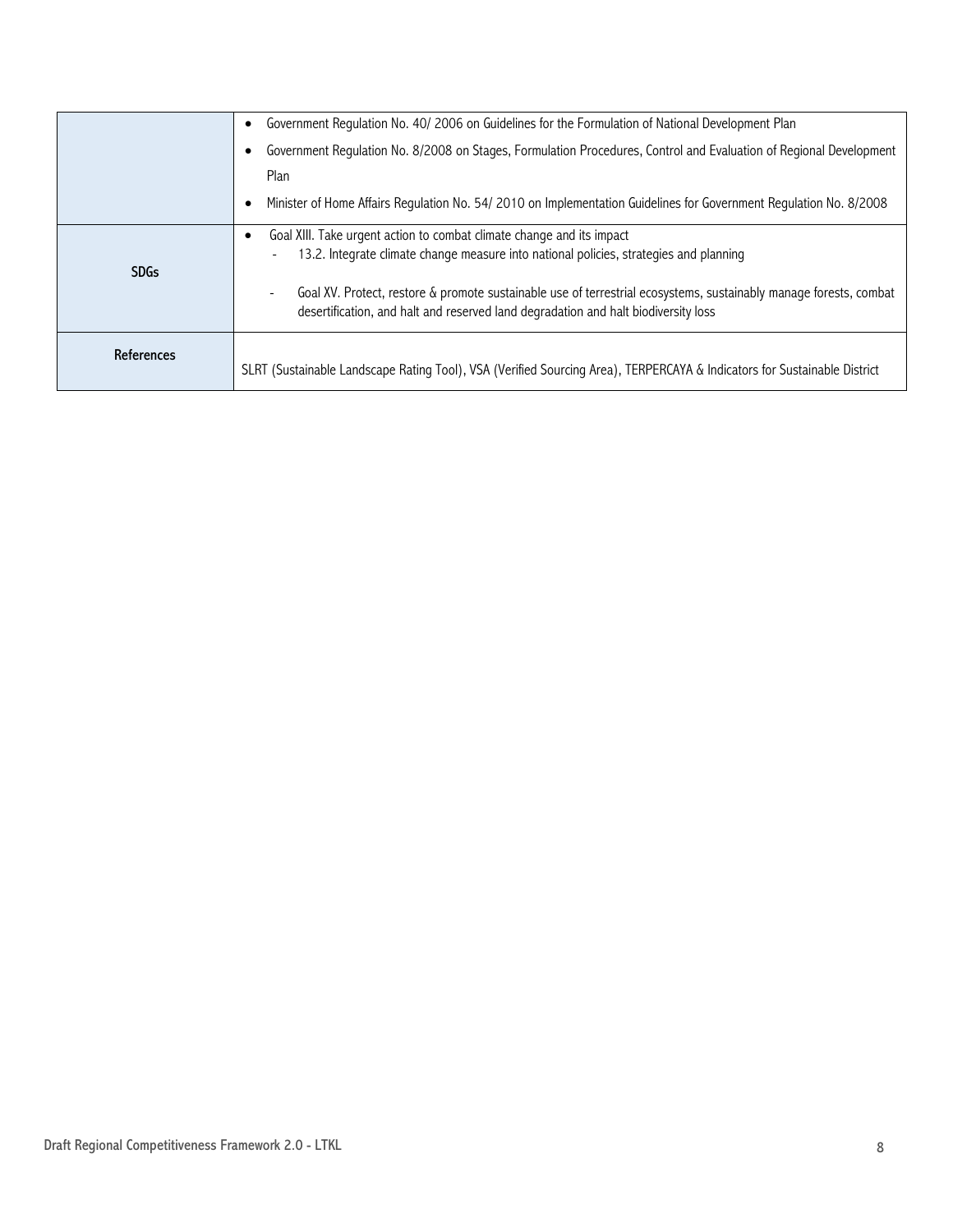|             | Government Regulation No. 40/2006 on Guidelines for the Formulation of National Development Plan                                                                                                        |  |  |  |
|-------------|---------------------------------------------------------------------------------------------------------------------------------------------------------------------------------------------------------|--|--|--|
|             | Government Regulation No. 8/2008 on Stages, Formulation Procedures, Control and Evaluation of Regional Development<br>Plan                                                                              |  |  |  |
|             |                                                                                                                                                                                                         |  |  |  |
|             | Minister of Home Affairs Regulation No. 54/2010 on Implementation Guidelines for Government Regulation No. 8/2008                                                                                       |  |  |  |
|             | Goal XIII. Take urgent action to combat climate change and its impact                                                                                                                                   |  |  |  |
| <b>SDGs</b> | 13.2. Integrate climate change measure into national policies, strategies and planning<br>۰                                                                                                             |  |  |  |
|             | Goal XV. Protect, restore & promote sustainable use of terrestrial ecosystems, sustainably manage forests, combat<br>desertification, and halt and reserved land degradation and halt biodiversity loss |  |  |  |
| References  |                                                                                                                                                                                                         |  |  |  |
|             | SLRT (Sustainable Landscape Rating Tool), VSA (Verified Sourcing Area), TERPERCAYA & Indicators for Sustainable District                                                                                |  |  |  |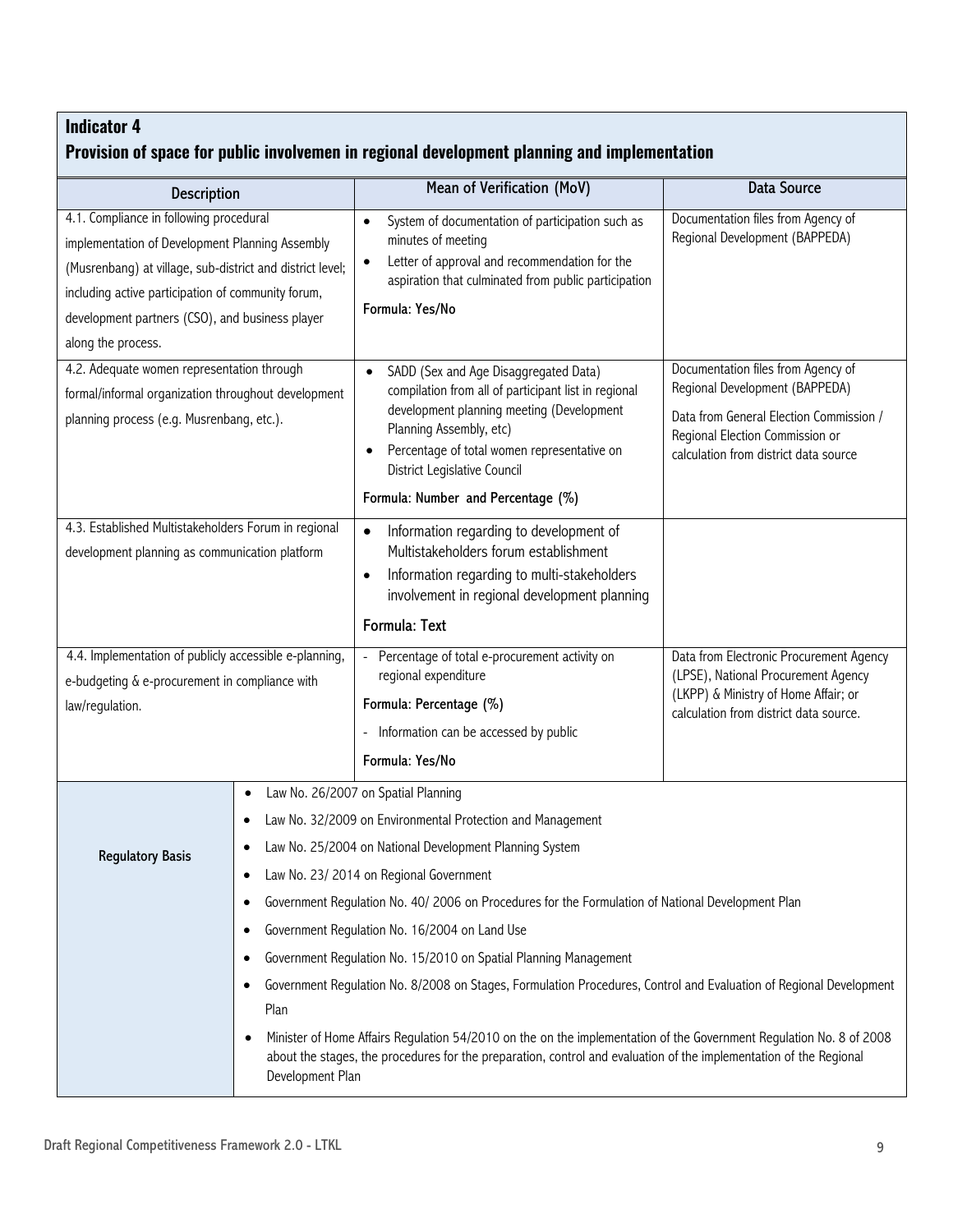### **Provision of space for public involvemen in regional development planning and implementation**

|                                                                                                                                                                                                                                                                                        |                                                                           |                                                                                                                                                                                                                                                                                                                                                                                                                                                                                                                                                                                                                                                                                                                                                                                                     | <b>Data Source</b>                                                                                                                                                                          |
|----------------------------------------------------------------------------------------------------------------------------------------------------------------------------------------------------------------------------------------------------------------------------------------|---------------------------------------------------------------------------|-----------------------------------------------------------------------------------------------------------------------------------------------------------------------------------------------------------------------------------------------------------------------------------------------------------------------------------------------------------------------------------------------------------------------------------------------------------------------------------------------------------------------------------------------------------------------------------------------------------------------------------------------------------------------------------------------------------------------------------------------------------------------------------------------------|---------------------------------------------------------------------------------------------------------------------------------------------------------------------------------------------|
| <b>Description</b>                                                                                                                                                                                                                                                                     |                                                                           | Mean of Verification (MoV)                                                                                                                                                                                                                                                                                                                                                                                                                                                                                                                                                                                                                                                                                                                                                                          |                                                                                                                                                                                             |
| 4.1. Compliance in following procedural<br>implementation of Development Planning Assembly<br>(Musrenbang) at village, sub-district and district level;<br>including active participation of community forum,<br>development partners (CSO), and business player<br>along the process. |                                                                           | System of documentation of participation such as<br>$\bullet$<br>minutes of meeting<br>Letter of approval and recommendation for the<br>aspiration that culminated from public participation<br>Formula: Yes/No                                                                                                                                                                                                                                                                                                                                                                                                                                                                                                                                                                                     | Documentation files from Agency of<br>Regional Development (BAPPEDA)                                                                                                                        |
| 4.2. Adequate women representation through<br>formal/informal organization throughout development<br>planning process (e.g. Musrenbang, etc.).                                                                                                                                         |                                                                           | SADD (Sex and Age Disaggregated Data)<br>$\bullet$<br>compilation from all of participant list in regional<br>development planning meeting (Development<br>Planning Assembly, etc)<br>Percentage of total women representative on<br>District Legislative Council<br>Formula: Number and Percentage (%)                                                                                                                                                                                                                                                                                                                                                                                                                                                                                             | Documentation files from Agency of<br>Regional Development (BAPPEDA)<br>Data from General Election Commission /<br>Regional Election Commission or<br>calculation from district data source |
| 4.3. Established Multistakeholders Forum in regional<br>development planning as communication platform                                                                                                                                                                                 |                                                                           | Information regarding to development of<br>$\bullet$<br>Multistakeholders forum establishment<br>Information regarding to multi-stakeholders<br>involvement in regional development planning<br><b>Formula: Text</b>                                                                                                                                                                                                                                                                                                                                                                                                                                                                                                                                                                                |                                                                                                                                                                                             |
| 4.4. Implementation of publicly accessible e-planning,<br>e-budgeting & e-procurement in compliance with<br>law/regulation.                                                                                                                                                            |                                                                           | - Percentage of total e-procurement activity on<br>regional expenditure<br>Formula: Percentage (%)<br>Information can be accessed by public<br>Formula: Yes/No                                                                                                                                                                                                                                                                                                                                                                                                                                                                                                                                                                                                                                      | Data from Electronic Procurement Agency<br>(LPSE), National Procurement Agency<br>(LKPP) & Ministry of Home Affair; or<br>calculation from district data source.                            |
| <b>Regulatory Basis</b>                                                                                                                                                                                                                                                                | ٠<br>٠<br>$\bullet$<br>$\bullet$<br>$\bullet$<br>Plan<br>Development Plan | Law No. 26/2007 on Spatial Planning<br>Law No. 32/2009 on Environmental Protection and Management<br>Law No. 25/2004 on National Development Planning System<br>Law No. 23/ 2014 on Regional Government<br>Government Regulation No. 40/2006 on Procedures for the Formulation of National Development Plan<br>Government Regulation No. 16/2004 on Land Use<br>Government Regulation No. 15/2010 on Spatial Planning Management<br>Government Regulation No. 8/2008 on Stages, Formulation Procedures, Control and Evaluation of Regional Development<br>Minister of Home Affairs Regulation 54/2010 on the on the implementation of the Government Regulation No. 8 of 2008<br>about the stages, the procedures for the preparation, control and evaluation of the implementation of the Regional |                                                                                                                                                                                             |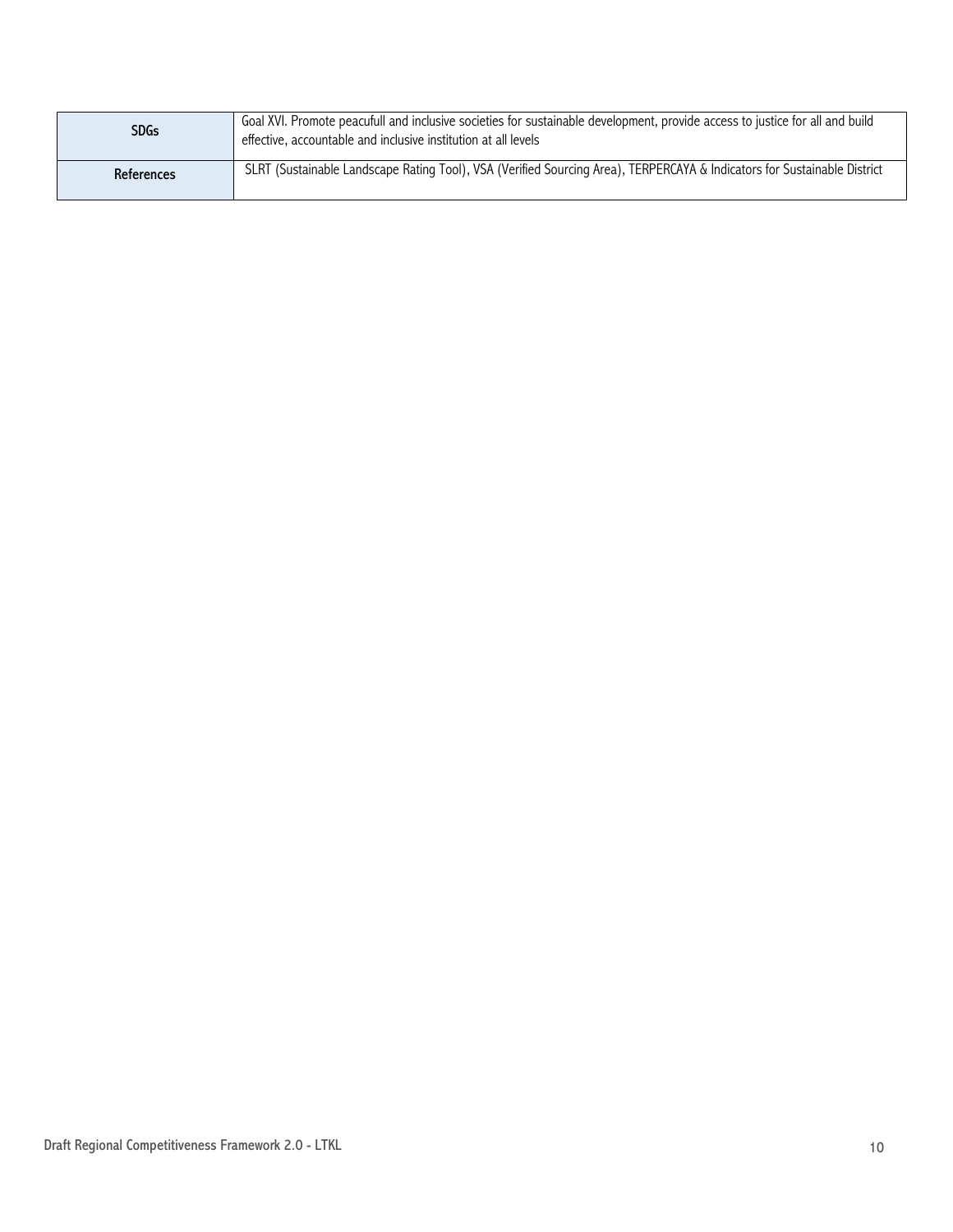| <b>SDGs</b> | Goal XVI. Promote peacufull and inclusive societies for sustainable development, provide access to justice for all and build<br>effective, accountable and inclusive institution at all levels |
|-------------|------------------------------------------------------------------------------------------------------------------------------------------------------------------------------------------------|
| References  | SLRT (Sustainable Landscape Rating Tool), VSA (Verified Sourcing Area), TERPERCAYA & Indicators for Sustainable District                                                                       |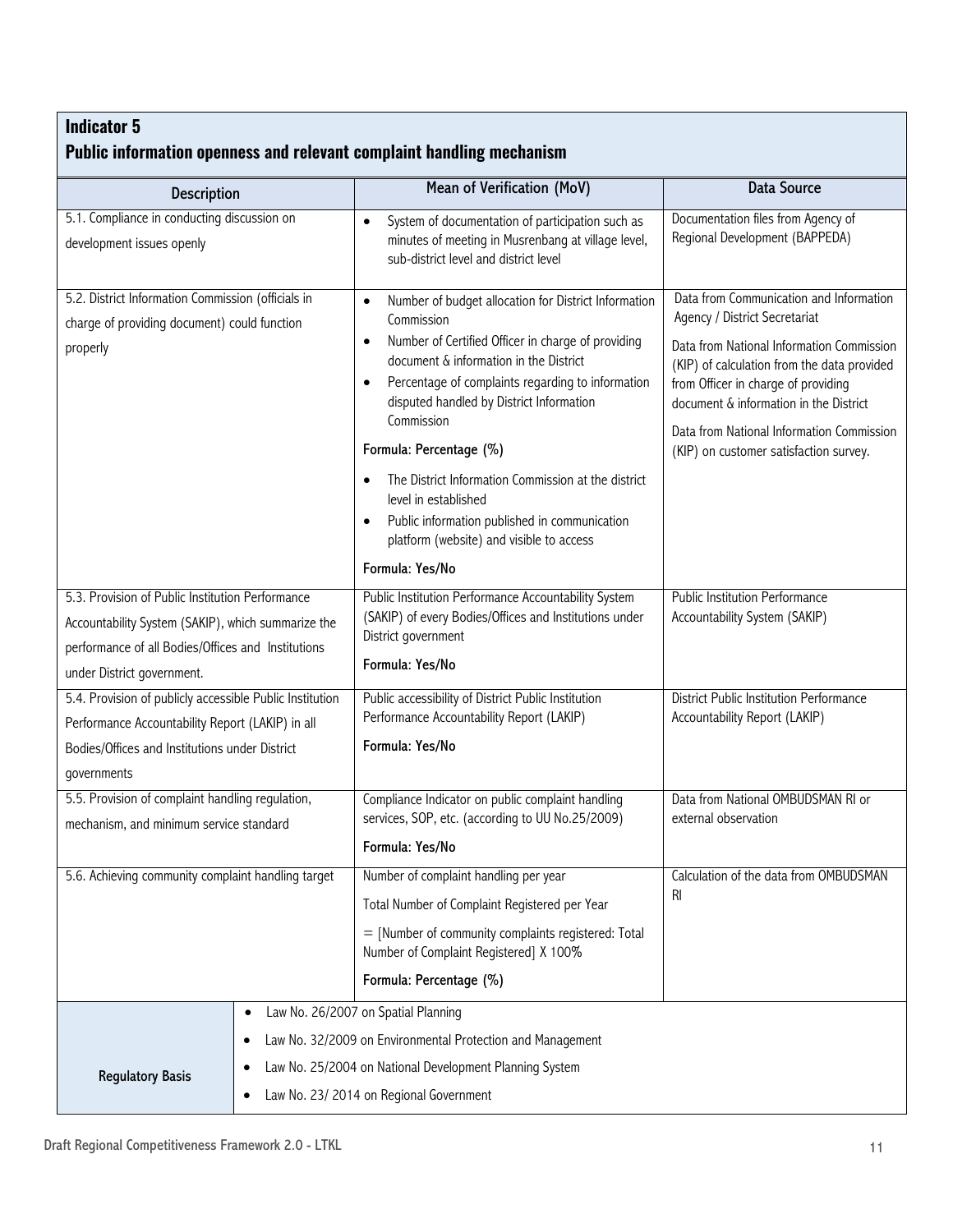| <b>Description</b>                                                                                                                                                                         |           | Mean of Verification (MoV)                                                                                                                                                                                              | <b>Data Source</b>                                                                                                                                                        |
|--------------------------------------------------------------------------------------------------------------------------------------------------------------------------------------------|-----------|-------------------------------------------------------------------------------------------------------------------------------------------------------------------------------------------------------------------------|---------------------------------------------------------------------------------------------------------------------------------------------------------------------------|
| 5.1. Compliance in conducting discussion on<br>development issues openly                                                                                                                   |           | System of documentation of participation such as<br>$\bullet$<br>minutes of meeting in Musrenbang at village level,<br>sub-district level and district level                                                            | Documentation files from Agency of<br>Regional Development (BAPPEDA)                                                                                                      |
| 5.2. District Information Commission (officials in                                                                                                                                         |           | Number of budget allocation for District Information<br>$\bullet$<br>Commission                                                                                                                                         | Data from Communication and Information<br>Agency / District Secretariat                                                                                                  |
| charge of providing document) could function<br>properly                                                                                                                                   |           | Number of Certified Officer in charge of providing<br>$\bullet$<br>document & information in the District<br>Percentage of complaints regarding to information<br>$\bullet$<br>disputed handled by District Information | Data from National Information Commission<br>(KIP) of calculation from the data provided<br>from Officer in charge of providing<br>document & information in the District |
|                                                                                                                                                                                            |           | Commission<br>Formula: Percentage (%)                                                                                                                                                                                   | Data from National Information Commission<br>(KIP) on customer satisfaction survey.                                                                                       |
|                                                                                                                                                                                            |           | The District Information Commission at the district<br>$\bullet$<br>level in established<br>Public information published in communication<br>$\bullet$<br>platform (website) and visible to access                      |                                                                                                                                                                           |
|                                                                                                                                                                                            |           | Formula: Yes/No                                                                                                                                                                                                         |                                                                                                                                                                           |
| 5.3. Provision of Public Institution Performance<br>Accountability System (SAKIP), which summarize the<br>performance of all Bodies/Offices and Institutions<br>under District government. |           | Public Institution Performance Accountability System<br>(SAKIP) of every Bodies/Offices and Institutions under<br>District government<br>Formula: Yes/No                                                                | Public Institution Performance<br>Accountability System (SAKIP)                                                                                                           |
| 5.4. Provision of publicly accessible Public Institution                                                                                                                                   |           | Public accessibility of District Public Institution                                                                                                                                                                     | District Public Institution Performance                                                                                                                                   |
| Performance Accountability Report (LAKIP) in all                                                                                                                                           |           | Performance Accountability Report (LAKIP)                                                                                                                                                                               | Accountability Report (LAKIP)                                                                                                                                             |
| Bodies/Offices and Institutions under District<br>governments                                                                                                                              |           | Formula: Yes/No                                                                                                                                                                                                         |                                                                                                                                                                           |
| 5.5. Provision of complaint handling regulation,<br>mechanism, and minimum service standard                                                                                                |           | Compliance Indicator on public complaint handling<br>services, SOP, etc. (according to UU No.25/2009)                                                                                                                   | Data from National OMBUDSMAN RI or<br>external observation                                                                                                                |
|                                                                                                                                                                                            |           | Formula: Yes/No                                                                                                                                                                                                         |                                                                                                                                                                           |
| 5.6. Achieving community complaint handling target                                                                                                                                         |           | Number of complaint handling per year                                                                                                                                                                                   | Calculation of the data from OMBUDSMAN                                                                                                                                    |
|                                                                                                                                                                                            |           | Total Number of Complaint Registered per Year                                                                                                                                                                           | <b>RI</b>                                                                                                                                                                 |
|                                                                                                                                                                                            |           | = [Number of community complaints registered: Total<br>Number of Complaint Registered] X 100%                                                                                                                           |                                                                                                                                                                           |
|                                                                                                                                                                                            |           | Formula: Percentage (%)                                                                                                                                                                                                 |                                                                                                                                                                           |
|                                                                                                                                                                                            | $\bullet$ | Law No. 26/2007 on Spatial Planning                                                                                                                                                                                     |                                                                                                                                                                           |
|                                                                                                                                                                                            |           | Law No. 32/2009 on Environmental Protection and Management                                                                                                                                                              |                                                                                                                                                                           |
| <b>Regulatory Basis</b>                                                                                                                                                                    | ٠         | Law No. 25/2004 on National Development Planning System                                                                                                                                                                 |                                                                                                                                                                           |
| Law No. 23/ 2014 on Regional Government                                                                                                                                                    |           |                                                                                                                                                                                                                         |                                                                                                                                                                           |
|                                                                                                                                                                                            |           |                                                                                                                                                                                                                         |                                                                                                                                                                           |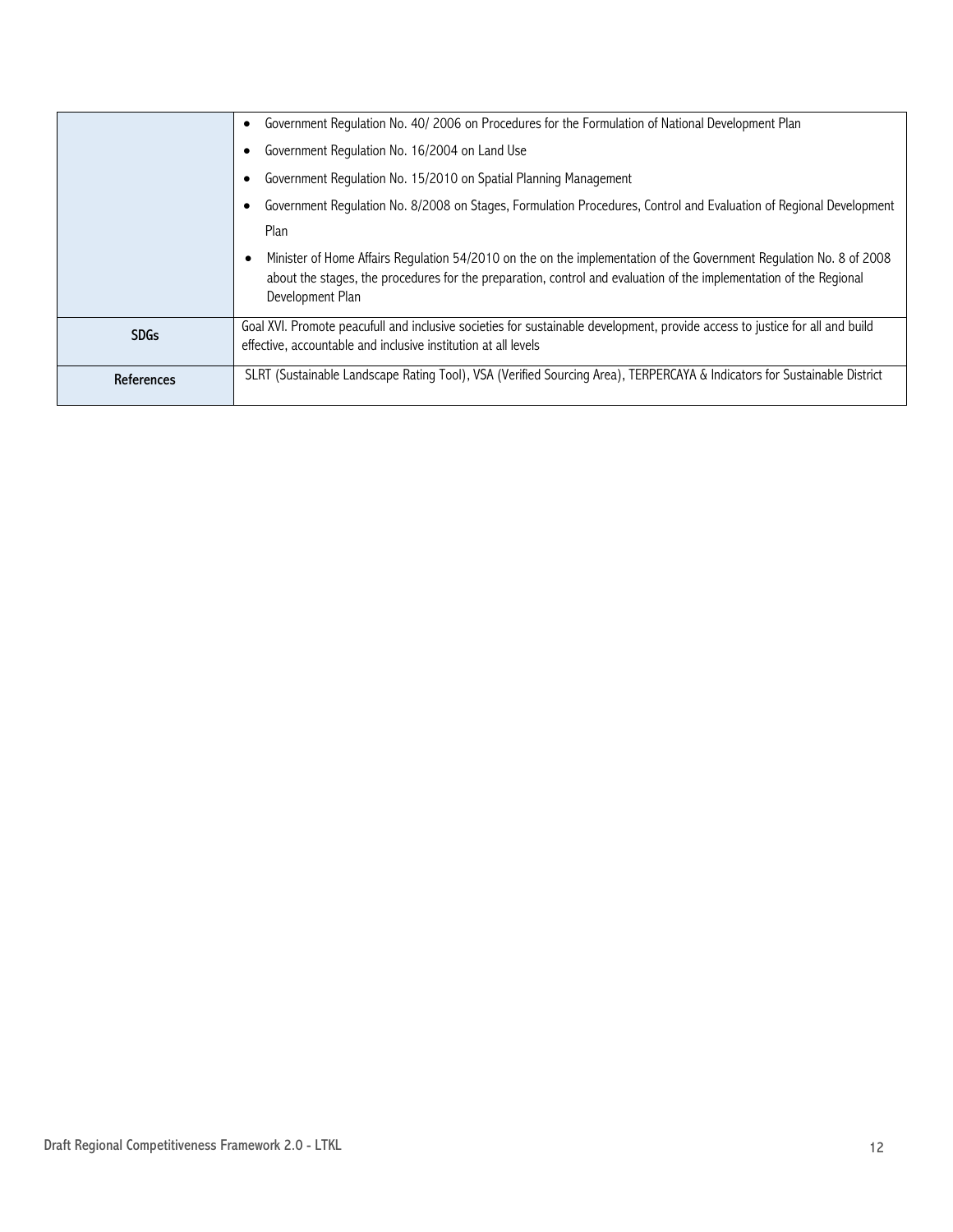|             | Government Requlation No. 40/2006 on Procedures for the Formulation of National Development Plan                                                                                                                                                              |  |  |
|-------------|---------------------------------------------------------------------------------------------------------------------------------------------------------------------------------------------------------------------------------------------------------------|--|--|
|             | Government Regulation No. 16/2004 on Land Use                                                                                                                                                                                                                 |  |  |
|             | Government Regulation No. 15/2010 on Spatial Planning Management                                                                                                                                                                                              |  |  |
|             | Government Regulation No. 8/2008 on Stages, Formulation Procedures, Control and Evaluation of Regional Development                                                                                                                                            |  |  |
|             | Plan                                                                                                                                                                                                                                                          |  |  |
|             | Minister of Home Affairs Regulation 54/2010 on the on the implementation of the Government Regulation No. 8 of 2008<br>about the stages, the procedures for the preparation, control and evaluation of the implementation of the Regional<br>Development Plan |  |  |
| <b>SDGs</b> | Goal XVI. Promote peacufull and inclusive societies for sustainable development, provide access to justice for all and build<br>effective, accountable and inclusive institution at all levels                                                                |  |  |
| References  | SLRT (Sustainable Landscape Rating Tool), VSA (Verified Sourcing Area), TERPERCAYA & Indicators for Sustainable District                                                                                                                                      |  |  |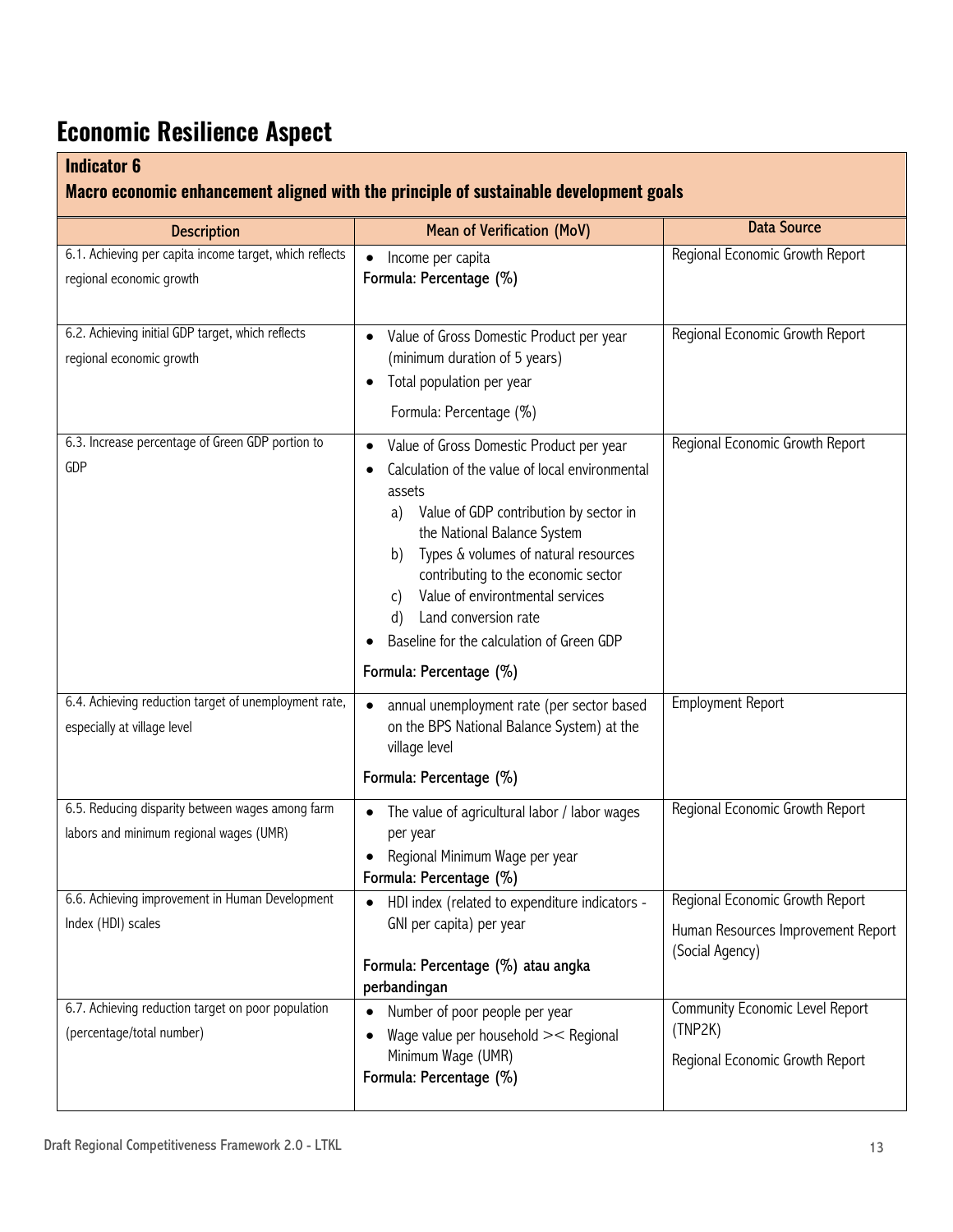## **Economic Resilience Aspect**

#### **Indicator 6**

#### **Macro economic enhancement aligned with the principle of sustainable development goals**

| <b>Description</b>                                                                          | <b>Mean of Verification (MoV)</b>                                                                                                                                                                                                                                                                                                                                                                                         | <b>Data Source</b>                                                                       |  |  |
|---------------------------------------------------------------------------------------------|---------------------------------------------------------------------------------------------------------------------------------------------------------------------------------------------------------------------------------------------------------------------------------------------------------------------------------------------------------------------------------------------------------------------------|------------------------------------------------------------------------------------------|--|--|
| 6.1. Achieving per capita income target, which reflects<br>regional economic growth         | Income per capita<br>$\bullet$<br>Formula: Percentage (%)                                                                                                                                                                                                                                                                                                                                                                 | Regional Economic Growth Report                                                          |  |  |
| 6.2. Achieving initial GDP target, which reflects<br>regional economic growth               | Value of Gross Domestic Product per year<br>(minimum duration of 5 years)<br>Total population per year<br>$\bullet$<br>Formula: Percentage (%)                                                                                                                                                                                                                                                                            | Regional Economic Growth Report                                                          |  |  |
| 6.3. Increase percentage of Green GDP portion to<br><b>GDP</b>                              | Value of Gross Domestic Product per year<br>Calculation of the value of local environmental<br>assets<br>Value of GDP contribution by sector in<br>a)<br>the National Balance System<br>Types & volumes of natural resources<br>b)<br>contributing to the economic sector<br>Value of environtmental services<br>C)<br>Land conversion rate<br>d)<br>Baseline for the calculation of Green GDP<br>Formula: Percentage (%) | Regional Economic Growth Report                                                          |  |  |
| 6.4. Achieving reduction target of unemployment rate,<br>especially at village level        | annual unemployment rate (per sector based<br>on the BPS National Balance System) at the<br>village level<br>Formula: Percentage (%)                                                                                                                                                                                                                                                                                      | <b>Employment Report</b>                                                                 |  |  |
| 6.5. Reducing disparity between wages among farm<br>labors and minimum regional wages (UMR) | The value of agricultural labor / labor wages<br>per year<br>Regional Minimum Wage per year<br>Formula: Percentage (%)                                                                                                                                                                                                                                                                                                    | Regional Economic Growth Report                                                          |  |  |
| 6.6. Achieving improvement in Human Development<br>Index (HDI) scales                       | HDI index (related to expenditure indicators -<br>GNI per capita) per year<br>Formula: Percentage (%) atau angka<br>perbandingan                                                                                                                                                                                                                                                                                          | Regional Economic Growth Report<br>Human Resources Improvement Report<br>(Social Agency) |  |  |
| 6.7. Achieving reduction target on poor population<br>(percentage/total number)             | Number of poor people per year<br>Wage value per household >< Regional<br>$\bullet$<br>Minimum Wage (UMR)<br>Formula: Percentage (%)                                                                                                                                                                                                                                                                                      | Community Economic Level Report<br>(TNP2K)<br>Regional Economic Growth Report            |  |  |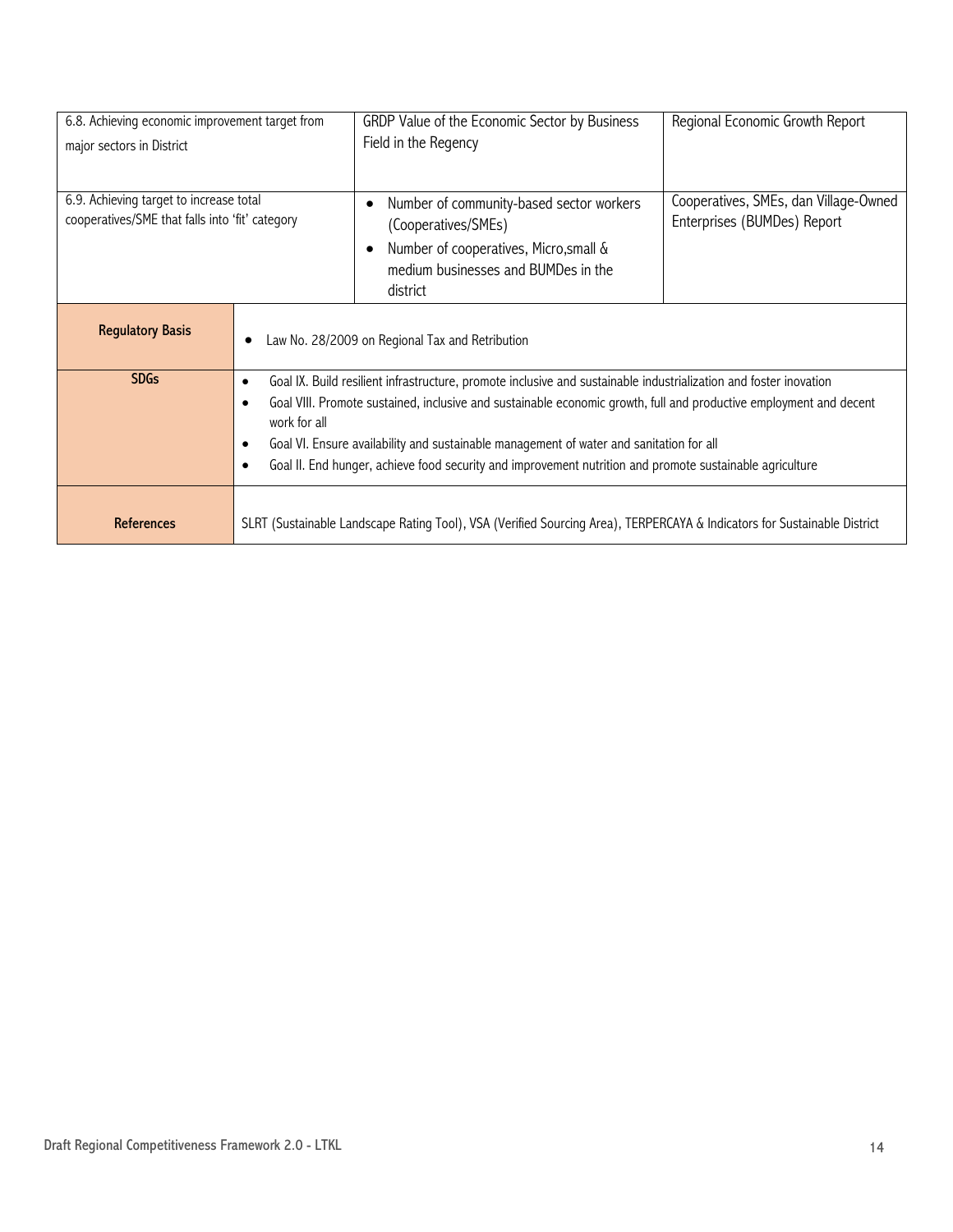| 6.8. Achieving economic improvement target from |                                                                                                                                | GRDP Value of the Economic Sector by Business | Regional Economic Growth Report       |
|-------------------------------------------------|--------------------------------------------------------------------------------------------------------------------------------|-----------------------------------------------|---------------------------------------|
| major sectors in District                       |                                                                                                                                | Field in the Regency                          |                                       |
|                                                 |                                                                                                                                |                                               |                                       |
| 6.9. Achieving target to increase total         |                                                                                                                                | Number of community-based sector workers<br>٠ | Cooperatives, SMEs, dan Village-Owned |
| cooperatives/SME that falls into 'fit' category |                                                                                                                                | (Cooperatives/SMEs)                           | Enterprises (BUMDes) Report           |
|                                                 |                                                                                                                                | Number of cooperatives, Micro, small &<br>٠   |                                       |
|                                                 |                                                                                                                                | medium businesses and BUMDes in the           |                                       |
|                                                 |                                                                                                                                | district                                      |                                       |
|                                                 |                                                                                                                                |                                               |                                       |
| <b>Regulatory Basis</b>                         | Law No. 28/2009 on Regional Tax and Retribution                                                                                |                                               |                                       |
|                                                 |                                                                                                                                |                                               |                                       |
| <b>SDGs</b>                                     | Goal IX. Build resilient infrastructure, promote inclusive and sustainable industrialization and foster inovation<br>$\bullet$ |                                               |                                       |
|                                                 | Goal VIII. Promote sustained, inclusive and sustainable economic growth, full and productive employment and decent             |                                               |                                       |
|                                                 | work for all                                                                                                                   |                                               |                                       |
|                                                 | Goal VI. Ensure availability and sustainable management of water and sanitation for all<br>$\bullet$                           |                                               |                                       |
|                                                 | Goal II. End hunger, achieve food security and improvement nutrition and promote sustainable agriculture                       |                                               |                                       |
|                                                 |                                                                                                                                |                                               |                                       |
| <b>References</b>                               | SLRT (Sustainable Landscape Rating Tool), VSA (Verified Sourcing Area), TERPERCAYA & Indicators for Sustainable District       |                                               |                                       |
|                                                 |                                                                                                                                |                                               |                                       |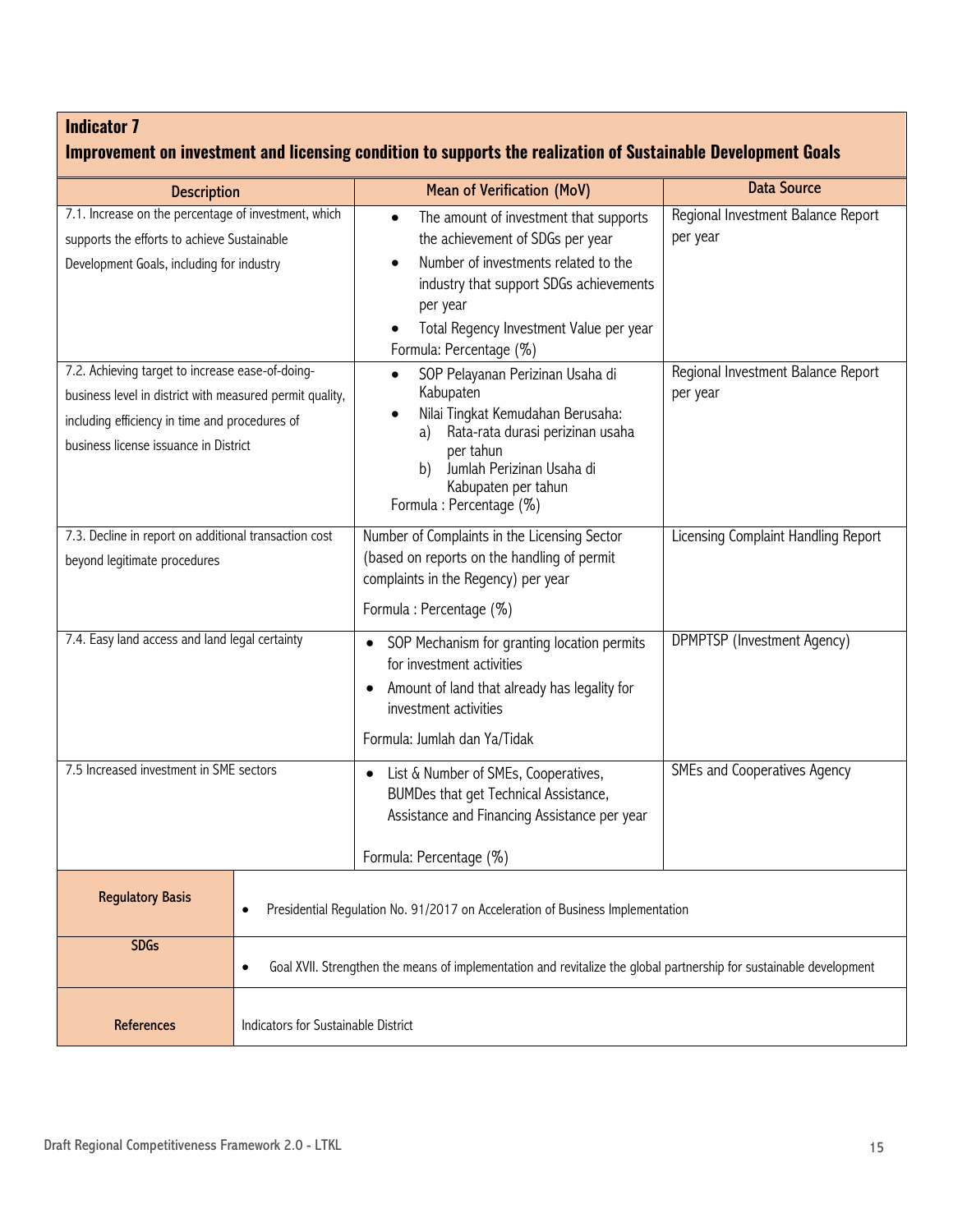| Improvement on investment and licensing condition to supports the realization of Sustainable Development Goals                                                                                                                                                                                                                           |                                                                                                                                  |                                                                                                                                                                                                                                                                                                                                                                                              |                                                                                                  |
|------------------------------------------------------------------------------------------------------------------------------------------------------------------------------------------------------------------------------------------------------------------------------------------------------------------------------------------|----------------------------------------------------------------------------------------------------------------------------------|----------------------------------------------------------------------------------------------------------------------------------------------------------------------------------------------------------------------------------------------------------------------------------------------------------------------------------------------------------------------------------------------|--------------------------------------------------------------------------------------------------|
|                                                                                                                                                                                                                                                                                                                                          |                                                                                                                                  | <b>Mean of Verification (MoV)</b>                                                                                                                                                                                                                                                                                                                                                            | <b>Data Source</b>                                                                               |
| <b>Description</b><br>7.1. Increase on the percentage of investment, which<br>supports the efforts to achieve Sustainable<br>Development Goals, including for industry<br>7.2. Achieving target to increase ease-of-doing-<br>business level in district with measured permit quality,<br>including efficiency in time and procedures of |                                                                                                                                  | The amount of investment that supports<br>the achievement of SDGs per year<br>Number of investments related to the<br>industry that support SDGs achievements<br>per year<br>Total Regency Investment Value per year<br>Formula: Percentage (%)<br>SOP Pelayanan Perizinan Usaha di<br>$\bullet$<br>Kabupaten<br>Nilai Tingkat Kemudahan Berusaha:<br>Rata-rata durasi perizinan usaha<br>a) | Regional Investment Balance Report<br>per year<br>Regional Investment Balance Report<br>per year |
| business license issuance in District                                                                                                                                                                                                                                                                                                    |                                                                                                                                  | per tahun<br>Jumlah Perizinan Usaha di<br>b)<br>Kabupaten per tahun<br>Formula: Percentage (%)                                                                                                                                                                                                                                                                                               |                                                                                                  |
| 7.3. Decline in report on additional transaction cost<br>beyond legitimate procedures                                                                                                                                                                                                                                                    |                                                                                                                                  | Number of Complaints in the Licensing Sector<br>(based on reports on the handling of permit<br>complaints in the Regency) per year<br>Formula: Percentage (%)                                                                                                                                                                                                                                | Licensing Complaint Handling Report                                                              |
| 7.4. Easy land access and land legal certainty                                                                                                                                                                                                                                                                                           |                                                                                                                                  | SOP Mechanism for granting location permits<br>$\bullet$<br>for investment activities<br>Amount of land that already has legality for<br>investment activities<br>Formula: Jumlah dan Ya/Tidak                                                                                                                                                                                               | DPMPTSP (Investment Agency)                                                                      |
| 7.5 Increased investment in SME sectors                                                                                                                                                                                                                                                                                                  |                                                                                                                                  | List & Number of SMEs, Cooperatives,<br>$\bullet$<br>BUMDes that get Technical Assistance,<br>Assistance and Financing Assistance per year<br>Formula: Percentage (%)                                                                                                                                                                                                                        | SMEs and Cooperatives Agency                                                                     |
| <b>Regulatory Basis</b>                                                                                                                                                                                                                                                                                                                  | Presidential Regulation No. 91/2017 on Acceleration of Business Implementation<br>٠                                              |                                                                                                                                                                                                                                                                                                                                                                                              |                                                                                                  |
| <b>SDGs</b>                                                                                                                                                                                                                                                                                                                              | Goal XVII. Strengthen the means of implementation and revitalize the global partnership for sustainable development<br>$\bullet$ |                                                                                                                                                                                                                                                                                                                                                                                              |                                                                                                  |
| References                                                                                                                                                                                                                                                                                                                               | Indicators for Sustainable District                                                                                              |                                                                                                                                                                                                                                                                                                                                                                                              |                                                                                                  |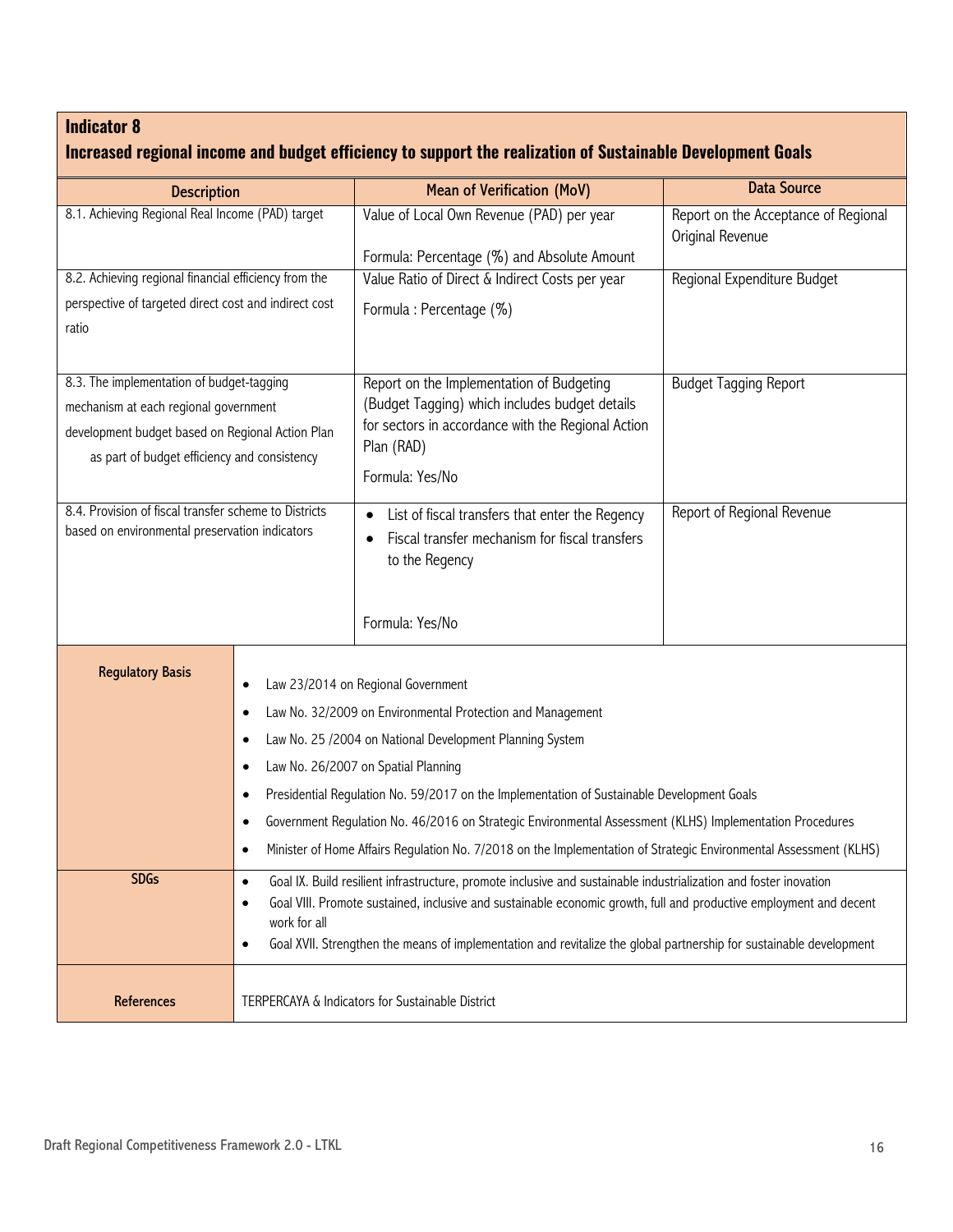| <b>Description</b>                                                                                                                                                                                          |                                                  | <b>Mean of Verification (MoV)</b>                                                                                   | <b>Data Source</b>                                       |  |
|-------------------------------------------------------------------------------------------------------------------------------------------------------------------------------------------------------------|--------------------------------------------------|---------------------------------------------------------------------------------------------------------------------|----------------------------------------------------------|--|
| 8.1. Achieving Regional Real Income (PAD) target                                                                                                                                                            |                                                  | Value of Local Own Revenue (PAD) per year<br>Formula: Percentage (%) and Absolute Amount                            | Report on the Acceptance of Regional<br>Original Revenue |  |
| 8.2. Achieving regional financial efficiency from the                                                                                                                                                       |                                                  | Value Ratio of Direct & Indirect Costs per year                                                                     | Regional Expenditure Budget                              |  |
| perspective of targeted direct cost and indirect cost                                                                                                                                                       |                                                  |                                                                                                                     |                                                          |  |
| ratio                                                                                                                                                                                                       |                                                  | Formula: Percentage (%)                                                                                             |                                                          |  |
| 8.3. The implementation of budget-tagging                                                                                                                                                                   |                                                  | Report on the Implementation of Budgeting                                                                           | <b>Budget Tagging Report</b>                             |  |
| mechanism at each regional government                                                                                                                                                                       |                                                  | (Budget Tagging) which includes budget details                                                                      |                                                          |  |
| development budget based on Regional Action Plan<br>as part of budget efficiency and consistency<br>8.4. Provision of fiscal transfer scheme to Districts<br>based on environmental preservation indicators |                                                  | for sectors in accordance with the Regional Action<br>Plan (RAD)                                                    |                                                          |  |
|                                                                                                                                                                                                             |                                                  | Formula: Yes/No                                                                                                     |                                                          |  |
|                                                                                                                                                                                                             |                                                  | List of fiscal transfers that enter the Regency<br>Fiscal transfer mechanism for fiscal transfers<br>to the Regency | Report of Regional Revenue                               |  |
|                                                                                                                                                                                                             |                                                  | Formula: Yes/No                                                                                                     |                                                          |  |
| <b>Regulatory Basis</b>                                                                                                                                                                                     |                                                  | Law 23/2014 on Regional Government                                                                                  |                                                          |  |
|                                                                                                                                                                                                             |                                                  | Law No. 32/2009 on Environmental Protection and Management                                                          |                                                          |  |
|                                                                                                                                                                                                             |                                                  | Law No. 25 /2004 on National Development Planning System                                                            |                                                          |  |
|                                                                                                                                                                                                             |                                                  | Law No. 26/2007 on Spatial Planning                                                                                 |                                                          |  |
|                                                                                                                                                                                                             |                                                  | Presidential Regulation No. 59/2017 on the Implementation of Sustainable Development Goals                          |                                                          |  |
|                                                                                                                                                                                                             |                                                  | Government Regulation No. 46/2016 on Strategic Environmental Assessment (KLHS) Implementation Procedures            |                                                          |  |
|                                                                                                                                                                                                             | $\bullet$                                        | Minister of Home Affairs Regulation No. 7/2018 on the Implementation of Strategic Environmental Assessment (KLHS)   |                                                          |  |
| <b>SDGs</b>                                                                                                                                                                                                 | $\bullet$                                        | Goal IX. Build resilient infrastructure, promote inclusive and sustainable industrialization and foster inovation   |                                                          |  |
|                                                                                                                                                                                                             | ٠                                                | Goal VIII. Promote sustained, inclusive and sustainable economic growth, full and productive employment and decent  |                                                          |  |
| work for all<br>$\bullet$                                                                                                                                                                                   |                                                  | Goal XVII. Strengthen the means of implementation and revitalize the global partnership for sustainable development |                                                          |  |
| References                                                                                                                                                                                                  | TERPERCAYA & Indicators for Sustainable District |                                                                                                                     |                                                          |  |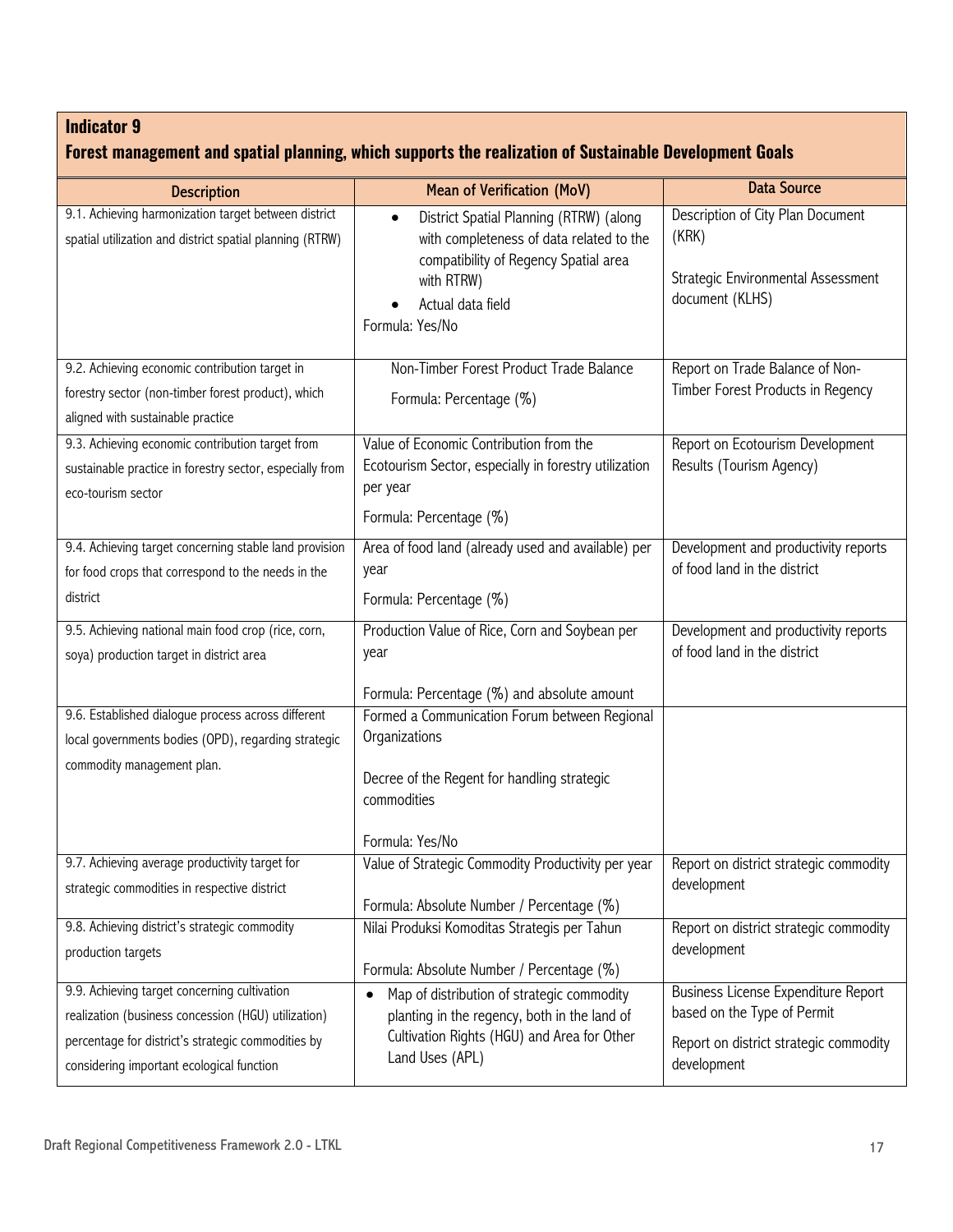|  |  |  | Forest management and spatial planning, which supports the realization of Sustainable Development Goals |  |
|--|--|--|---------------------------------------------------------------------------------------------------------|--|
|--|--|--|---------------------------------------------------------------------------------------------------------|--|

| <b>Description</b>                                       | <b>Mean of Verification (MoV)</b>                                                                       | <b>Data Source</b>                                    |
|----------------------------------------------------------|---------------------------------------------------------------------------------------------------------|-------------------------------------------------------|
| 9.1. Achieving harmonization target between district     | District Spatial Planning (RTRW) (along<br>$\bullet$                                                    | Description of City Plan Document                     |
| spatial utilization and district spatial planning (RTRW) | with completeness of data related to the                                                                | (KRK)                                                 |
|                                                          | compatibility of Regency Spatial area                                                                   |                                                       |
|                                                          | with RTRW)                                                                                              | Strategic Environmental Assessment                    |
|                                                          | Actual data field                                                                                       | document (KLHS)                                       |
|                                                          | Formula: Yes/No                                                                                         |                                                       |
| 9.2. Achieving economic contribution target in           | Non-Timber Forest Product Trade Balance                                                                 | Report on Trade Balance of Non-                       |
| forestry sector (non-timber forest product), which       |                                                                                                         | Timber Forest Products in Regency                     |
|                                                          | Formula: Percentage (%)                                                                                 |                                                       |
| aligned with sustainable practice                        |                                                                                                         |                                                       |
| 9.3. Achieving economic contribution target from         | Value of Economic Contribution from the                                                                 | Report on Ecotourism Development                      |
| sustainable practice in forestry sector, especially from | Ecotourism Sector, especially in forestry utilization                                                   | Results (Tourism Agency)                              |
| eco-tourism sector                                       | per year                                                                                                |                                                       |
|                                                          | Formula: Percentage (%)                                                                                 |                                                       |
| 9.4. Achieving target concerning stable land provision   | Area of food land (already used and available) per                                                      | Development and productivity reports                  |
| for food crops that correspond to the needs in the       | year                                                                                                    | of food land in the district                          |
| district                                                 | Formula: Percentage (%)                                                                                 |                                                       |
| 9.5. Achieving national main food crop (rice, corn,      | Production Value of Rice, Corn and Soybean per                                                          | Development and productivity reports                  |
| soya) production target in district area                 | year                                                                                                    | of food land in the district                          |
|                                                          |                                                                                                         |                                                       |
|                                                          | Formula: Percentage (%) and absolute amount                                                             |                                                       |
| 9.6. Established dialogue process across different       | Formed a Communication Forum between Regional                                                           |                                                       |
| local governments bodies (OPD), regarding strategic      | Organizations                                                                                           |                                                       |
| commodity management plan.                               |                                                                                                         |                                                       |
|                                                          | Decree of the Regent for handling strategic<br>commodities                                              |                                                       |
|                                                          |                                                                                                         |                                                       |
|                                                          | Formula: Yes/No                                                                                         |                                                       |
| 9.7. Achieving average productivity target for           | Value of Strategic Commodity Productivity per year                                                      | Report on district strategic commodity                |
| strategic commodities in respective district             |                                                                                                         | development                                           |
|                                                          | Formula: Absolute Number / Percentage (%)                                                               |                                                       |
| 9.8. Achieving district's strategic commodity            | Nilai Produksi Komoditas Strategis per Tahun                                                            | Report on district strategic commodity                |
| production targets                                       | Formula: Absolute Number / Percentage (%)                                                               | development                                           |
| 9.9. Achieving target concerning cultivation             |                                                                                                         | Business License Expenditure Report                   |
| realization (business concession (HGU) utilization)      | Map of distribution of strategic commodity<br>$\bullet$<br>planting in the regency, both in the land of | based on the Type of Permit                           |
| percentage for district's strategic commodities by       | Cultivation Rights (HGU) and Area for Other                                                             |                                                       |
|                                                          | Land Uses (APL)                                                                                         | Report on district strategic commodity<br>development |
| considering important ecological function                |                                                                                                         |                                                       |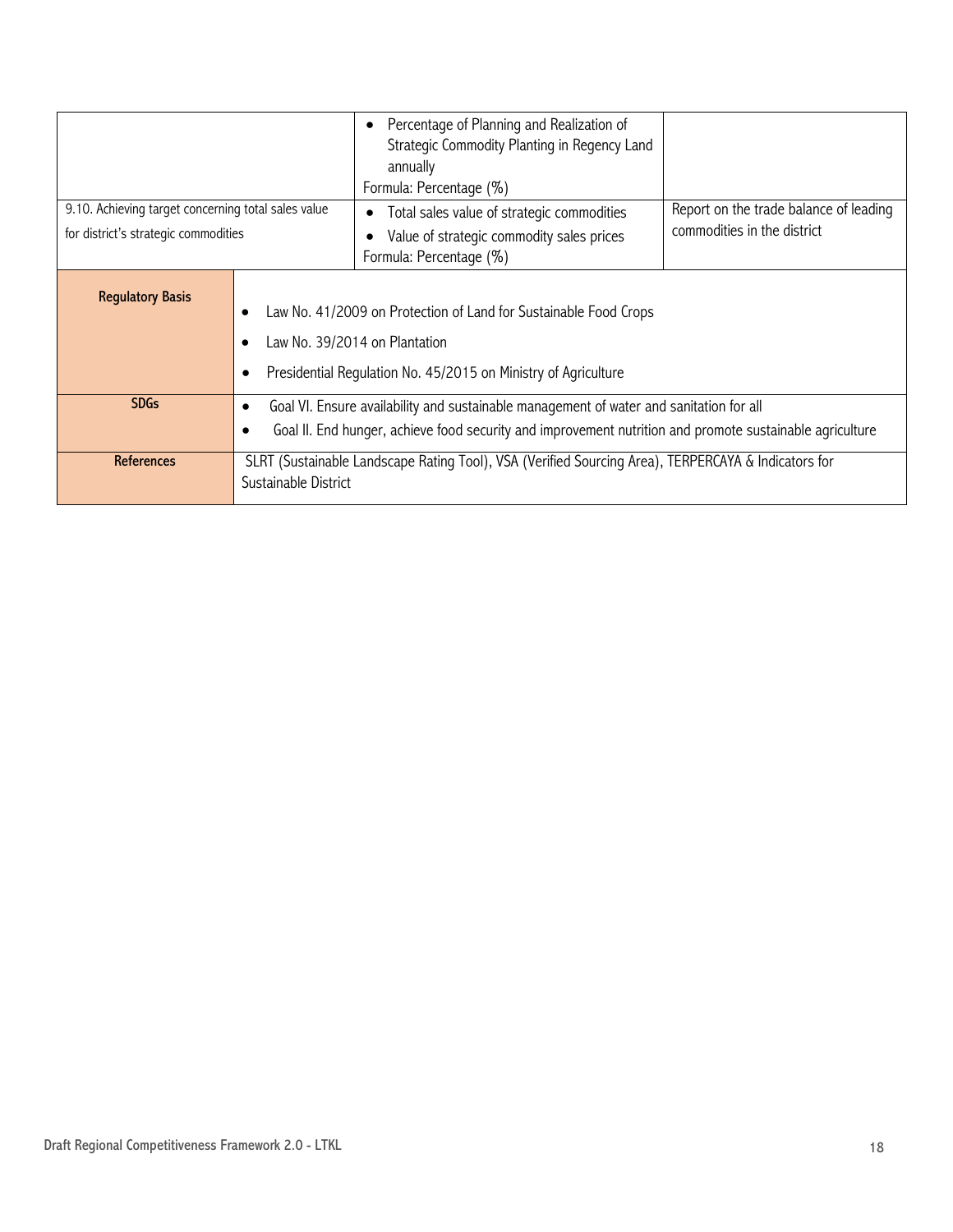| 9.10. Achieving target concerning total sales value<br>for district's strategic commodities                                                                                                    |                                                                                                                                                                                                                                                                                                                                    | Percentage of Planning and Realization of<br>$\bullet$<br>Strategic Commodity Planting in Regency Land<br>annually<br>Formula: Percentage (%)<br>Total sales value of strategic commodities<br>$\bullet$<br>Value of strategic commodity sales prices<br>Formula: Percentage (%) | Report on the trade balance of leading<br>commodities in the district |
|------------------------------------------------------------------------------------------------------------------------------------------------------------------------------------------------|------------------------------------------------------------------------------------------------------------------------------------------------------------------------------------------------------------------------------------------------------------------------------------------------------------------------------------|----------------------------------------------------------------------------------------------------------------------------------------------------------------------------------------------------------------------------------------------------------------------------------|-----------------------------------------------------------------------|
| <b>Regulatory Basis</b><br>Law No. 41/2009 on Protection of Land for Sustainable Food Crops<br>Law No. 39/2014 on Plantation<br>Presidential Regulation No. 45/2015 on Ministry of Agriculture |                                                                                                                                                                                                                                                                                                                                    |                                                                                                                                                                                                                                                                                  |                                                                       |
| <b>SDGs</b><br><b>References</b>                                                                                                                                                               | Goal VI. Ensure availability and sustainable management of water and sanitation for all<br>Goal II. End hunger, achieve food security and improvement nutrition and promote sustainable agriculture<br>SLRT (Sustainable Landscape Rating Tool), VSA (Verified Sourcing Area), TERPERCAYA & Indicators for<br>Sustainable District |                                                                                                                                                                                                                                                                                  |                                                                       |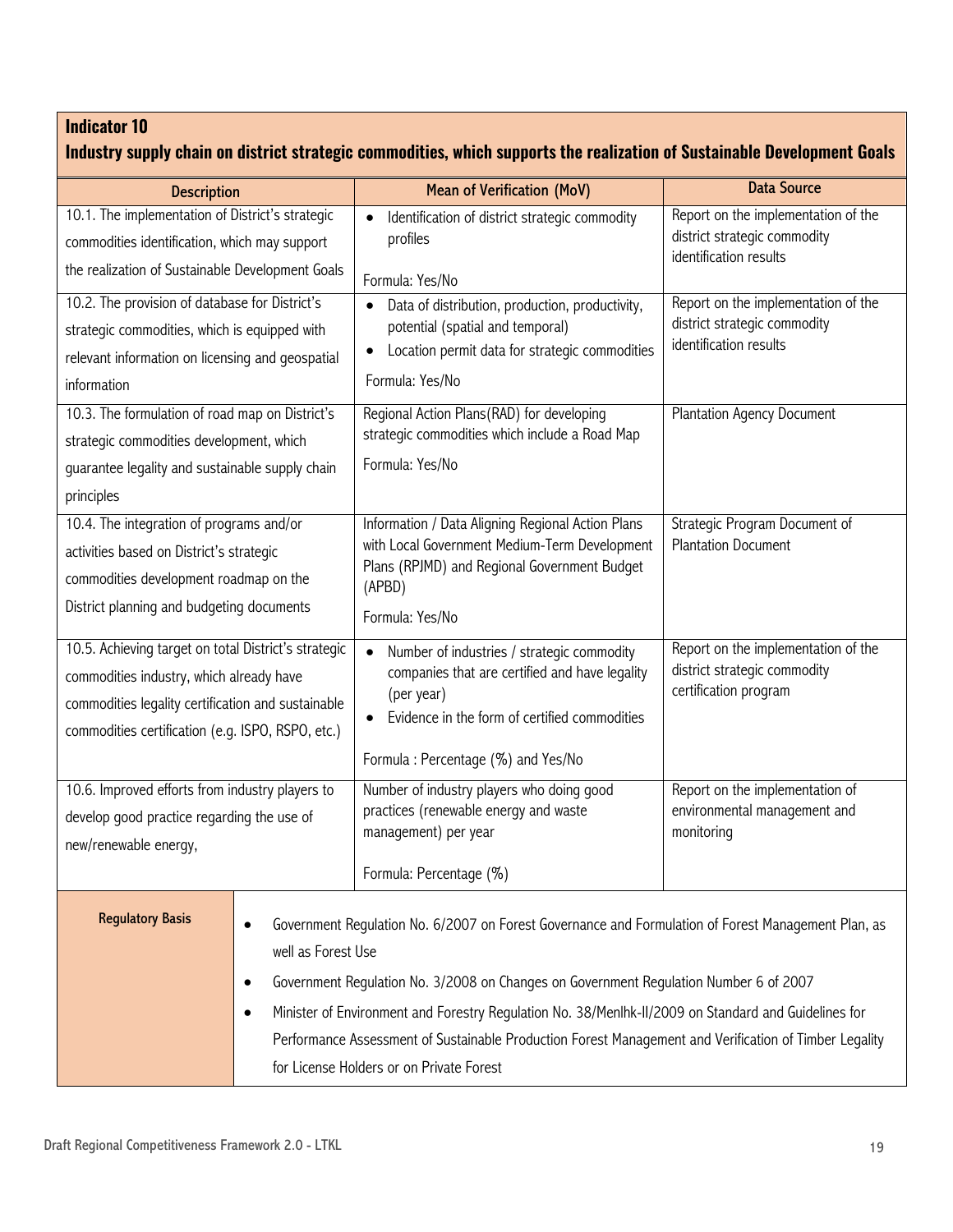| Industry supply chain on district strategic commodities, which supports the realization of Sustainable Development Goals                                                                                    |                                                                                                                                                                                                                                                                                                                                                                                                                                                                                                    |                                                                                                                                                                                                                |                                                                                               |
|-------------------------------------------------------------------------------------------------------------------------------------------------------------------------------------------------------------|----------------------------------------------------------------------------------------------------------------------------------------------------------------------------------------------------------------------------------------------------------------------------------------------------------------------------------------------------------------------------------------------------------------------------------------------------------------------------------------------------|----------------------------------------------------------------------------------------------------------------------------------------------------------------------------------------------------------------|-----------------------------------------------------------------------------------------------|
| <b>Description</b>                                                                                                                                                                                          |                                                                                                                                                                                                                                                                                                                                                                                                                                                                                                    | <b>Mean of Verification (MoV)</b>                                                                                                                                                                              | <b>Data Source</b>                                                                            |
| 10.1. The implementation of District's strategic                                                                                                                                                            |                                                                                                                                                                                                                                                                                                                                                                                                                                                                                                    | Identification of district strategic commodity<br>$\bullet$                                                                                                                                                    | Report on the implementation of the                                                           |
| commodities identification, which may support                                                                                                                                                               |                                                                                                                                                                                                                                                                                                                                                                                                                                                                                                    | profiles                                                                                                                                                                                                       | district strategic commodity<br>identification results                                        |
| the realization of Sustainable Development Goals                                                                                                                                                            |                                                                                                                                                                                                                                                                                                                                                                                                                                                                                                    | Formula: Yes/No                                                                                                                                                                                                |                                                                                               |
| 10.2. The provision of database for District's<br>strategic commodities, which is equipped with<br>relevant information on licensing and geospatial<br>information                                          |                                                                                                                                                                                                                                                                                                                                                                                                                                                                                                    | Data of distribution, production, productivity,<br>potential (spatial and temporal)<br>Location permit data for strategic commodities<br>$\bullet$<br>Formula: Yes/No                                          | Report on the implementation of the<br>district strategic commodity<br>identification results |
| 10.3. The formulation of road map on District's<br>strategic commodities development, which<br>guarantee legality and sustainable supply chain<br>principles                                                |                                                                                                                                                                                                                                                                                                                                                                                                                                                                                                    | Regional Action Plans(RAD) for developing<br>strategic commodities which include a Road Map<br>Formula: Yes/No                                                                                                 | <b>Plantation Agency Document</b>                                                             |
| 10.4. The integration of programs and/or<br>activities based on District's strategic<br>commodities development roadmap on the<br>District planning and budgeting documents                                 |                                                                                                                                                                                                                                                                                                                                                                                                                                                                                                    | Information / Data Aligning Regional Action Plans<br>with Local Government Medium-Term Development<br>Plans (RPJMD) and Regional Government Budget<br>(APBD)<br>Formula: Yes/No                                | Strategic Program Document of<br><b>Plantation Document</b>                                   |
| 10.5. Achieving target on total District's strategic<br>commodities industry, which already have<br>commodities legality certification and sustainable<br>commodities certification (e.g. ISPO, RSPO, etc.) |                                                                                                                                                                                                                                                                                                                                                                                                                                                                                                    | Number of industries / strategic commodity<br>$\bullet$<br>companies that are certified and have legality<br>(per year)<br>Evidence in the form of certified commodities<br>Formula: Percentage (%) and Yes/No | Report on the implementation of the<br>district strategic commodity<br>certification program  |
| 10.6. Improved efforts from industry players to<br>develop good practice regarding the use of<br>new/renewable energy,                                                                                      |                                                                                                                                                                                                                                                                                                                                                                                                                                                                                                    | Number of industry players who doing good<br>practices (renewable energy and waste<br>management) per year<br>Formula: Percentage (%)                                                                          | Report on the implementation of<br>environmental management and<br>monitoring                 |
| <b>Regulatory Basis</b>                                                                                                                                                                                     | Government Regulation No. 6/2007 on Forest Governance and Formulation of Forest Management Plan, as<br>well as Forest Use<br>Government Regulation No. 3/2008 on Changes on Government Regulation Number 6 of 2007<br>٠<br>Minister of Environment and Forestry Regulation No. 38/Menlhk-II/2009 on Standard and Guidelines for<br>$\bullet$<br>Performance Assessment of Sustainable Production Forest Management and Verification of Timber Legality<br>for License Holders or on Private Forest |                                                                                                                                                                                                                |                                                                                               |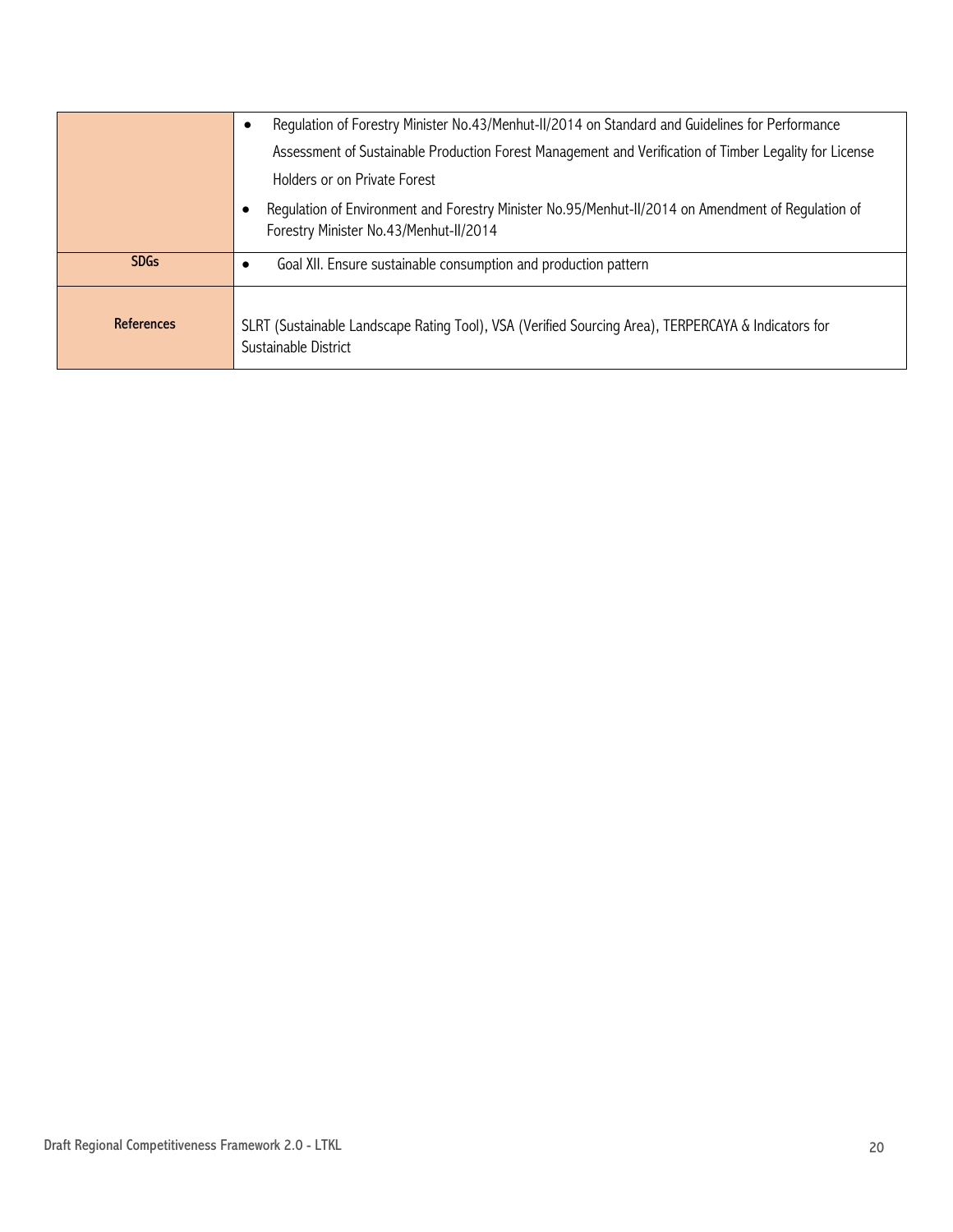|                   | Regulation of Forestry Minister No.43/Menhut-II/2014 on Standard and Guidelines for Performance                                              |
|-------------------|----------------------------------------------------------------------------------------------------------------------------------------------|
|                   | Assessment of Sustainable Production Forest Management and Verification of Timber Legality for License                                       |
|                   | Holders or on Private Forest                                                                                                                 |
|                   | Regulation of Environment and Forestry Minister No.95/Menhut-II/2014 on Amendment of Regulation of<br>Forestry Minister No.43/Menhut-II/2014 |
| <b>SDGs</b>       | Goal XII. Ensure sustainable consumption and production pattern                                                                              |
| <b>References</b> | SLRT (Sustainable Landscape Rating Tool), VSA (Verified Sourcing Area), TERPERCAYA & Indicators for<br>Sustainable District                  |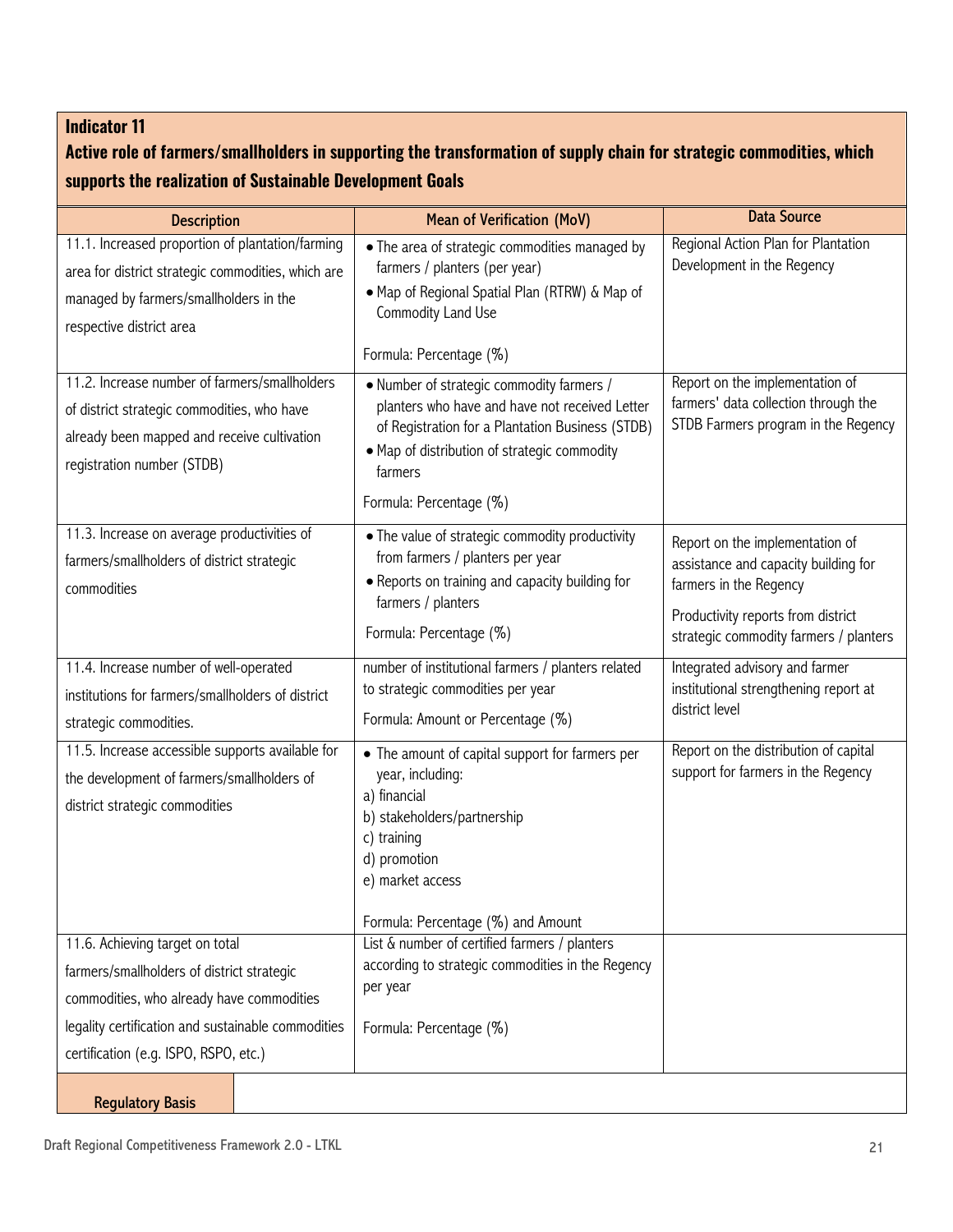## **Active role of farmers/smallholders in supporting the transformation of supply chain for strategic commodities, which supports the realization of Sustainable Development Goals**

| <b>Description</b>                                                                                                                                                           | <b>Mean of Verification (MoV)</b>                                                                                                                                                                                                     | <b>Data Source</b>                                                                                                                                                                |
|------------------------------------------------------------------------------------------------------------------------------------------------------------------------------|---------------------------------------------------------------------------------------------------------------------------------------------------------------------------------------------------------------------------------------|-----------------------------------------------------------------------------------------------------------------------------------------------------------------------------------|
| 11.1. Increased proportion of plantation/farming<br>area for district strategic commodities, which are<br>managed by farmers/smallholders in the<br>respective district area | • The area of strategic commodities managed by<br>farmers / planters (per year)<br>• Map of Regional Spatial Plan (RTRW) & Map of<br>Commodity Land Use<br>Formula: Percentage (%)                                                    | Regional Action Plan for Plantation<br>Development in the Regency                                                                                                                 |
| 11.2. Increase number of farmers/smallholders<br>of district strategic commodities, who have<br>already been mapped and receive cultivation<br>registration number (STDB)    | • Number of strategic commodity farmers /<br>planters who have and have not received Letter<br>of Registration for a Plantation Business (STDB)<br>• Map of distribution of strategic commodity<br>farmers<br>Formula: Percentage (%) | Report on the implementation of<br>farmers' data collection through the<br>STDB Farmers program in the Regency                                                                    |
| 11.3. Increase on average productivities of<br>farmers/smallholders of district strategic<br>commodities                                                                     | • The value of strategic commodity productivity<br>from farmers / planters per year<br>• Reports on training and capacity building for<br>farmers / planters<br>Formula: Percentage (%)                                               | Report on the implementation of<br>assistance and capacity building for<br>farmers in the Regency<br>Productivity reports from district<br>strategic commodity farmers / planters |
| 11.4. Increase number of well-operated<br>institutions for farmers/smallholders of district<br>strategic commodities.                                                        | number of institutional farmers / planters related<br>to strategic commodities per year<br>Formula: Amount or Percentage (%)                                                                                                          | Integrated advisory and farmer<br>institutional strengthening report at<br>district level                                                                                         |
| 11.5. Increase accessible supports available for<br>the development of farmers/smallholders of<br>district strategic commodities                                             | • The amount of capital support for farmers per<br>year, including:<br>a) financial<br>b) stakeholders/partnership<br>c) training<br>d) promotion<br>e) market access                                                                 | Report on the distribution of capital<br>support for farmers in the Regency                                                                                                       |
|                                                                                                                                                                              | Formula: Percentage (%) and Amount                                                                                                                                                                                                    |                                                                                                                                                                                   |
| 11.6. Achieving target on total<br>farmers/smallholders of district strategic<br>commodities, who already have commodities                                                   | List & number of certified farmers / planters<br>according to strategic commodities in the Regency<br>per year                                                                                                                        |                                                                                                                                                                                   |
| legality certification and sustainable commodities                                                                                                                           | Formula: Percentage (%)                                                                                                                                                                                                               |                                                                                                                                                                                   |
| certification (e.g. ISPO, RSPO, etc.)                                                                                                                                        |                                                                                                                                                                                                                                       |                                                                                                                                                                                   |
| <b>Regulatory Basis</b>                                                                                                                                                      |                                                                                                                                                                                                                                       |                                                                                                                                                                                   |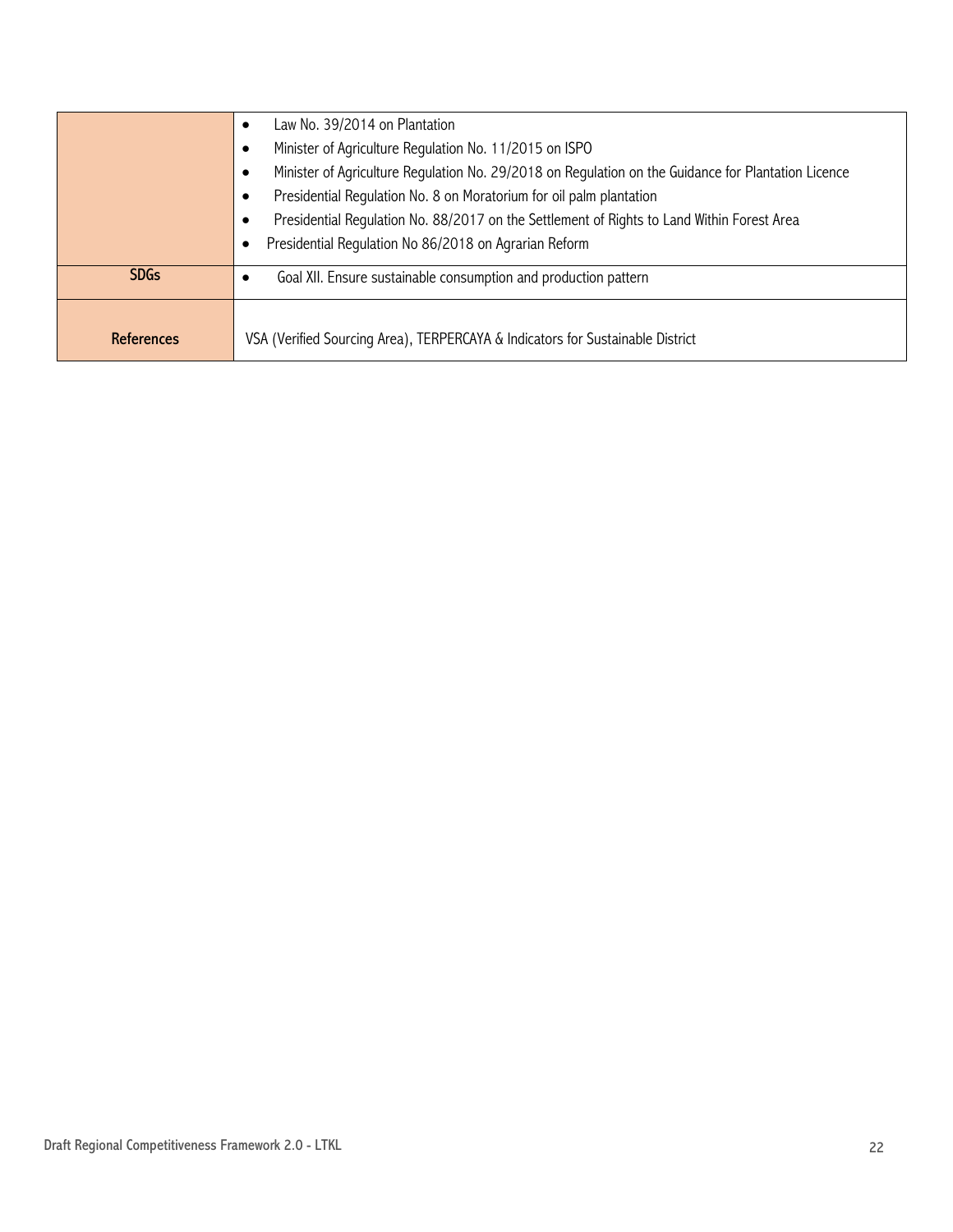|             | Law No. 39/2014 on Plantation<br>٠                                                                  |
|-------------|-----------------------------------------------------------------------------------------------------|
|             | Minister of Agriculture Regulation No. 11/2015 on ISPO                                              |
|             | Minister of Agriculture Regulation No. 29/2018 on Regulation on the Guidance for Plantation Licence |
|             | Presidential Regulation No. 8 on Moratorium for oil palm plantation                                 |
|             | Presidential Regulation No. 88/2017 on the Settlement of Rights to Land Within Forest Area          |
|             | Presidential Regulation No 86/2018 on Agrarian Reform                                               |
| <b>SDGs</b> | Goal XII. Ensure sustainable consumption and production pattern<br>٠                                |
|             |                                                                                                     |
| References  | VSA (Verified Sourcing Area), TERPERCAYA & Indicators for Sustainable District                      |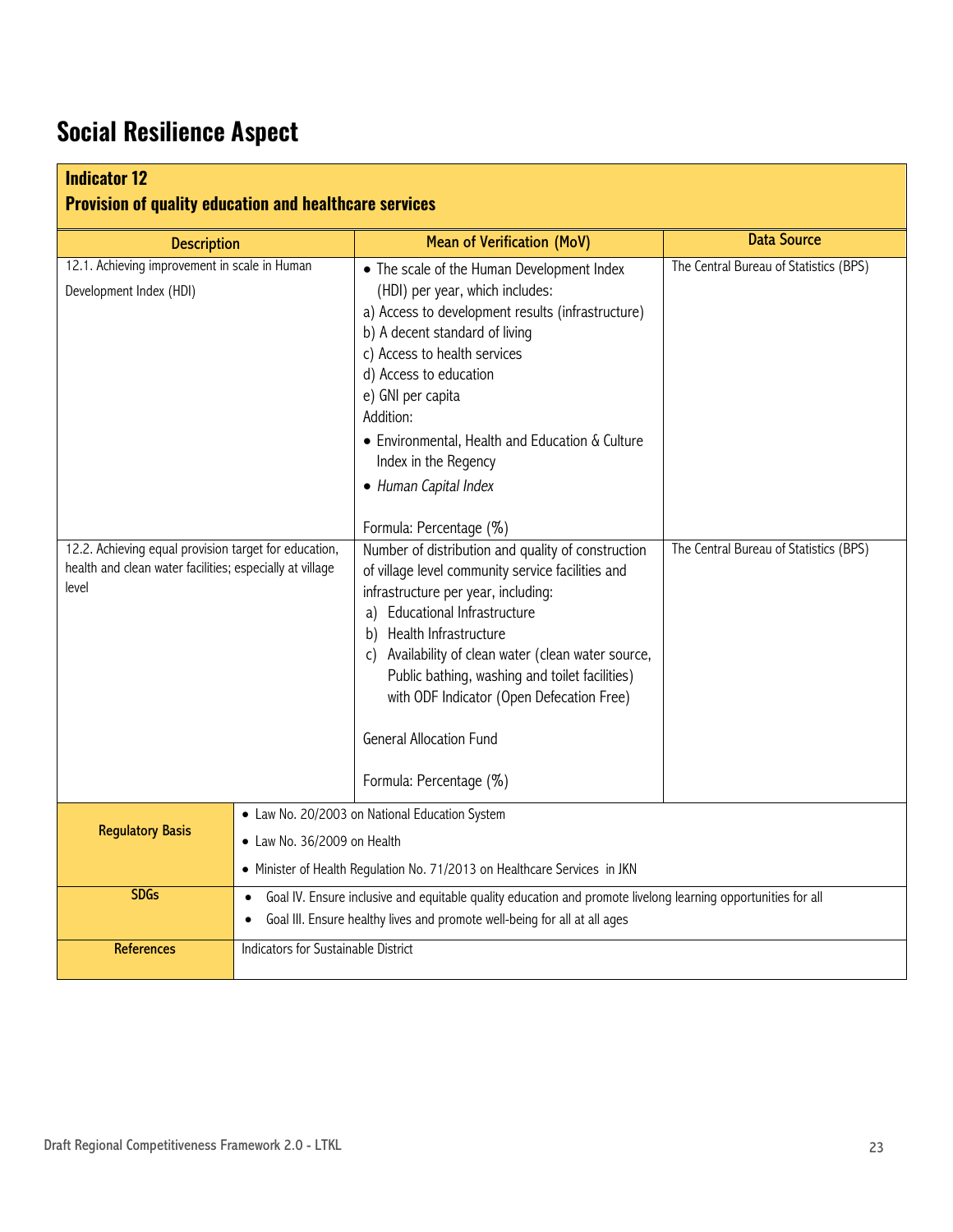## **Social Resilience Aspect**

| <b>Indicator 12</b><br><b>Provision of quality education and healthcare services</b>                                       |                                                                                                                                                                                                         |                                                                                                                                                                                                                                                                                                                                                                                                                                   |                                        |
|----------------------------------------------------------------------------------------------------------------------------|---------------------------------------------------------------------------------------------------------------------------------------------------------------------------------------------------------|-----------------------------------------------------------------------------------------------------------------------------------------------------------------------------------------------------------------------------------------------------------------------------------------------------------------------------------------------------------------------------------------------------------------------------------|----------------------------------------|
| <b>Description</b>                                                                                                         |                                                                                                                                                                                                         | <b>Mean of Verification (MoV)</b>                                                                                                                                                                                                                                                                                                                                                                                                 | <b>Data Source</b>                     |
| 12.1. Achieving improvement in scale in Human<br>Development Index (HDI)                                                   |                                                                                                                                                                                                         | • The scale of the Human Development Index<br>(HDI) per year, which includes:<br>a) Access to development results (infrastructure)<br>b) A decent standard of living<br>c) Access to health services<br>d) Access to education<br>e) GNI per capita<br>Addition:<br>• Environmental, Health and Education & Culture<br>Index in the Regency<br>• Human Capital Index<br>Formula: Percentage (%)                                   | The Central Bureau of Statistics (BPS) |
| 12.2. Achieving equal provision target for education,<br>health and clean water facilities; especially at village<br>level |                                                                                                                                                                                                         | Number of distribution and quality of construction<br>of village level community service facilities and<br>infrastructure per year, including:<br>a) Educational Infrastructure<br>Health Infrastructure<br>b)<br>c) Availability of clean water (clean water source,<br>Public bathing, washing and toilet facilities)<br>with ODF Indicator (Open Defecation Free)<br><b>General Allocation Fund</b><br>Formula: Percentage (%) | The Central Bureau of Statistics (BPS) |
| <b>Regulatory Basis</b>                                                                                                    | • Law No. 20/2003 on National Education System<br>• Law No. 36/2009 on Health<br>• Minister of Health Regulation No. 71/2013 on Healthcare Services in JKN                                              |                                                                                                                                                                                                                                                                                                                                                                                                                                   |                                        |
| <b>SDGs</b>                                                                                                                | Goal IV. Ensure inclusive and equitable quality education and promote livelong learning opportunities for all<br>$\bullet$<br>Goal III. Ensure healthy lives and promote well-being for all at all ages |                                                                                                                                                                                                                                                                                                                                                                                                                                   |                                        |
| <b>References</b>                                                                                                          | Indicators for Sustainable District                                                                                                                                                                     |                                                                                                                                                                                                                                                                                                                                                                                                                                   |                                        |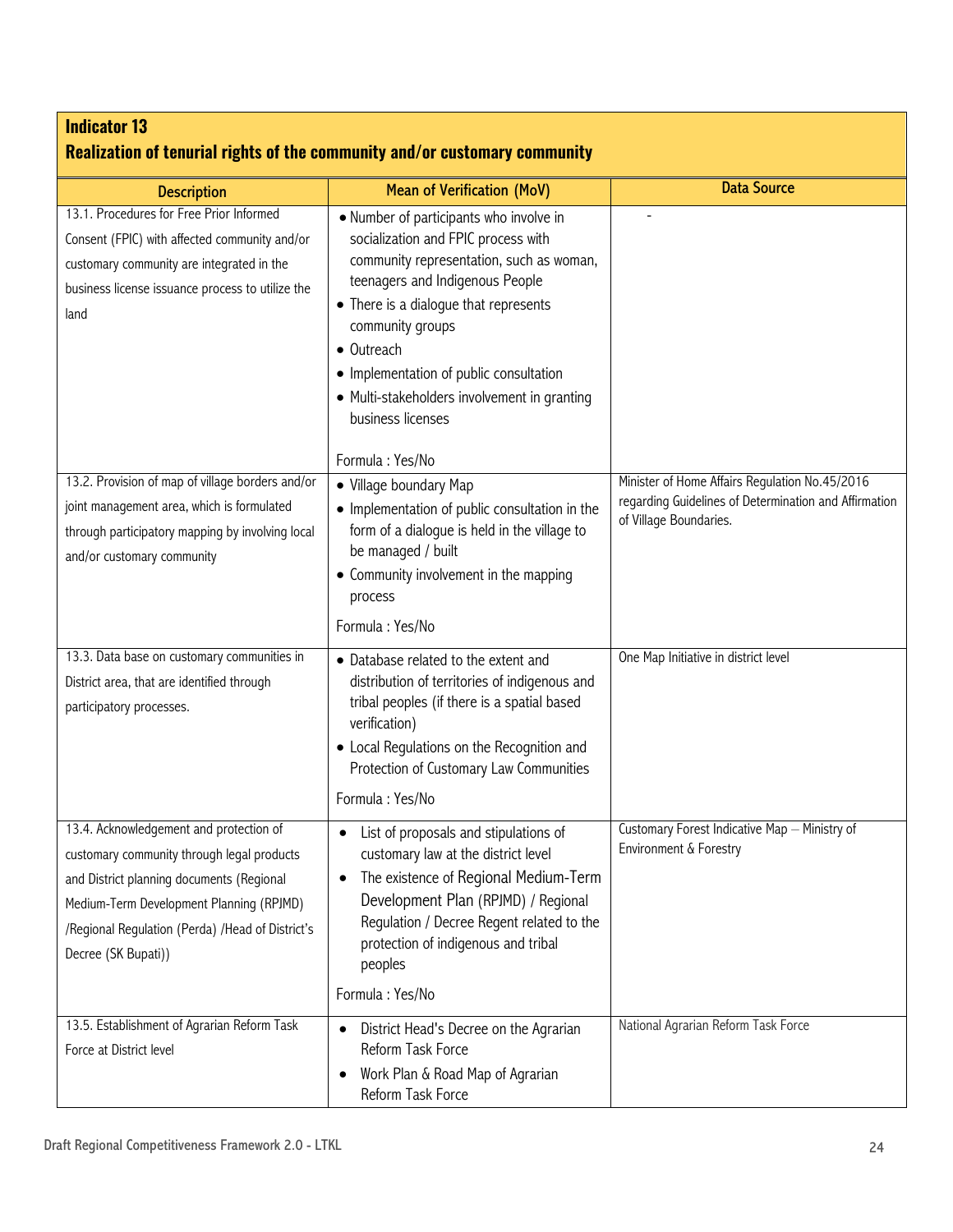| <b>Indicator 13</b><br>Realization of tenurial rights of the community and/or customary community                                                                                                                                                         |                                                                                                                                                                                                                                                                                                                                                                             |                                                                                                                                   |  |
|-----------------------------------------------------------------------------------------------------------------------------------------------------------------------------------------------------------------------------------------------------------|-----------------------------------------------------------------------------------------------------------------------------------------------------------------------------------------------------------------------------------------------------------------------------------------------------------------------------------------------------------------------------|-----------------------------------------------------------------------------------------------------------------------------------|--|
| <b>Description</b>                                                                                                                                                                                                                                        | <b>Mean of Verification (MoV)</b>                                                                                                                                                                                                                                                                                                                                           | <b>Data Source</b>                                                                                                                |  |
| 13.1. Procedures for Free Prior Informed<br>Consent (FPIC) with affected community and/or<br>customary community are integrated in the<br>business license issuance process to utilize the<br>land                                                        | • Number of participants who involve in<br>socialization and FPIC process with<br>community representation, such as woman,<br>teenagers and Indigenous People<br>• There is a dialoque that represents<br>community groups<br>• Outreach<br>• Implementation of public consultation<br>• Multi-stakeholders involvement in granting<br>business licenses<br>Formula: Yes/No | $\overline{a}$                                                                                                                    |  |
| 13.2. Provision of map of village borders and/or<br>joint management area, which is formulated<br>through participatory mapping by involving local<br>and/or customary community                                                                          | • Village boundary Map<br>• Implementation of public consultation in the<br>form of a dialogue is held in the village to<br>be managed / built<br>• Community involvement in the mapping<br>process<br>Formula: Yes/No                                                                                                                                                      | Minister of Home Affairs Regulation No.45/2016<br>regarding Guidelines of Determination and Affirmation<br>of Village Boundaries. |  |
| 13.3. Data base on customary communities in<br>District area, that are identified through<br>participatory processes.                                                                                                                                     | • Database related to the extent and<br>distribution of territories of indigenous and<br>tribal peoples (if there is a spatial based<br>verification)<br>• Local Regulations on the Recognition and<br>Protection of Customary Law Communities<br>Formula: Yes/No                                                                                                           | One Map Initiative in district level                                                                                              |  |
| 13.4. Acknowledgement and protection of<br>customary community through legal products<br>and District planning documents (Regional<br>Medium-Term Development Planning (RPJMD)<br>/Regional Regulation (Perda) /Head of District's<br>Decree (SK Bupati)) | List of proposals and stipulations of<br>$\bullet$<br>customary law at the district level<br>The existence of Regional Medium-Term<br>$\bullet$<br>Development Plan (RPJMD) / Regional<br>Regulation / Decree Regent related to the<br>protection of indigenous and tribal<br>peoples<br>Formula: Yes/No                                                                    | Customary Forest Indicative Map - Ministry of<br>Environment & Forestry                                                           |  |
| 13.5. Establishment of Agrarian Reform Task<br>Force at District level                                                                                                                                                                                    | District Head's Decree on the Agrarian<br>$\bullet$<br>Reform Task Force<br>Work Plan & Road Map of Agrarian<br>Reform Task Force                                                                                                                                                                                                                                           | National Agrarian Reform Task Force                                                                                               |  |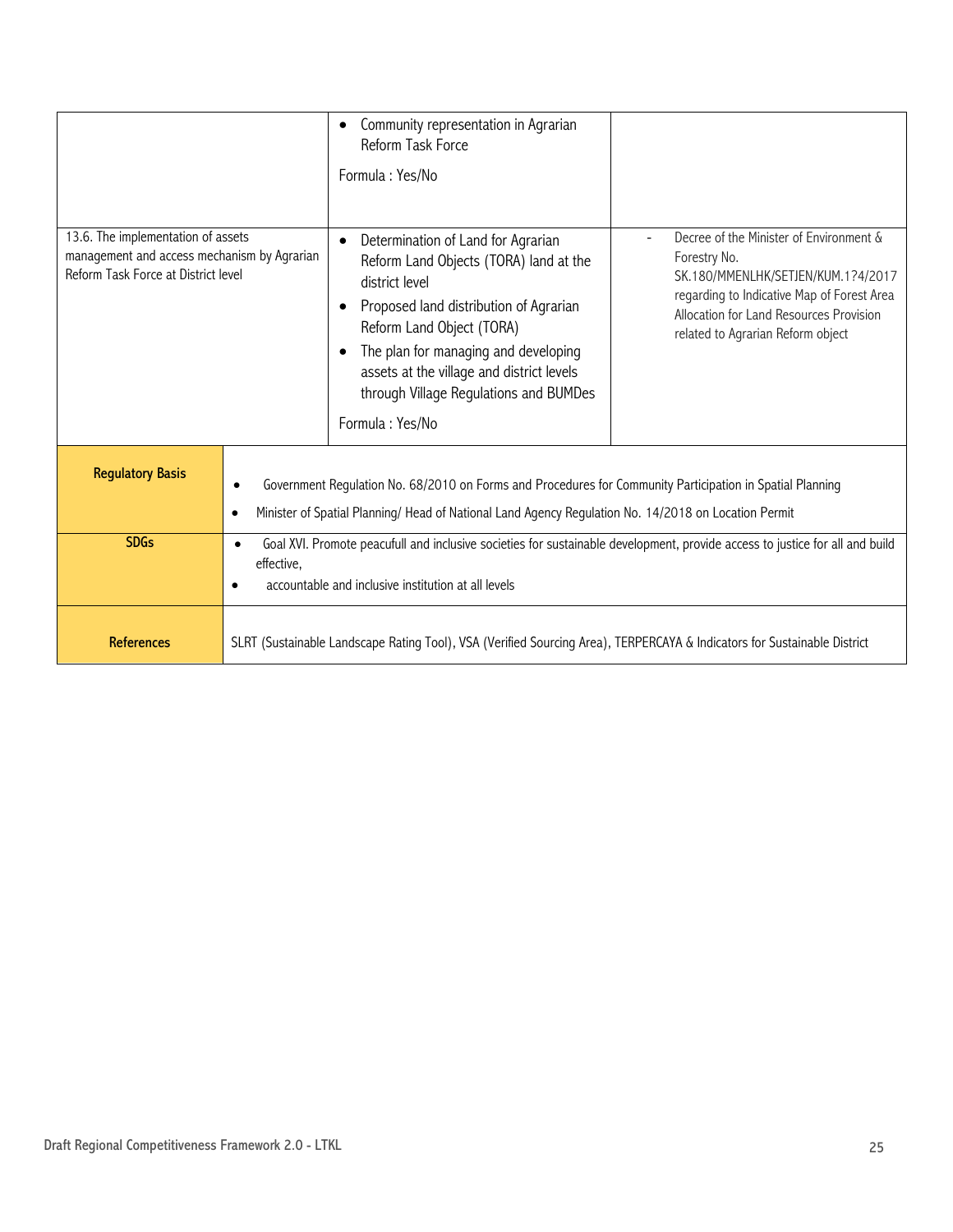|                                                                                                                          |                                                                                                                                                                                                                                | Community representation in Agrarian<br>Reform Task Force<br>Formula: Yes/No                                                                                                                                                                                                                                            |                                                                                                                                                                                                                             |
|--------------------------------------------------------------------------------------------------------------------------|--------------------------------------------------------------------------------------------------------------------------------------------------------------------------------------------------------------------------------|-------------------------------------------------------------------------------------------------------------------------------------------------------------------------------------------------------------------------------------------------------------------------------------------------------------------------|-----------------------------------------------------------------------------------------------------------------------------------------------------------------------------------------------------------------------------|
| 13.6. The implementation of assets<br>management and access mechanism by Agrarian<br>Reform Task Force at District level |                                                                                                                                                                                                                                | Determination of Land for Agrarian<br>Reform Land Objects (TORA) land at the<br>district level<br>Proposed land distribution of Agrarian<br>Reform Land Object (TORA)<br>The plan for managing and developing<br>assets at the village and district levels<br>through Village Regulations and BUMDes<br>Formula: Yes/No | Decree of the Minister of Environment &<br>Forestry No.<br>SK.180/MMENLHK/SETJEN/KUM.1?4/2017<br>regarding to Indicative Map of Forest Area<br>Allocation for Land Resources Provision<br>related to Agrarian Reform object |
| <b>Regulatory Basis</b>                                                                                                  | Government Regulation No. 68/2010 on Forms and Procedures for Community Participation in Spatial Planning<br>$\bullet$<br>Minister of Spatial Planning/ Head of National Land Agency Regulation No. 14/2018 on Location Permit |                                                                                                                                                                                                                                                                                                                         |                                                                                                                                                                                                                             |
| <b>SDGs</b>                                                                                                              | Goal XVI. Promote peacufull and inclusive societies for sustainable development, provide access to justice for all and build<br>$\bullet$<br>effective,<br>accountable and inclusive institution at all levels                 |                                                                                                                                                                                                                                                                                                                         |                                                                                                                                                                                                                             |
| <b>References</b>                                                                                                        | SLRT (Sustainable Landscape Rating Tool), VSA (Verified Sourcing Area), TERPERCAYA & Indicators for Sustainable District                                                                                                       |                                                                                                                                                                                                                                                                                                                         |                                                                                                                                                                                                                             |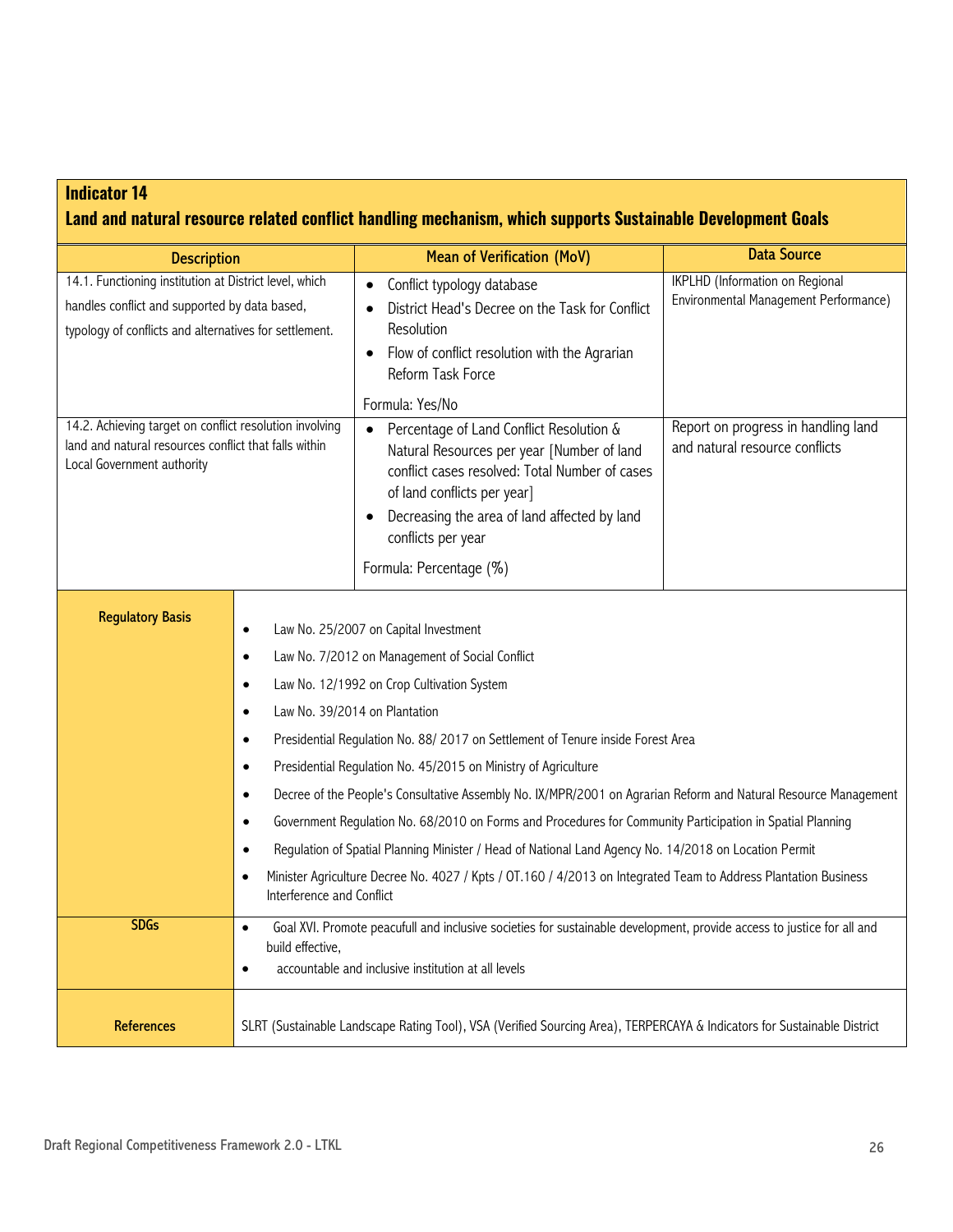### **Indicator 14 Land and natural resource related conflict handling mechanism, which supports Sustainable Development Goals**

| <b>Description</b>                                                                                                                                                |                                                                                                                                                                                                                                                                                                                                                                                                                                                                                                                                                                                                                                                                                                                                                                                                                                                                                                                            | <b>Mean of Verification (MoV)</b>                                                                                                                                                                                                                                                                        | <b>Data Source</b>                                                              |
|-------------------------------------------------------------------------------------------------------------------------------------------------------------------|----------------------------------------------------------------------------------------------------------------------------------------------------------------------------------------------------------------------------------------------------------------------------------------------------------------------------------------------------------------------------------------------------------------------------------------------------------------------------------------------------------------------------------------------------------------------------------------------------------------------------------------------------------------------------------------------------------------------------------------------------------------------------------------------------------------------------------------------------------------------------------------------------------------------------|----------------------------------------------------------------------------------------------------------------------------------------------------------------------------------------------------------------------------------------------------------------------------------------------------------|---------------------------------------------------------------------------------|
| 14.1. Functioning institution at District level, which<br>handles conflict and supported by data based,<br>typology of conflicts and alternatives for settlement. |                                                                                                                                                                                                                                                                                                                                                                                                                                                                                                                                                                                                                                                                                                                                                                                                                                                                                                                            | Conflict typology database<br>$\bullet$<br>District Head's Decree on the Task for Conflict<br>Resolution<br>Flow of conflict resolution with the Agrarian<br>$\bullet$<br>Reform Task Force                                                                                                              | <b>IKPLHD</b> (Information on Regional<br>Environmental Management Performance) |
| 14.2. Achieving target on conflict resolution involving<br>land and natural resources conflict that falls within<br>Local Government authority                    |                                                                                                                                                                                                                                                                                                                                                                                                                                                                                                                                                                                                                                                                                                                                                                                                                                                                                                                            | Formula: Yes/No<br>Percentage of Land Conflict Resolution &<br>$\bullet$<br>Natural Resources per year [Number of land<br>conflict cases resolved: Total Number of cases<br>of land conflicts per year]<br>Decreasing the area of land affected by land<br>conflicts per year<br>Formula: Percentage (%) | Report on progress in handling land<br>and natural resource conflicts           |
| <b>Regulatory Basis</b>                                                                                                                                           | Law No. 25/2007 on Capital Investment<br>$\bullet$<br>Law No. 7/2012 on Management of Social Conflict<br>$\bullet$<br>Law No. 12/1992 on Crop Cultivation System<br>٠<br>Law No. 39/2014 on Plantation<br>$\bullet$<br>Presidential Regulation No. 88/ 2017 on Settlement of Tenure inside Forest Area<br>$\bullet$<br>Presidential Regulation No. 45/2015 on Ministry of Agriculture<br>$\bullet$<br>Decree of the People's Consultative Assembly No. IX/MPR/2001 on Agrarian Reform and Natural Resource Management<br>$\bullet$<br>Government Regulation No. 68/2010 on Forms and Procedures for Community Participation in Spatial Planning<br>٠<br>Regulation of Spatial Planning Minister / Head of National Land Agency No. 14/2018 on Location Permit<br>Minister Agriculture Decree No. 4027 / Kpts / 0T.160 / 4/2013 on Integrated Team to Address Plantation Business<br>$\bullet$<br>Interference and Conflict |                                                                                                                                                                                                                                                                                                          |                                                                                 |
| <b>SDGs</b>                                                                                                                                                       | Goal XVI. Promote peacufull and inclusive societies for sustainable development, provide access to justice for all and<br>$\bullet$<br>build effective,<br>accountable and inclusive institution at all levels<br>٠                                                                                                                                                                                                                                                                                                                                                                                                                                                                                                                                                                                                                                                                                                        |                                                                                                                                                                                                                                                                                                          |                                                                                 |
| References                                                                                                                                                        | SLRT (Sustainable Landscape Rating Tool), VSA (Verified Sourcing Area), TERPERCAYA & Indicators for Sustainable District                                                                                                                                                                                                                                                                                                                                                                                                                                                                                                                                                                                                                                                                                                                                                                                                   |                                                                                                                                                                                                                                                                                                          |                                                                                 |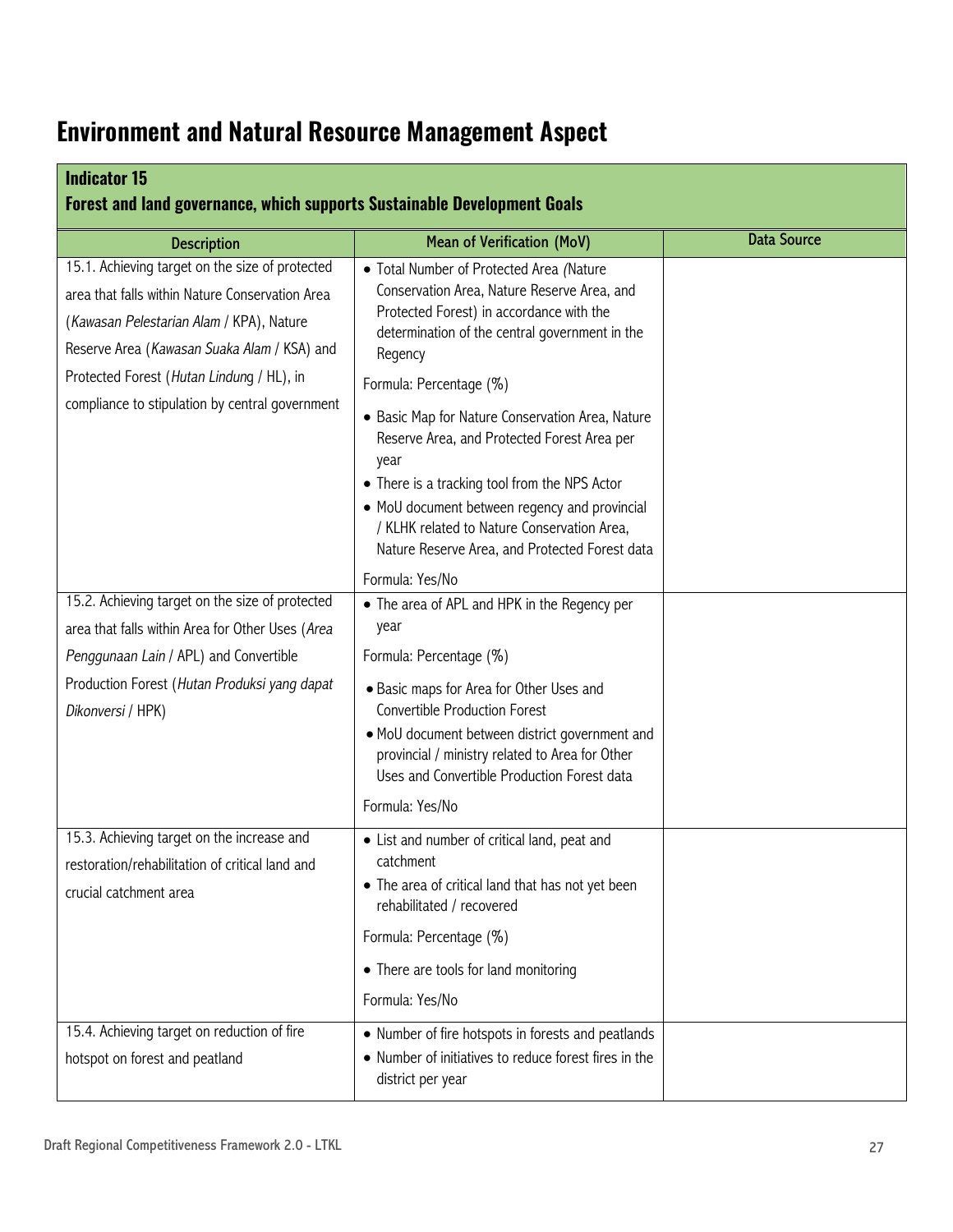## **Environment and Natural Resource Management Aspect**

| <b>Indicator 15</b><br><b>Forest and land governance, which supports Sustainable Development Goals</b>                                                                                                                                                                                        |                                                                                                                                                                                                                                                                                                                                                                                                                                                                                                                                           |                    |  |  |
|-----------------------------------------------------------------------------------------------------------------------------------------------------------------------------------------------------------------------------------------------------------------------------------------------|-------------------------------------------------------------------------------------------------------------------------------------------------------------------------------------------------------------------------------------------------------------------------------------------------------------------------------------------------------------------------------------------------------------------------------------------------------------------------------------------------------------------------------------------|--------------------|--|--|
| <b>Description</b>                                                                                                                                                                                                                                                                            | <b>Mean of Verification (MoV)</b>                                                                                                                                                                                                                                                                                                                                                                                                                                                                                                         | <b>Data Source</b> |  |  |
| 15.1. Achieving target on the size of protected<br>area that falls within Nature Conservation Area<br>(Kawasan Pelestarian Alam / KPA), Nature<br>Reserve Area (Kawasan Suaka Alam / KSA) and<br>Protected Forest (Hutan Lindung / HL), in<br>compliance to stipulation by central government | • Total Number of Protected Area (Nature<br>Conservation Area, Nature Reserve Area, and<br>Protected Forest) in accordance with the<br>determination of the central government in the<br>Regency<br>Formula: Percentage (%)<br>• Basic Map for Nature Conservation Area, Nature<br>Reserve Area, and Protected Forest Area per<br>year<br>• There is a tracking tool from the NPS Actor<br>• MoU document between regency and provincial<br>/ KLHK related to Nature Conservation Area,<br>Nature Reserve Area, and Protected Forest data |                    |  |  |
| 15.2. Achieving target on the size of protected<br>area that falls within Area for Other Uses (Area<br>Penggunaan Lain / APL) and Convertible<br>Production Forest (Hutan Produksi yang dapat<br>Dikonversi / HPK)                                                                            | Formula: Yes/No<br>• The area of APL and HPK in the Regency per<br>year<br>Formula: Percentage (%)<br>• Basic maps for Area for Other Uses and<br><b>Convertible Production Forest</b><br>· MoU document between district government and<br>provincial / ministry related to Area for Other<br>Uses and Convertible Production Forest data<br>Formula: Yes/No                                                                                                                                                                             |                    |  |  |
| 15.3. Achieving target on the increase and<br>restoration/rehabilitation of critical land and<br>crucial catchment area                                                                                                                                                                       | • List and number of critical land, peat and<br>catchment<br>• The area of critical land that has not yet been<br>rehabilitated / recovered<br>Formula: Percentage (%)<br>• There are tools for land monitoring<br>Formula: Yes/No                                                                                                                                                                                                                                                                                                        |                    |  |  |
| 15.4. Achieving target on reduction of fire<br>hotspot on forest and peatland                                                                                                                                                                                                                 | • Number of fire hotspots in forests and peatlands<br>• Number of initiatives to reduce forest fires in the<br>district per year                                                                                                                                                                                                                                                                                                                                                                                                          |                    |  |  |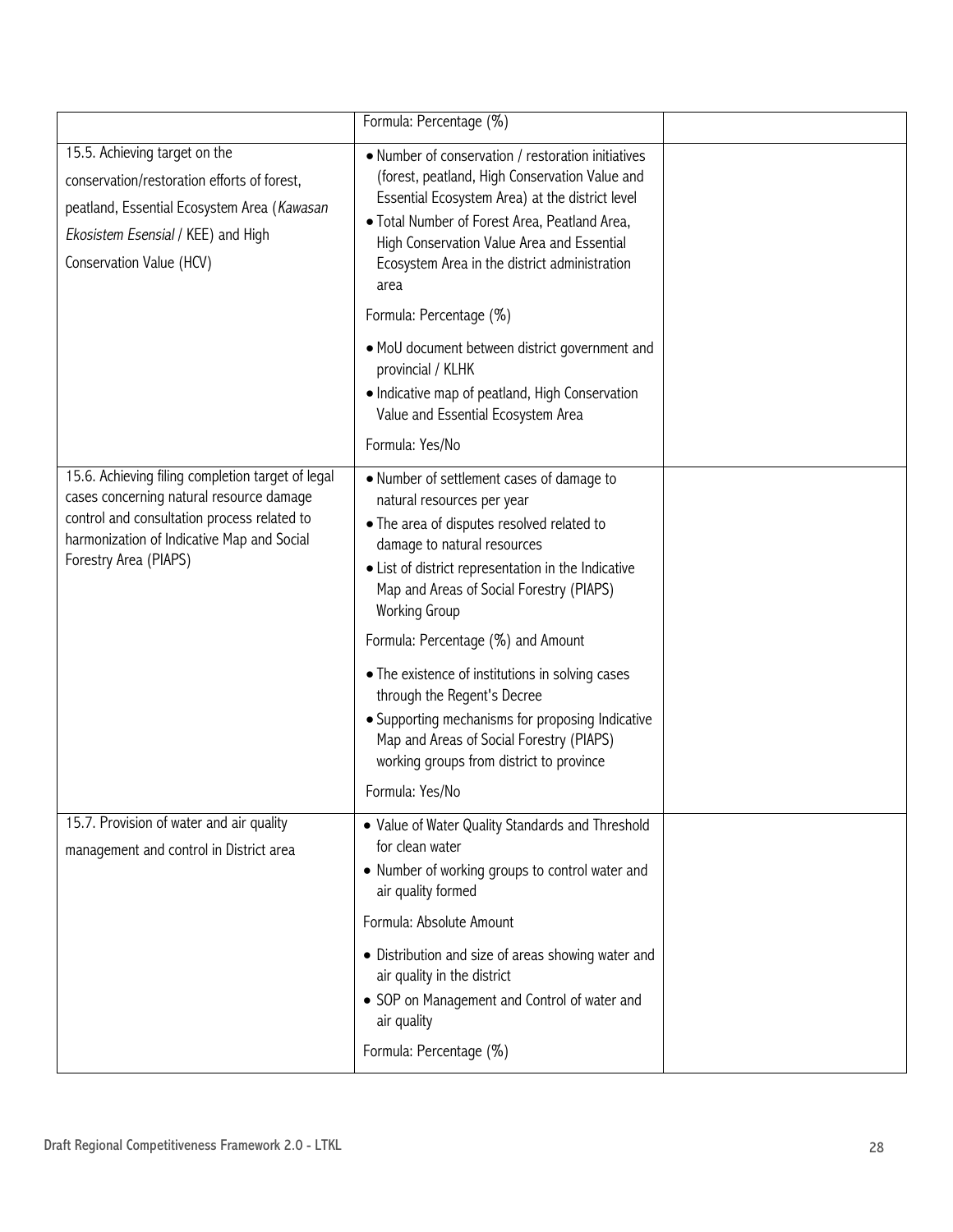|                                                                                                                                                                                                                     | Formula: Percentage (%)                                                                                                                                                                                                                                                                                         |  |
|---------------------------------------------------------------------------------------------------------------------------------------------------------------------------------------------------------------------|-----------------------------------------------------------------------------------------------------------------------------------------------------------------------------------------------------------------------------------------------------------------------------------------------------------------|--|
| 15.5. Achieving target on the<br>conservation/restoration efforts of forest,<br>peatland, Essential Ecosystem Area (Kawasan<br>Ekosistem Esensial / KEE) and High<br>Conservation Value (HCV)                       | • Number of conservation / restoration initiatives<br>(forest, peatland, High Conservation Value and<br>Essential Ecosystem Area) at the district level<br>· Total Number of Forest Area, Peatland Area,<br>High Conservation Value Area and Essential<br>Ecosystem Area in the district administration<br>area |  |
|                                                                                                                                                                                                                     | Formula: Percentage (%)                                                                                                                                                                                                                                                                                         |  |
|                                                                                                                                                                                                                     | • MoU document between district government and<br>provincial / KLHK<br>• Indicative map of peatland, High Conservation<br>Value and Essential Ecosystem Area<br>Formula: Yes/No                                                                                                                                 |  |
| 15.6. Achieving filing completion target of legal<br>cases concerning natural resource damage<br>control and consultation process related to<br>harmonization of Indicative Map and Social<br>Forestry Area (PIAPS) | • Number of settlement cases of damage to<br>natural resources per year<br>• The area of disputes resolved related to<br>damage to natural resources<br>• List of district representation in the Indicative<br>Map and Areas of Social Forestry (PIAPS)<br><b>Working Group</b>                                 |  |
|                                                                                                                                                                                                                     | Formula: Percentage (%) and Amount                                                                                                                                                                                                                                                                              |  |
|                                                                                                                                                                                                                     | • The existence of institutions in solving cases<br>through the Regent's Decree<br>• Supporting mechanisms for proposing Indicative<br>Map and Areas of Social Forestry (PIAPS)<br>working groups from district to province                                                                                     |  |
|                                                                                                                                                                                                                     | Formula: Yes/No                                                                                                                                                                                                                                                                                                 |  |
| 15.7. Provision of water and air quality<br>management and control in District area                                                                                                                                 | • Value of Water Quality Standards and Threshold<br>for clean water<br>• Number of working groups to control water and<br>air quality formed                                                                                                                                                                    |  |
|                                                                                                                                                                                                                     | Formula: Absolute Amount                                                                                                                                                                                                                                                                                        |  |
|                                                                                                                                                                                                                     | • Distribution and size of areas showing water and<br>air quality in the district<br>• SOP on Management and Control of water and<br>air quality<br>Formula: Percentage (%)                                                                                                                                     |  |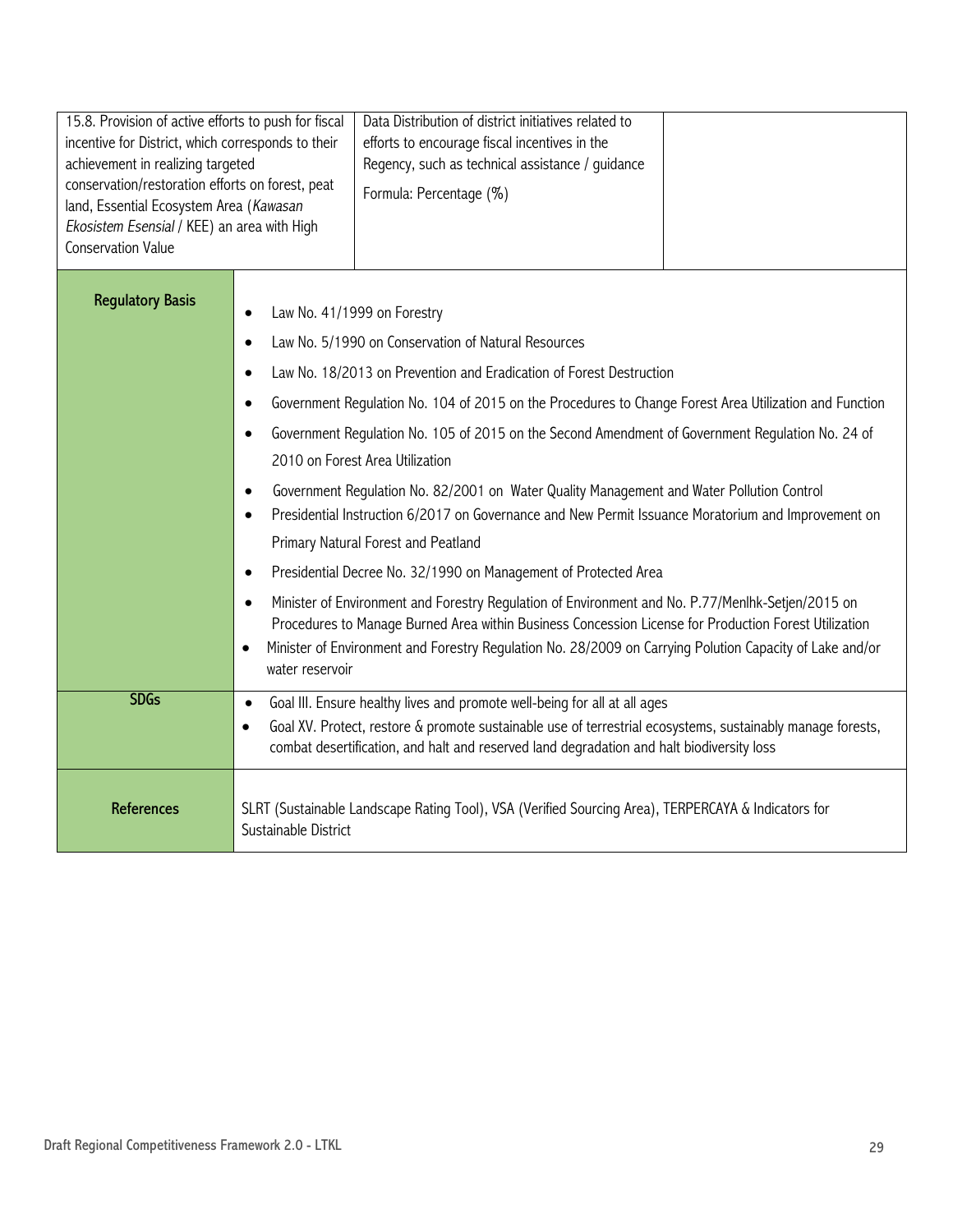| 15.8. Provision of active efforts to push for fiscal<br>incentive for District, which corresponds to their<br>achievement in realizing targeted<br>conservation/restoration efforts on forest, peat<br>land, Essential Ecosystem Area (Kawasan<br>Ekosistem Esensial / KEE) an area with High<br><b>Conservation Value</b> |                                                                                                                             | Data Distribution of district initiatives related to<br>efforts to encourage fiscal incentives in the<br>Regency, such as technical assistance / guidance<br>Formula: Percentage (%)                                                                                                                                                                                                                                                                                                                                                                                                                                                                                                                                                                                                                                                                                                                                                                                                                                |  |
|----------------------------------------------------------------------------------------------------------------------------------------------------------------------------------------------------------------------------------------------------------------------------------------------------------------------------|-----------------------------------------------------------------------------------------------------------------------------|---------------------------------------------------------------------------------------------------------------------------------------------------------------------------------------------------------------------------------------------------------------------------------------------------------------------------------------------------------------------------------------------------------------------------------------------------------------------------------------------------------------------------------------------------------------------------------------------------------------------------------------------------------------------------------------------------------------------------------------------------------------------------------------------------------------------------------------------------------------------------------------------------------------------------------------------------------------------------------------------------------------------|--|
| <b>Regulatory Basis</b>                                                                                                                                                                                                                                                                                                    | Law No. 41/1999 on Forestry<br>$\bullet$<br>$\bullet$<br>$\bullet$<br>$\bullet$<br>$\bullet$<br>water reservoir             | Law No. 5/1990 on Conservation of Natural Resources<br>Law No. 18/2013 on Prevention and Eradication of Forest Destruction<br>Government Regulation No. 104 of 2015 on the Procedures to Change Forest Area Utilization and Function<br>Government Regulation No. 105 of 2015 on the Second Amendment of Government Regulation No. 24 of<br>2010 on Forest Area Utilization<br>Government Regulation No. 82/2001 on Water Quality Management and Water Pollution Control<br>Presidential Instruction 6/2017 on Governance and New Permit Issuance Moratorium and Improvement on<br>Primary Natural Forest and Peatland<br>Presidential Decree No. 32/1990 on Management of Protected Area<br>Minister of Environment and Forestry Regulation of Environment and No. P.77/Menlhk-Setjen/2015 on<br>Procedures to Manage Burned Area within Business Concession License for Production Forest Utilization<br>Minister of Environment and Forestry Regulation No. 28/2009 on Carrying Polution Capacity of Lake and/or |  |
| <b>SDGs</b>                                                                                                                                                                                                                                                                                                                | $\bullet$<br>$\bullet$                                                                                                      | Goal III. Ensure healthy lives and promote well-being for all at all ages<br>Goal XV. Protect, restore & promote sustainable use of terrestrial ecosystems, sustainably manage forests,<br>combat desertification, and halt and reserved land degradation and halt biodiversity loss                                                                                                                                                                                                                                                                                                                                                                                                                                                                                                                                                                                                                                                                                                                                |  |
| <b>References</b>                                                                                                                                                                                                                                                                                                          | SLRT (Sustainable Landscape Rating Tool), VSA (Verified Sourcing Area), TERPERCAYA & Indicators for<br>Sustainable District |                                                                                                                                                                                                                                                                                                                                                                                                                                                                                                                                                                                                                                                                                                                                                                                                                                                                                                                                                                                                                     |  |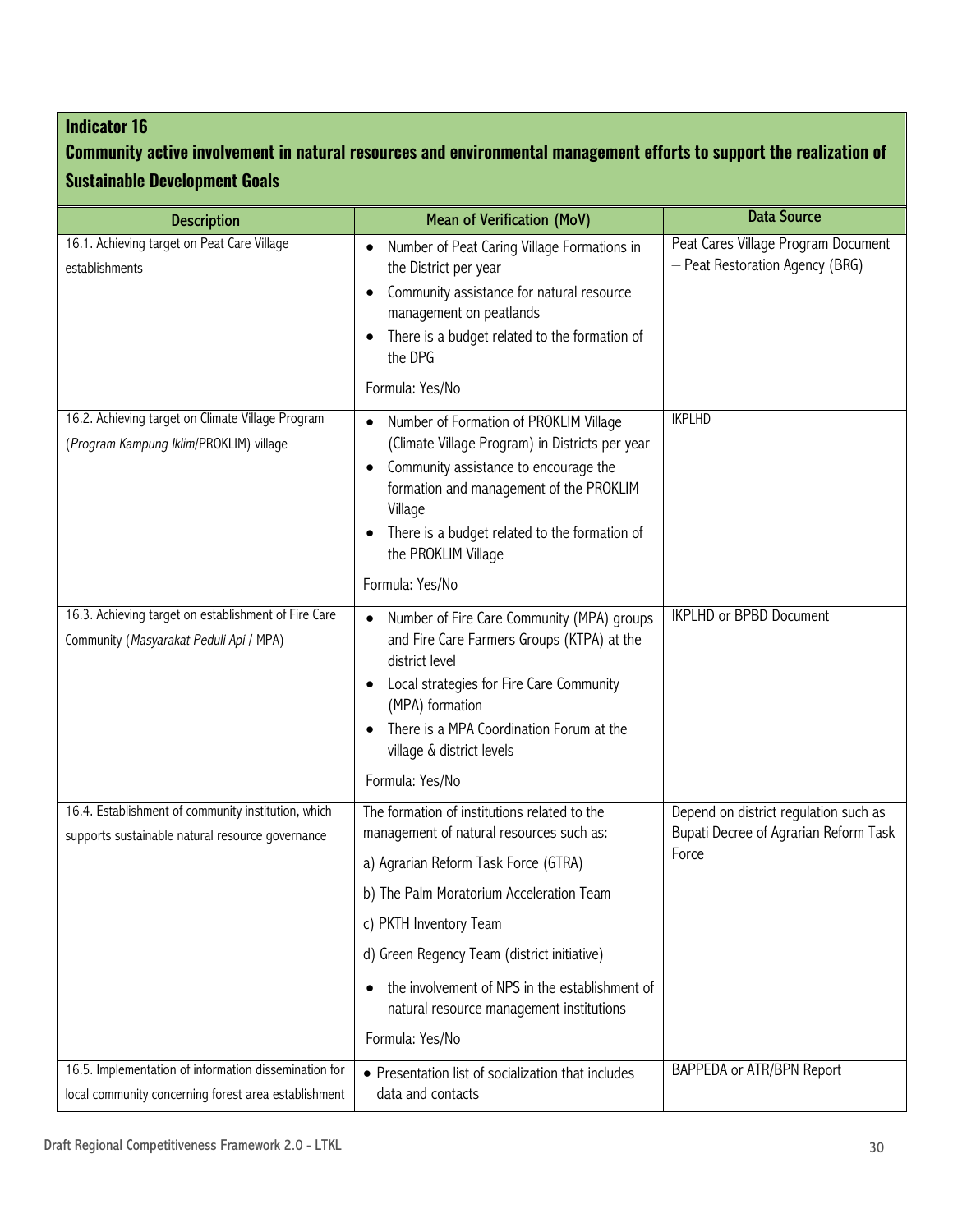## **Community active involvement in natural resources and environmental management efforts to support the realization of Sustainable Development Goals**

| <b>Description</b>                                                                                            | <b>Mean of Verification (MoV)</b>                                                                                                                                                                                                                                                                                                                                                   | <b>Data Source</b>                                                                      |
|---------------------------------------------------------------------------------------------------------------|-------------------------------------------------------------------------------------------------------------------------------------------------------------------------------------------------------------------------------------------------------------------------------------------------------------------------------------------------------------------------------------|-----------------------------------------------------------------------------------------|
| 16.1. Achieving target on Peat Care Village<br>establishments                                                 | Number of Peat Caring Village Formations in<br>$\bullet$<br>the District per year<br>Community assistance for natural resource<br>management on peatlands<br>There is a budget related to the formation of<br>$\bullet$<br>the DPG<br>Formula: Yes/No                                                                                                                               | Peat Cares Village Program Document<br>- Peat Restoration Agency (BRG)                  |
| 16.2. Achieving target on Climate Village Program<br>(Program Kampung Iklim/PROKLIM) village                  | Number of Formation of PROKLIM Village<br>$\bullet$<br>(Climate Village Program) in Districts per year<br>Community assistance to encourage the<br>formation and management of the PROKLIM<br>Village<br>There is a budget related to the formation of<br>the PROKLIM Village<br>Formula: Yes/No                                                                                    | <b>IKPLHD</b>                                                                           |
| 16.3. Achieving target on establishment of Fire Care<br>Community (Masyarakat Peduli Api / MPA)               | Number of Fire Care Community (MPA) groups<br>and Fire Care Farmers Groups (KTPA) at the<br>district level<br>Local strategies for Fire Care Community<br>$\bullet$<br>(MPA) formation<br>There is a MPA Coordination Forum at the<br>village & district levels<br>Formula: Yes/No                                                                                                  | <b>IKPLHD or BPBD Document</b>                                                          |
| 16.4. Establishment of community institution, which<br>supports sustainable natural resource governance       | The formation of institutions related to the<br>management of natural resources such as:<br>a) Agrarian Reform Task Force (GTRA)<br>b) The Palm Moratorium Acceleration Team<br>c) PKTH Inventory Team<br>d) Green Regency Team (district initiative)<br>the involvement of NPS in the establishment of<br>$\bullet$<br>natural resource management institutions<br>Formula: Yes/No | Depend on district regulation such as<br>Bupati Decree of Agrarian Reform Task<br>Force |
| 16.5. Implementation of information dissemination for<br>local community concerning forest area establishment | • Presentation list of socialization that includes<br>data and contacts                                                                                                                                                                                                                                                                                                             | BAPPEDA or ATR/BPN Report                                                               |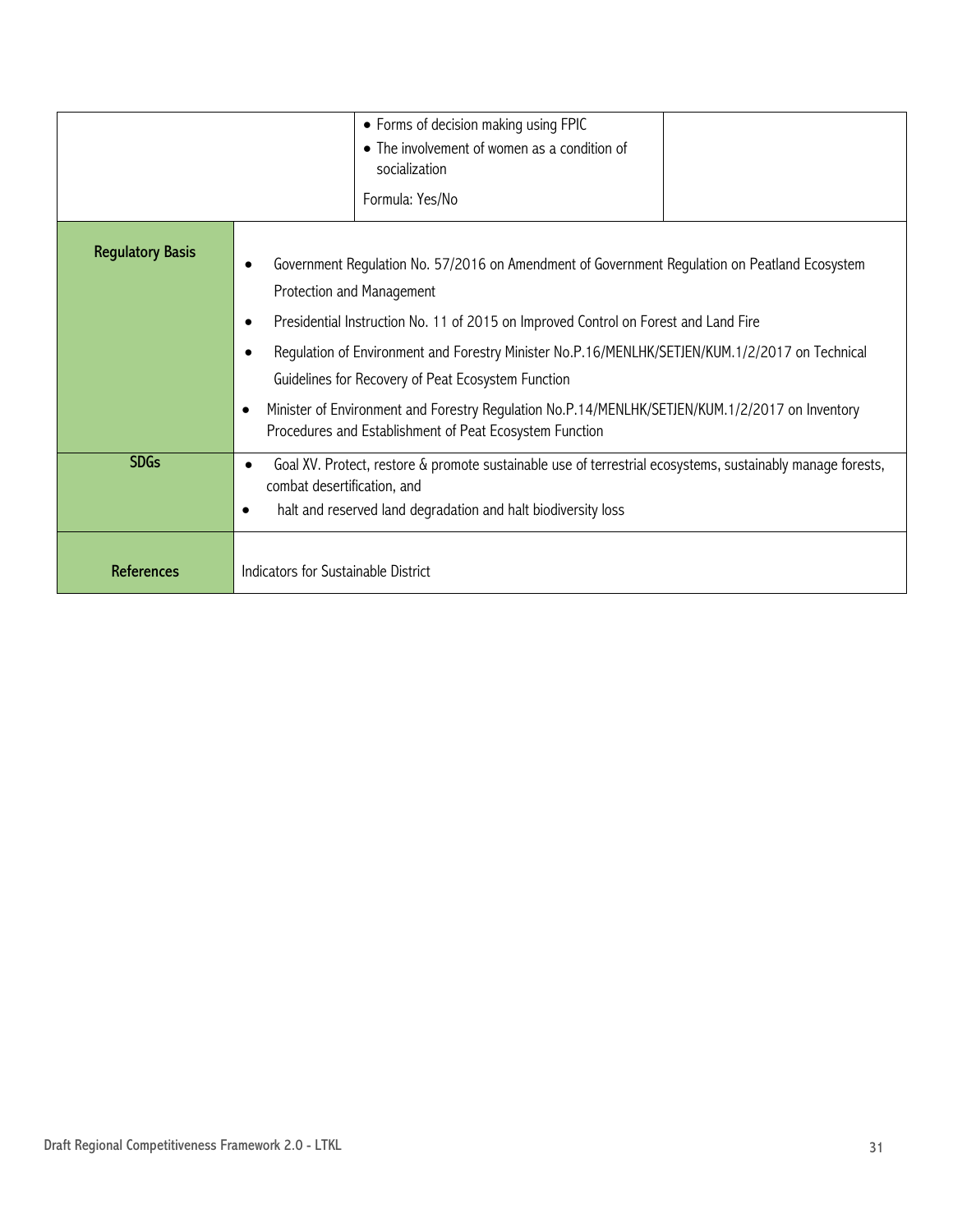|                         | • Forms of decision making using FPIC<br>socialization<br>Formula: Yes/No                                                                                                                                                                                                                                                                                                                                                                                                                                                                                   | • The involvement of women as a condition of |  |
|-------------------------|-------------------------------------------------------------------------------------------------------------------------------------------------------------------------------------------------------------------------------------------------------------------------------------------------------------------------------------------------------------------------------------------------------------------------------------------------------------------------------------------------------------------------------------------------------------|----------------------------------------------|--|
| <b>Regulatory Basis</b> | Government Regulation No. 57/2016 on Amendment of Government Regulation on Peatland Ecosystem<br>Protection and Management<br>Presidential Instruction No. 11 of 2015 on Improved Control on Forest and Land Fire<br>٠<br>Regulation of Environment and Forestry Minister No.P.16/MENLHK/SETJEN/KUM.1/2/2017 on Technical<br>Guidelines for Recovery of Peat Ecosystem Function<br>Minister of Environment and Forestry Regulation No.P.14/MENLHK/SETJEN/KUM.1/2/2017 on Inventory<br>$\epsilon$<br>Procedures and Establishment of Peat Ecosystem Function |                                              |  |
| <b>SDGs</b>             | Goal XV. Protect, restore & promote sustainable use of terrestrial ecosystems, sustainably manage forests,<br>$\bullet$<br>combat desertification, and<br>halt and reserved land degradation and halt biodiversity loss<br>$\bullet$                                                                                                                                                                                                                                                                                                                        |                                              |  |
| <b>References</b>       | Indicators for Sustainable District                                                                                                                                                                                                                                                                                                                                                                                                                                                                                                                         |                                              |  |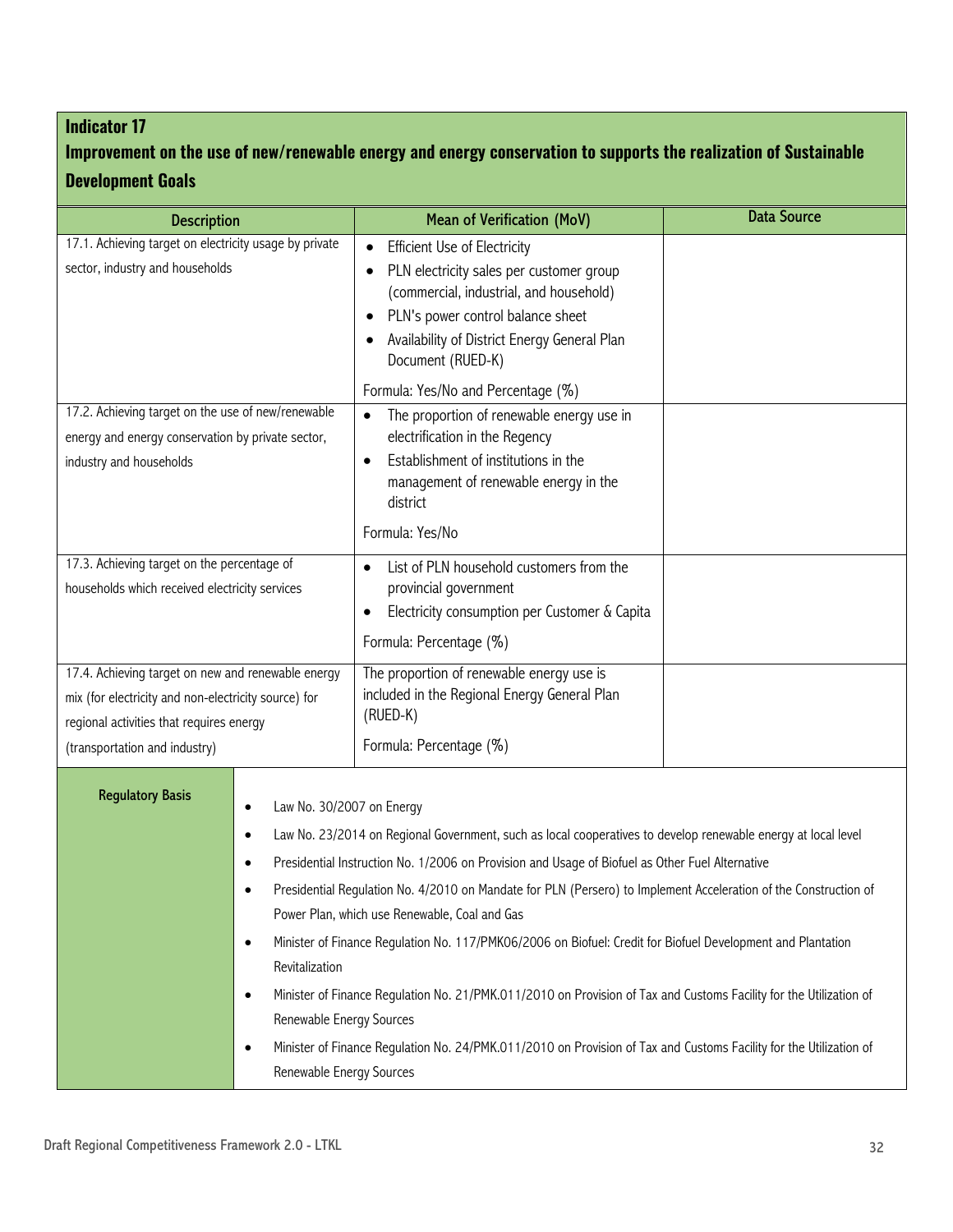## **Improvement on the use of new/renewable energy and energy conservation to supports the realization of Sustainable Development Goals**

| <b>Description</b>                                                                                                                                                                      | <b>Mean of Verification (MoV)</b>                                                                                                                                                                                                                                                                                                                                                                                                                                                                                                                                                                                                                                                                                                                | <b>Data Source</b> |
|-----------------------------------------------------------------------------------------------------------------------------------------------------------------------------------------|--------------------------------------------------------------------------------------------------------------------------------------------------------------------------------------------------------------------------------------------------------------------------------------------------------------------------------------------------------------------------------------------------------------------------------------------------------------------------------------------------------------------------------------------------------------------------------------------------------------------------------------------------------------------------------------------------------------------------------------------------|--------------------|
| 17.1. Achieving target on electricity usage by private<br>sector, industry and households                                                                                               | <b>Efficient Use of Electricity</b><br>$\bullet$<br>PLN electricity sales per customer group<br>(commercial, industrial, and household)<br>PLN's power control balance sheet<br>$\bullet$<br>Availability of District Energy General Plan<br>Document (RUED-K)                                                                                                                                                                                                                                                                                                                                                                                                                                                                                   |                    |
| 17.2. Achieving target on the use of new/renewable<br>energy and energy conservation by private sector,<br>industry and households                                                      | Formula: Yes/No and Percentage (%)<br>The proportion of renewable energy use in<br>$\bullet$<br>electrification in the Regency<br>Establishment of institutions in the<br>$\bullet$<br>management of renewable energy in the<br>district<br>Formula: Yes/No                                                                                                                                                                                                                                                                                                                                                                                                                                                                                      |                    |
| 17.3. Achieving target on the percentage of<br>households which received electricity services                                                                                           | List of PLN household customers from the<br>provincial government<br>Electricity consumption per Customer & Capita<br>Formula: Percentage (%)                                                                                                                                                                                                                                                                                                                                                                                                                                                                                                                                                                                                    |                    |
| 17.4. Achieving target on new and renewable energy<br>mix (for electricity and non-electricity source) for<br>regional activities that requires energy<br>(transportation and industry) | The proportion of renewable energy use is<br>included in the Regional Energy General Plan<br>(RUED-K)<br>Formula: Percentage (%)                                                                                                                                                                                                                                                                                                                                                                                                                                                                                                                                                                                                                 |                    |
| <b>Regulatory Basis</b><br>Law No. 30/2007 on Energy<br>٠<br>٠<br>٠<br>$\bullet$<br>Revitalization<br>$\bullet$<br>Renewable Energy Sources<br>$\bullet$<br>Renewable Energy Sources    | Law No. 23/2014 on Regional Government, such as local cooperatives to develop renewable energy at local level<br>Presidential Instruction No. 1/2006 on Provision and Usage of Biofuel as Other Fuel Alternative<br>Presidential Regulation No. 4/2010 on Mandate for PLN (Persero) to Implement Acceleration of the Construction of<br>Power Plan, which use Renewable, Coal and Gas<br>Minister of Finance Requlation No. 117/PMK06/2006 on Biofuel: Credit for Biofuel Development and Plantation<br>Minister of Finance Regulation No. 21/PMK.011/2010 on Provision of Tax and Customs Facility for the Utilization of<br>Minister of Finance Regulation No. 24/PMK.011/2010 on Provision of Tax and Customs Facility for the Utilization of |                    |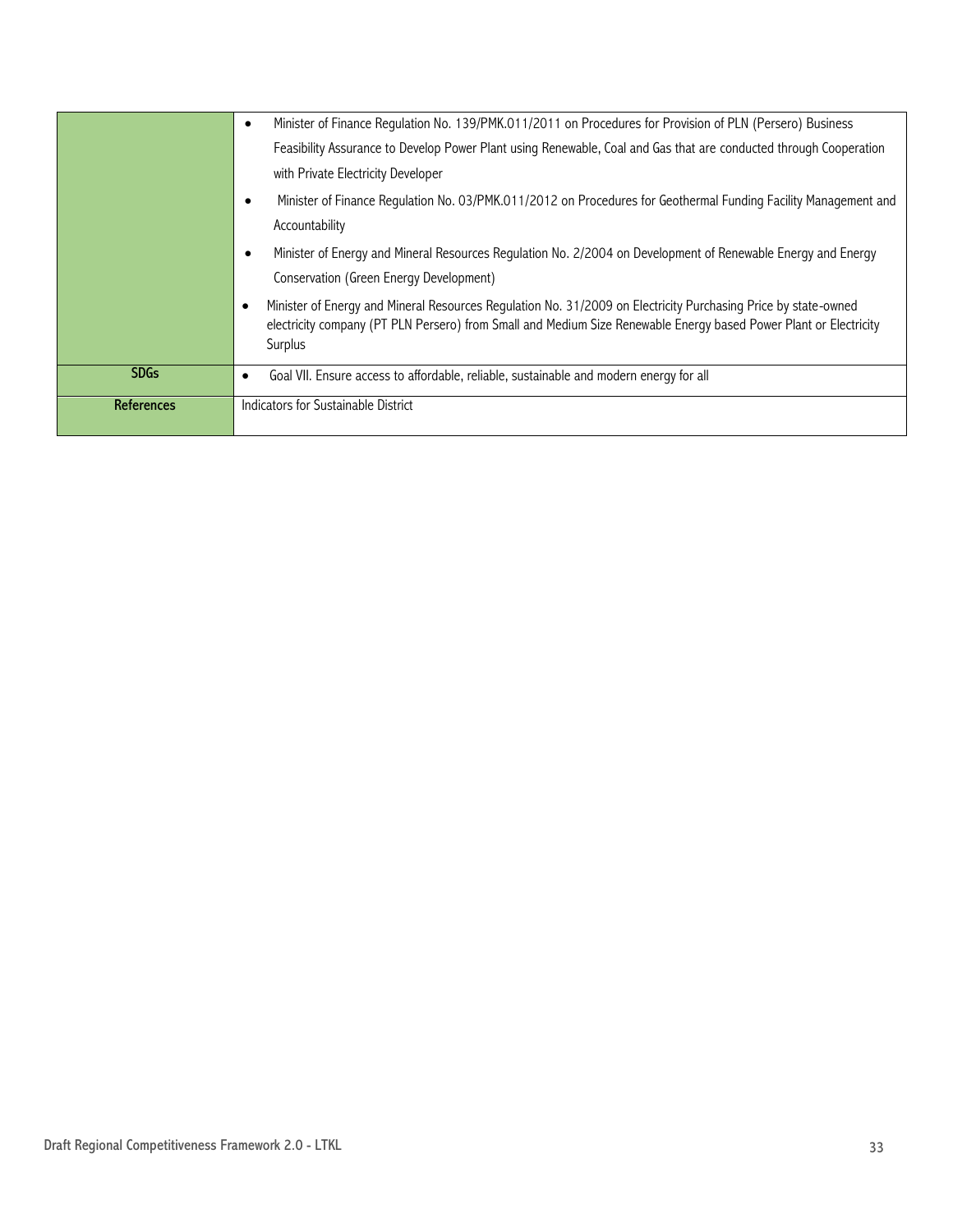|             | Minister of Finance Requlation No. 139/PMK.011/2011 on Procedures for Provision of PLN (Persero) Business<br>٠                                                                                                                                              |
|-------------|-------------------------------------------------------------------------------------------------------------------------------------------------------------------------------------------------------------------------------------------------------------|
|             | Feasibility Assurance to Develop Power Plant using Renewable, Coal and Gas that are conducted through Cooperation                                                                                                                                           |
|             | with Private Electricity Developer                                                                                                                                                                                                                          |
|             | Minister of Finance Requlation No. 03/PMK.011/2012 on Procedures for Geothermal Funding Facility Management and                                                                                                                                             |
|             | Accountability                                                                                                                                                                                                                                              |
|             | Minister of Energy and Mineral Resources Regulation No. 2/2004 on Development of Renewable Energy and Energy                                                                                                                                                |
|             | Conservation (Green Energy Development)                                                                                                                                                                                                                     |
|             | Minister of Energy and Mineral Resources Regulation No. 31/2009 on Electricity Purchasing Price by state-owned<br>$\bullet$<br>electricity company (PT PLN Persero) from Small and Medium Size Renewable Energy based Power Plant or Electricity<br>Surplus |
| <b>SDGs</b> | Goal VII. Ensure access to affordable, reliable, sustainable and modern energy for all<br>٠                                                                                                                                                                 |
| References  | Indicators for Sustainable District                                                                                                                                                                                                                         |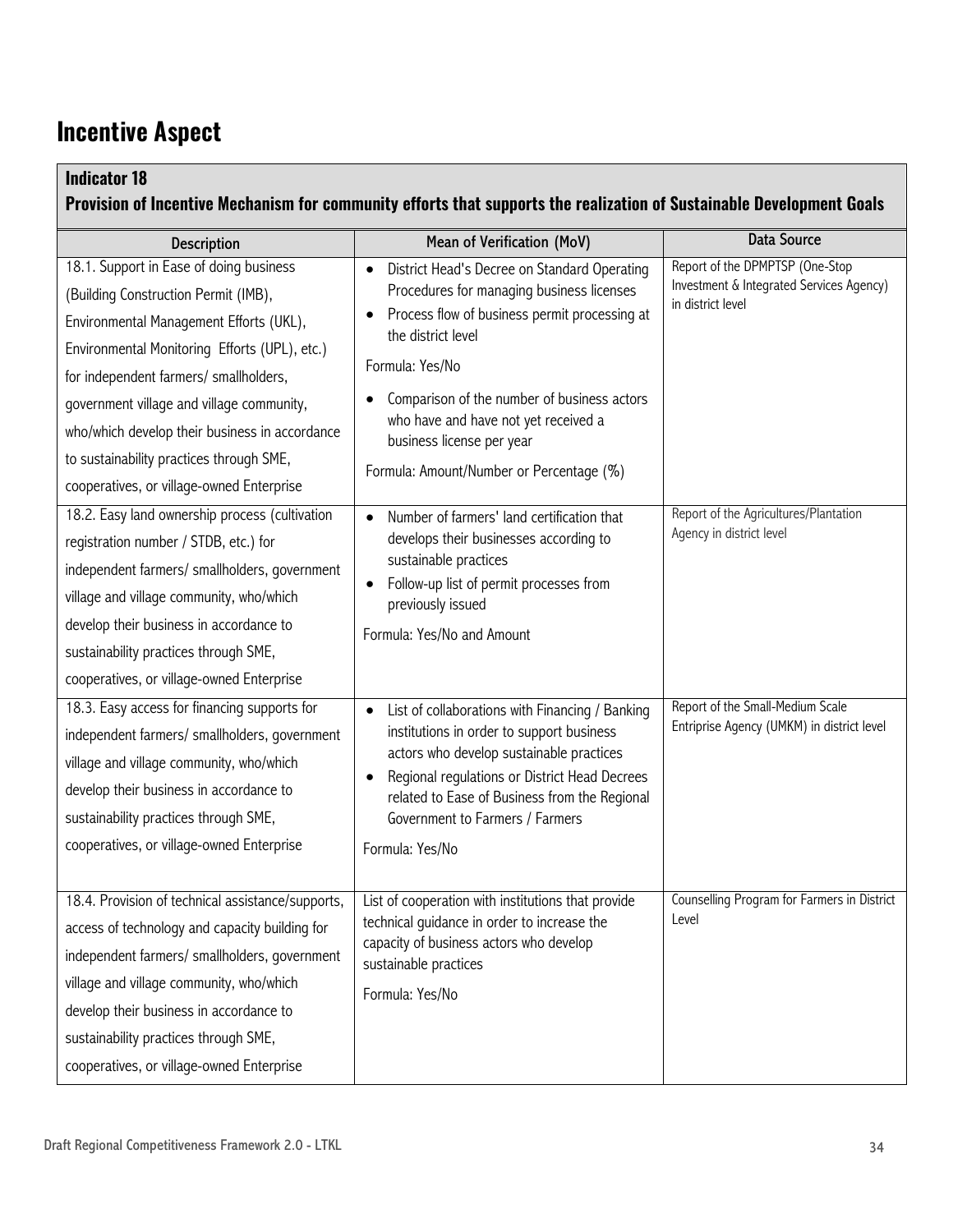## **Incentive Aspect**

| <b>Indicator 18</b>                                                                                                                                                                                                                                                                                                                                                | Provision of Incentive Mechanism for community efforts that supports the realization of Sustainable Development Goals                                                                                                                                                                                                                                                         |                                                                                                  |
|--------------------------------------------------------------------------------------------------------------------------------------------------------------------------------------------------------------------------------------------------------------------------------------------------------------------------------------------------------------------|-------------------------------------------------------------------------------------------------------------------------------------------------------------------------------------------------------------------------------------------------------------------------------------------------------------------------------------------------------------------------------|--------------------------------------------------------------------------------------------------|
| <b>Description</b>                                                                                                                                                                                                                                                                                                                                                 | Mean of Verification (MoV)                                                                                                                                                                                                                                                                                                                                                    | <b>Data Source</b>                                                                               |
| 18.1. Support in Ease of doing business<br>(Building Construction Permit (IMB),<br>Environmental Management Efforts (UKL),<br>Environmental Monitoring Efforts (UPL), etc.)<br>for independent farmers/ smallholders,<br>government village and village community,<br>who/which develop their business in accordance<br>to sustainability practices through SME,   | District Head's Decree on Standard Operating<br>$\bullet$<br>Procedures for managing business licenses<br>Process flow of business permit processing at<br>$\bullet$<br>the district level<br>Formula: Yes/No<br>Comparison of the number of business actors<br>who have and have not yet received a<br>business license per year<br>Formula: Amount/Number or Percentage (%) | Report of the DPMPTSP (One-Stop<br>Investment & Integrated Services Agency)<br>in district level |
| cooperatives, or village-owned Enterprise<br>18.2. Easy land ownership process (cultivation<br>registration number / STDB, etc.) for<br>independent farmers/ smallholders, government<br>village and village community, who/which<br>develop their business in accordance to<br>sustainability practices through SME,<br>cooperatives, or village-owned Enterprise | Number of farmers' land certification that<br>$\bullet$<br>develops their businesses according to<br>sustainable practices<br>Follow-up list of permit processes from<br>previously issued<br>Formula: Yes/No and Amount                                                                                                                                                      | Report of the Agricultures/Plantation<br>Agency in district level                                |
| 18.3. Easy access for financing supports for<br>independent farmers/ smallholders, government<br>village and village community, who/which<br>develop their business in accordance to<br>sustainability practices through SME,<br>cooperatives, or village-owned Enterprise                                                                                         | List of collaborations with Financing / Banking<br>$\bullet$<br>institutions in order to support business<br>actors who develop sustainable practices<br>Regional regulations or District Head Decrees<br>$\bullet$<br>related to Ease of Business from the Regional<br>Government to Farmers / Farmers<br>Formula: Yes/No                                                    | Report of the Small-Medium Scale<br>Entriprise Agency (UMKM) in district level                   |
| 18.4. Provision of technical assistance/supports,<br>access of technology and capacity building for<br>independent farmers/ smallholders, government<br>village and village community, who/which<br>develop their business in accordance to<br>sustainability practices through SME,<br>cooperatives, or village-owned Enterprise                                  | List of cooperation with institutions that provide<br>technical guidance in order to increase the<br>capacity of business actors who develop<br>sustainable practices<br>Formula: Yes/No                                                                                                                                                                                      | Counselling Program for Farmers in District<br>Level                                             |